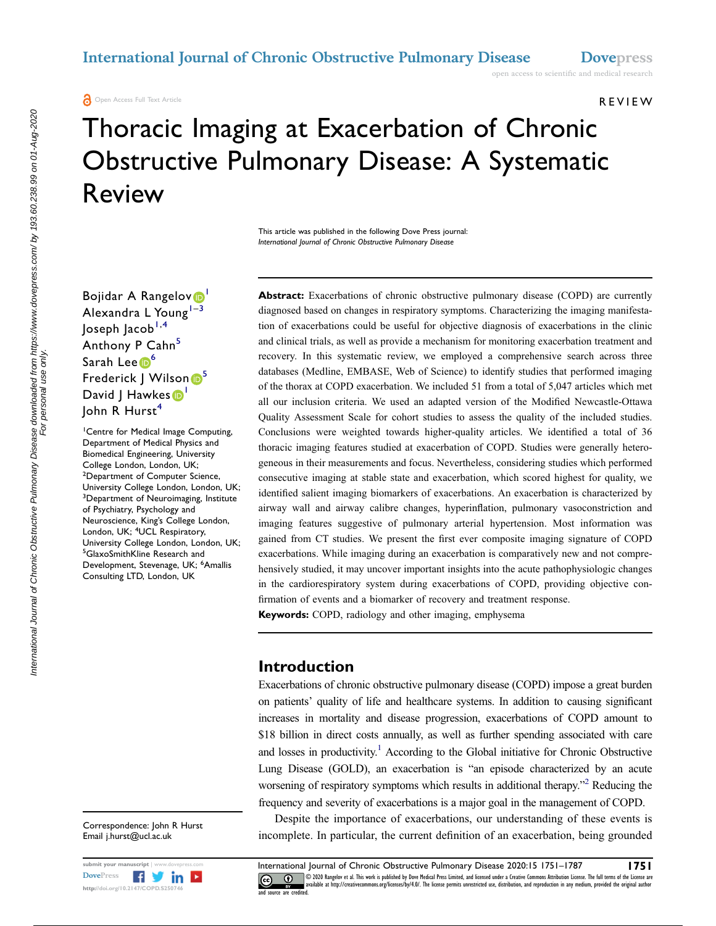**a** Open Access Full Text Article

REVIEW

# Thoracic Imaging at Exacerbation of Chronic Obstructive Pulmonary Disease: A Systematic Review

This article was published in the following Dove Press journal: International Journal of Chronic Obstructive Pulmonary Disease

Bojidar A Rangelov<sup>o</sup> Alexandra L Young $1-3$  $1-3$  $1-3$  $\sqrt{ }$  Joseph Jacob<sup>[1,](#page-0-0)[4](#page-0-2)</sup> Anthony P Cahn<sup>[5](#page-0-3)</sup> Sarah Lee <sup>[6](#page-0-4)</sup> Frederick J Wilson <sup>[5](#page-0-3)</sup> David J Hawkes <sup>[1](#page-0-0)</sup> John R Hurst<sup>[4](#page-0-2)</sup>

<span id="page-0-4"></span><span id="page-0-3"></span><span id="page-0-2"></span><span id="page-0-1"></span><span id="page-0-0"></span>1 Centre for Medical Image Computing, Department of Medical Physics and Biomedical Engineering, University College London, London, UK; <sup>2</sup>Department of Computer Science, University College London, London, UK; <sup>3</sup>Department of Neuroimaging, Institute of Psychiatry, Psychology and Neuroscience, King's College London, London, UK; <sup>4</sup>UCL Respiratory, University College London, London, UK; 5 GlaxoSmithKline Research and Development, Stevenage, UK; <sup>6</sup>Amallis Consulting LTD, London, UK

Correspondence: John R Hurst Email j.hurst@ucl.ac.uk



Abstract: Exacerbations of chronic obstructive pulmonary disease (COPD) are currently diagnosed based on changes in respiratory symptoms. Characterizing the imaging manifestation of exacerbations could be useful for objective diagnosis of exacerbations in the clinic and clinical trials, as well as provide a mechanism for monitoring exacerbation treatment and recovery. In this systematic review, we employed a comprehensive search across three databases (Medline, EMBASE, Web of Science) to identify studies that performed imaging of the thorax at COPD exacerbation. We included 51 from a total of 5,047 articles which met all our inclusion criteria. We used an adapted version of the Modified Newcastle-Ottawa Quality Assessment Scale for cohort studies to assess the quality of the included studies. Conclusions were weighted towards higher-quality articles. We identified a total of 36 thoracic imaging features studied at exacerbation of COPD. Studies were generally heterogeneous in their measurements and focus. Nevertheless, considering studies which performed consecutive imaging at stable state and exacerbation, which scored highest for quality, we identified salient imaging biomarkers of exacerbations. An exacerbation is characterized by airway wall and airway calibre changes, hyperinflation, pulmonary vasoconstriction and imaging features suggestive of pulmonary arterial hypertension. Most information was gained from CT studies. We present the first ever composite imaging signature of COPD exacerbations. While imaging during an exacerbation is comparatively new and not comprehensively studied, it may uncover important insights into the acute pathophysiologic changes in the cardiorespiratory system during exacerbations of COPD, providing objective confirmation of events and a biomarker of recovery and treatment response.

Keywords: COPD, radiology and other imaging, emphysema

### Introduction

<span id="page-0-5"></span>Exacerbations of chronic obstructive pulmonary disease (COPD) impose a great burden on patients' quality of life and healthcare systems. In addition to causing significant increases in mortality and disease progression, exacerbations of COPD amount to \$18 billion in direct costs annually, as well as further spending associated with care and losses in productivity.<sup>1</sup> According to the Global initiative for Chronic Obstructive Lung Disease (GOLD), an exacerbation is "an episode characterized by an acute worsening of respiratory symptoms which results in additional therapy."<sup>[2](#page-34-1)</sup> Reducing the frequency and severity of exacerbations is a major goal in the management of COPD.

<span id="page-0-6"></span>Despite the importance of exacerbations, our understanding of these events is incomplete. In particular, the current definition of an exacerbation, being grounded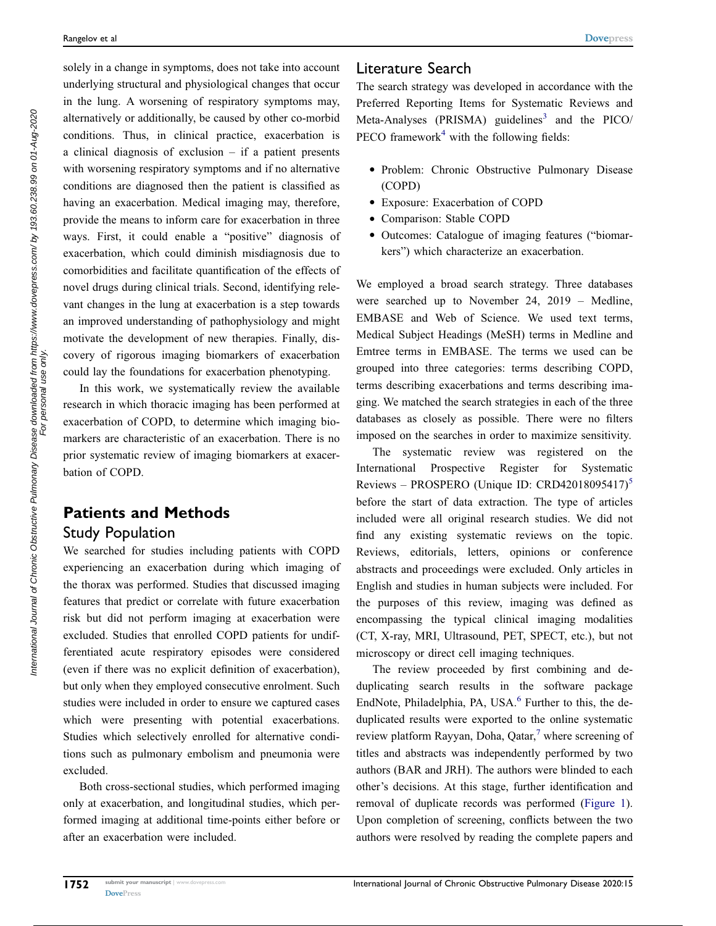solely in a change in symptoms, does not take into account underlying structural and physiological changes that occur in the lung. A worsening of respiratory symptoms may, alternatively or additionally, be caused by other co-morbid conditions. Thus, in clinical practice, exacerbation is a clinical diagnosis of exclusion – if a patient presents with worsening respiratory symptoms and if no alternative conditions are diagnosed then the patient is classified as having an exacerbation. Medical imaging may, therefore, provide the means to inform care for exacerbation in three ways. First, it could enable a "positive" diagnosis of exacerbation, which could diminish misdiagnosis due to comorbidities and facilitate quantification of the effects of novel drugs during clinical trials. Second, identifying relevant changes in the lung at exacerbation is a step towards an improved understanding of pathophysiology and might motivate the development of new therapies. Finally, discovery of rigorous imaging biomarkers of exacerbation could lay the foundations for exacerbation phenotyping.

In this work, we systematically review the available research in which thoracic imaging has been performed at exacerbation of COPD, to determine which imaging biomarkers are characteristic of an exacerbation. There is no prior systematic review of imaging biomarkers at exacerbation of COPD.

# Patients and Methods

### Study Population

We searched for studies including patients with COPD experiencing an exacerbation during which imaging of the thorax was performed. Studies that discussed imaging features that predict or correlate with future exacerbation risk but did not perform imaging at exacerbation were excluded. Studies that enrolled COPD patients for undifferentiated acute respiratory episodes were considered (even if there was no explicit definition of exacerbation), but only when they employed consecutive enrolment. Such studies were included in order to ensure we captured cases which were presenting with potential exacerbations. Studies which selectively enrolled for alternative conditions such as pulmonary embolism and pneumonia were excluded.

Both cross-sectional studies, which performed imaging only at exacerbation, and longitudinal studies, which performed imaging at additional time-points either before or after an exacerbation were included.

#### Literature Search

<span id="page-1-0"></span>The search strategy was developed in accordance with the Preferred Reporting Items for Systematic Reviews and Meta-Analyses (PRISMA) guidelines<sup>[3](#page-34-2)</sup> and the PICO/ PECO framework<sup>[4](#page-34-3)</sup> with the following fields:

- <span id="page-1-1"></span>● Problem: Chronic Obstructive Pulmonary Disease (COPD)
- Exposure: Exacerbation of COPD
- Comparison: Stable COPD
- Outcomes: Catalogue of imaging features ("biomarkers") which characterize an exacerbation.

We employed a broad search strategy. Three databases were searched up to November 24, 2019 – Medline, EMBASE and Web of Science. We used text terms, Medical Subject Headings (MeSH) terms in Medline and Emtree terms in EMBASE. The terms we used can be grouped into three categories: terms describing COPD, terms describing exacerbations and terms describing imaging. We matched the search strategies in each of the three databases as closely as possible. There were no filters imposed on the searches in order to maximize sensitivity.

The systematic review was registered on the International Prospective Register for Systematic Reviews – PROSPERO (Unique ID: CRD4201809[5](#page-34-4)417)<sup>5</sup> before the start of data extraction. The type of articles included were all original research studies. We did not find any existing systematic reviews on the topic. Reviews, editorials, letters, opinions or conference abstracts and proceedings were excluded. Only articles in English and studies in human subjects were included. For the purposes of this review, imaging was defined as encompassing the typical clinical imaging modalities (CT, X-ray, MRI, Ultrasound, PET, SPECT, etc.), but not microscopy or direct cell imaging techniques.

<span id="page-1-2"></span>The review proceeded by first combining and deduplicating search results in the software package EndNote, Philadelphia, PA, USA.<sup>6</sup> Further to this, the deduplicated results were exported to the online systematic review platform Rayyan, Doha, Qatar,<sup>[7](#page-34-6)</sup> where screening of titles and abstracts was independently performed by two authors (BAR and JRH). The authors were blinded to each other's decisions. At this stage, further identification and removal of duplicate records was performed ([Figure 1\)](#page-2-0). Upon completion of screening, conflicts between the two authors were resolved by reading the complete papers and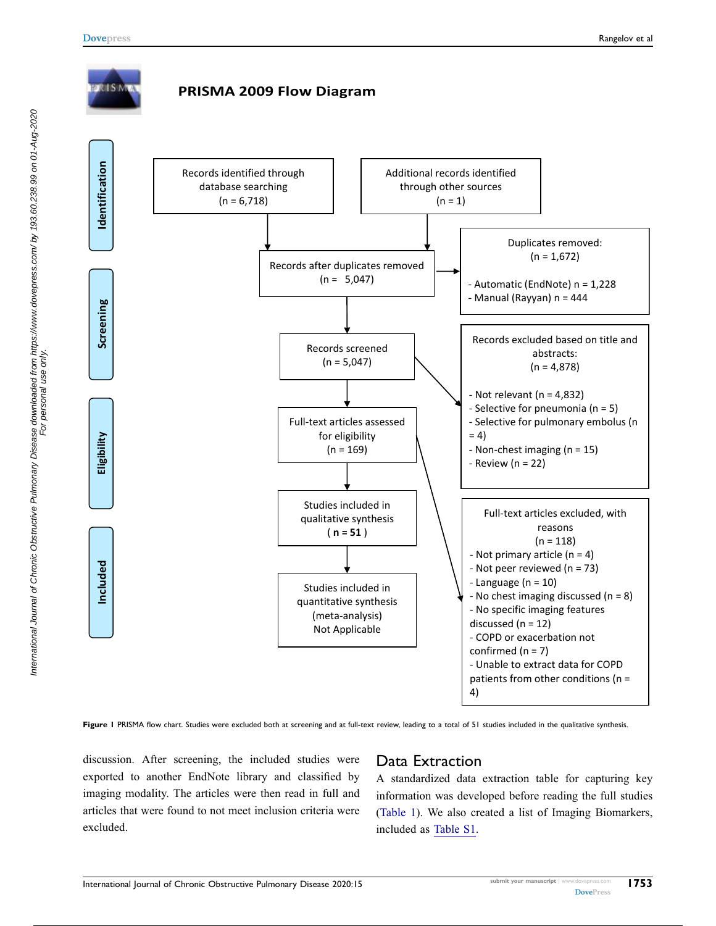<span id="page-2-0"></span>

Figure I PRISMA flow chart. Studies were excluded both at screening and at full-text review, leading to a total of 51 studies included in the qualitative synthesis.

discussion. After screening, the included studies were exported to another EndNote library and classified by imaging modality. The articles were then read in full and articles that were found to not meet inclusion criteria were excluded.

### Data Extraction

A standardized data extraction table for capturing key information was developed before reading the full studies [\(Table 1](#page-4-0)). We also created a list of Imaging Biomarkers, included as [Table S1](http://www.dovepress.com/get_supplementary_file.php?f=250746.doc).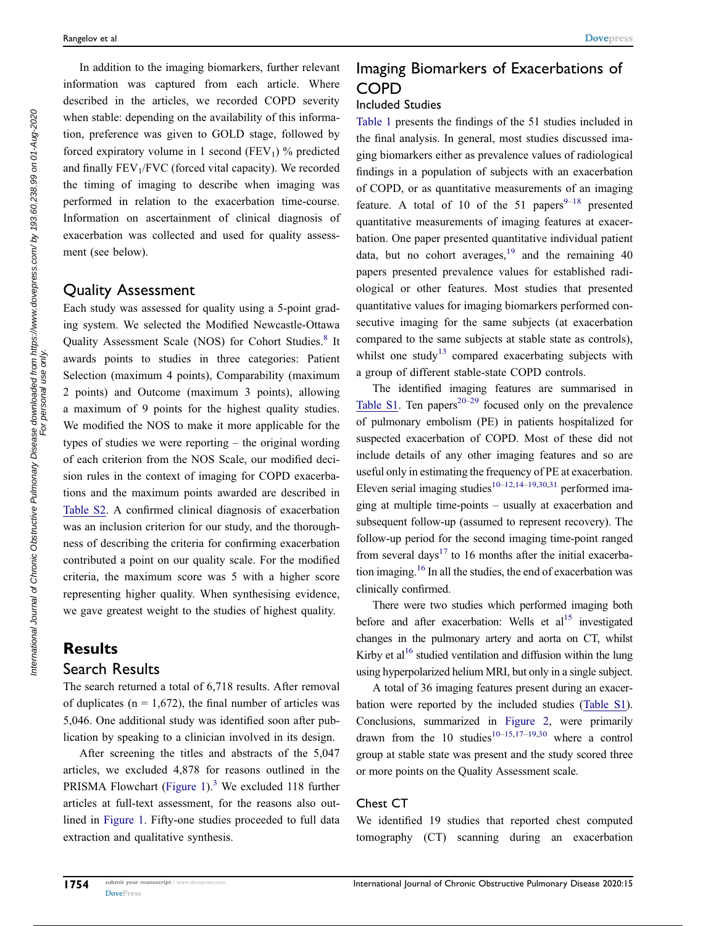In addition to the imaging biomarkers, further relevant information was captured from each article. Where described in the articles, we recorded COPD severity when stable: depending on the availability of this information, preference was given to GOLD stage, followed by forced expiratory volume in 1 second ( $FEV<sub>1</sub>$ ) % predicted and finally  $FEV<sub>1</sub>/FVC$  (forced vital capacity). We recorded the timing of imaging to describe when imaging was performed in relation to the exacerbation time-course. Information on ascertainment of clinical diagnosis of exacerbation was collected and used for quality assessment (see below).

#### Quality Assessment

<span id="page-3-0"></span>Each study was assessed for quality using a 5-point grading system. We selected the Modified Newcastle-Ottawa Quality Assessment Scale (NOS) for Cohort Studies.<sup>[8](#page-34-7)</sup> It awards points to studies in three categories: Patient Selection (maximum 4 points), Comparability (maximum 2 points) and Outcome (maximum 3 points), allowing a maximum of 9 points for the highest quality studies. We modified the NOS to make it more applicable for the types of studies we were reporting – the original wording of each criterion from the NOS Scale, our modified decision rules in the context of imaging for COPD exacerbations and the maximum points awarded are described in [Table S2.](http://www.dovepress.com/get_supplementary_file.php?f=250746.doc) A confirmed clinical diagnosis of exacerbation was an inclusion criterion for our study, and the thoroughness of describing the criteria for confirming exacerbation contributed а point on our quality scale. For the modified criteria, the maximum score was 5 with a higher score representing higher quality. When synthesising evidence, we gave greatest weight to the studies of highest quality.

### **Results** Search Results

The search returned a total of 6,718 results. After removal of duplicates ( $n = 1,672$ ), the final number of articles was 5,046. One additional study was identified soon after publication by speaking to a clinician involved in its design.

After screening the titles and abstracts of the 5,047 articles, we excluded 4,878 for reasons outlined in the PRISMA Flowchart ([Figure 1](#page-2-0)).<sup>3</sup> We excluded 118 further articles at full-text assessment, for the reasons also outlined in [Figure 1](#page-2-0). Fifty-one studies proceeded to full data extraction and qualitative synthesis.

## Imaging Biomarkers of Exacerbations of COPD

#### Included Studies

<span id="page-3-1"></span>[Table 1](#page-4-0) presents the findings of the 51 studies included in the final analysis. In general, most studies discussed imaging biomarkers either as prevalence values of radiological findings in a population of subjects with an exacerbation of COPD, or as quantitative measurements of an imaging feature. A total of 10 of the 51 papers $9-18$  $9-18$  presented quantitative measurements of imaging features at exacerbation. One paper presented quantitative individual patient data, but no cohort averages,  $19$  and the remaining 40 papers presented prevalence values for established radiological or other features. Most studies that presented quantitative values for imaging biomarkers performed consecutive imaging for the same subjects (at exacerbation compared to the same subjects at stable state as controls), whilst one study<sup>[13](#page-34-11)</sup> compared exacerbating subjects with a group of different stable-state COPD controls.

<span id="page-3-6"></span><span id="page-3-4"></span><span id="page-3-3"></span>The identified imaging features are summarised in [Table S1.](http://www.dovepress.com/get_supplementary_file.php?f=250746.doc) Ten papers<sup>20–[29](#page-35-0)</sup> focused only on the prevalence of pulmonary embolism (PE) in patients hospitalized for suspected exacerbation of COPD. Most of these did not include details of any other imaging features and so are useful only in estimating the frequency of PE at exacerbation. Eleven serial imaging studies<sup>[10](#page-34-13)–[12,](#page-34-14)[14](#page-34-15)–[19,](#page-34-10)[30,](#page-35-1)[31](#page-35-2)</sup> performed imaging at multiple time-points – usually at exacerbation and subsequent follow-up (assumed to represent recovery). The follow-up period for the second imaging time-point ranged from several days<sup>[17](#page-34-16)</sup> to 16 months after the initial exacerbation imaging[.16](#page-34-17) In all the studies, the end of exacerbation was clinically confirmed.

There were two studies which performed imaging both before and after exacerbation: Wells et  $al<sup>15</sup>$  investigated changes in the pulmonary artery and aorta on CT, whilst Kirby et al<sup>16</sup> studied ventilation and diffusion within the lung using hyperpolarized helium MRI, but only in a single subject.

<span id="page-3-5"></span><span id="page-3-2"></span>A total of 36 imaging features present during an exacerbation were reported by the included studies [\(Table S1\)](http://www.dovepress.com/get_supplementary_file.php?f=250746.doc). Conclusions, summarized in [Figure 2](#page-30-0), were primarily drawn from the 10 studies<sup>10–[15,](#page-34-18)[17](#page-34-16)–[19,](#page-34-10)[30](#page-35-1)</sup> where a control group at stable state was present and the study scored three or more points on the Quality Assessment scale.

#### Chest CT

We identified 19 studies that reported chest computed tomography (CT) scanning during an exacerbation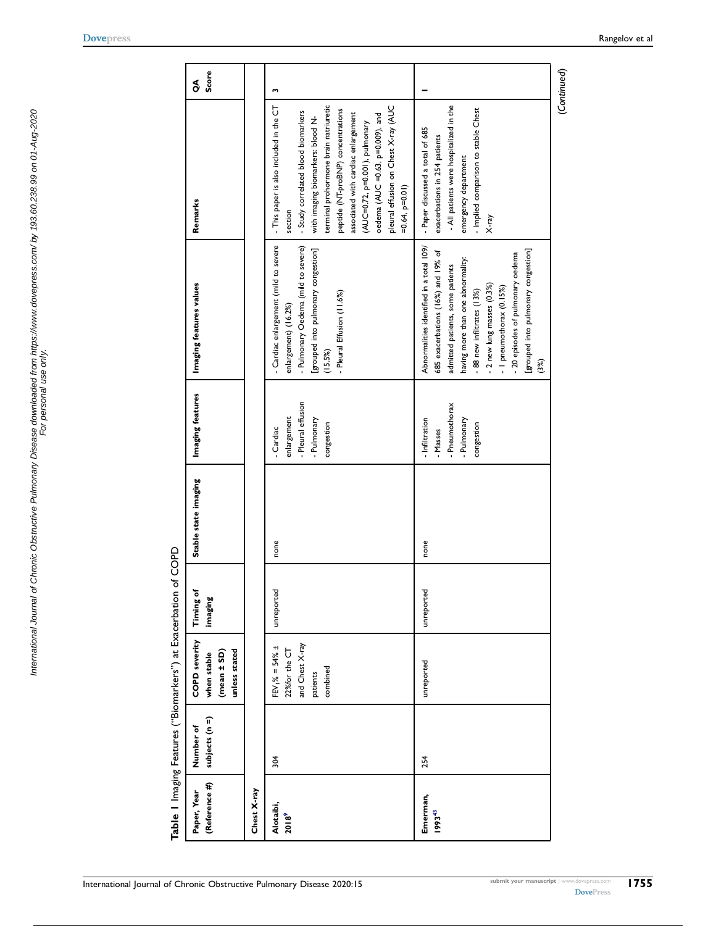<span id="page-4-1"></span>

| י<br>ג) |
|---------|
|         |
| ı       |
|         |
| j<br>֚֓ |
| ı       |
|         |
|         |
|         |

<span id="page-4-0"></span>

| (Reference #)<br>Paper, Year | subjects (n =)<br>Number of | <b>COPD</b> severity<br>unless stated<br>(mean ± SD)<br>when stable              | Timing of<br>imaging | Stable state imaging | Imaging features                                                      | Imaging features values                                                                                                                                                                                                                                                                                                            | Remarks                                                                                                                                                                                                                                                                                                                                                                                  | Score<br>S  |
|------------------------------|-----------------------------|----------------------------------------------------------------------------------|----------------------|----------------------|-----------------------------------------------------------------------|------------------------------------------------------------------------------------------------------------------------------------------------------------------------------------------------------------------------------------------------------------------------------------------------------------------------------------|------------------------------------------------------------------------------------------------------------------------------------------------------------------------------------------------------------------------------------------------------------------------------------------------------------------------------------------------------------------------------------------|-------------|
| Chest X-ray                  |                             |                                                                                  |                      |                      |                                                                       |                                                                                                                                                                                                                                                                                                                                    |                                                                                                                                                                                                                                                                                                                                                                                          |             |
| Alotaibi,<br>2018°           | 304                         | and Chest X-ray<br>$FEV_1\% = 54\% \pm$<br>22%for the CT<br>combined<br>patients | unreported           | none                 | Pleural effusion<br>enlargement<br>Pulmonary<br>congestion<br>Cardiac | - Cardiac enlargement (mild to severe<br>- Pulmonary Oedema (mild to severe)<br>[grouped into pulmonary congestion]<br>- Pleural Effusion (11.6%)<br>enlargement) (16.2%)<br>(15.5%)                                                                                                                                               | terminal prohormone brain natriuretic<br>pleural effusion on Chest X-ray (AUC<br>- This paper is also included in the CT<br>peptide (NT-proBNP) concentrations<br>- Study correlated blood biomarkers<br>associated with cardiac enlargement<br>$o$ edema (AUC =0.63, p=0.009), and<br>with imaging biomarkers: blood N-<br>(AUC=0.72, p=0.001), pulmonary<br>$=0.64, p=0.01$<br>section | w           |
| Emerman,<br>199343           | 254                         | unreported                                                                       | unreported           | none                 | - Pneumothorax<br>- Infiltration<br>Pulmonary<br>congestion<br>Masses | Abnormalities identified in a total 109/<br>[grouped into pulmonary congestion]<br>685 exacerbations (16%) and 19% of<br>- 20 episodes of pulmonary oedema<br>having more than one abnormality:<br>admitted patients, some patients<br>- 2 new lung masses (0.3%)<br>- I pneumothorax (0.15%)<br>.88 new infiltrates (13%)<br>(3%) | - All patients were hospitalized in the<br>Implied comparison to stable Chest<br>- Paper discussed a total of 685<br>exacerbations in 254 patients<br>emergency department<br><b>K-ray</b>                                                                                                                                                                                               |             |
|                              |                             |                                                                                  |                      |                      |                                                                       |                                                                                                                                                                                                                                                                                                                                    |                                                                                                                                                                                                                                                                                                                                                                                          | (Continued) |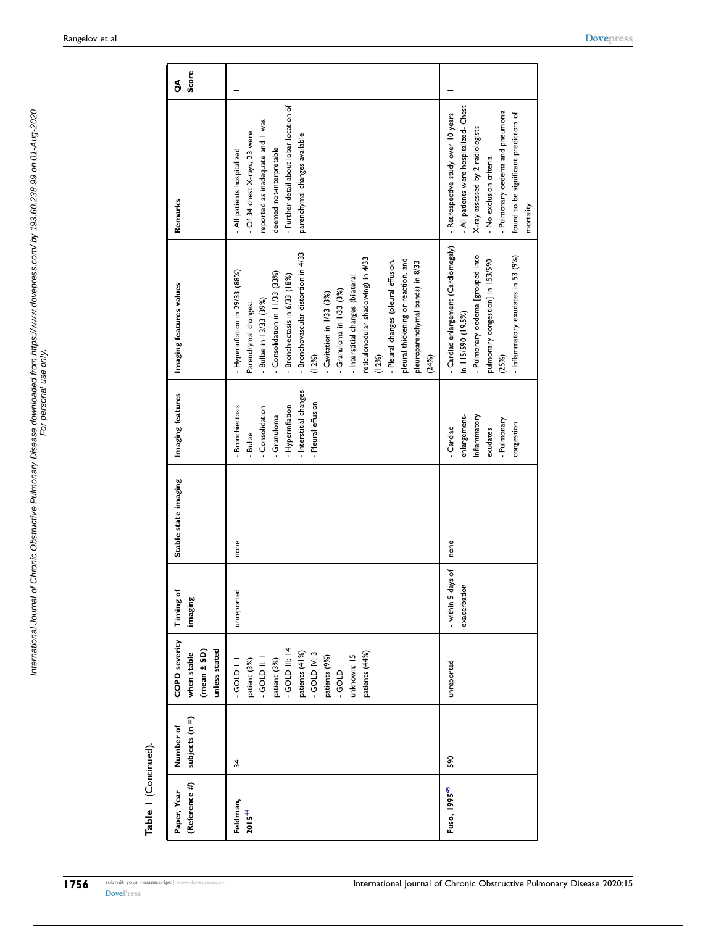| (Reference #)<br>Paper, Year   | subjects (n =)<br>Number of | <b>COPD severity</b><br>unless stated<br>$(mean \pm SD)$<br>when stable                                                                                                        | <b>Timing of</b><br>imaging        | Stable state imaging | Imaging features                                                                                                                        | Imaging features values                                                                                                                                                                                                                                                                                                                                                                                                                                                          | Remarks                                                                                                                                                                                                                                 | Score<br>S |
|--------------------------------|-----------------------------|--------------------------------------------------------------------------------------------------------------------------------------------------------------------------------|------------------------------------|----------------------|-----------------------------------------------------------------------------------------------------------------------------------------|----------------------------------------------------------------------------------------------------------------------------------------------------------------------------------------------------------------------------------------------------------------------------------------------------------------------------------------------------------------------------------------------------------------------------------------------------------------------------------|-----------------------------------------------------------------------------------------------------------------------------------------------------------------------------------------------------------------------------------------|------------|
| Feldman,<br>2015 <sup>44</sup> | 34                          | $-$ GOLD III: 14<br>patients (44%)<br>patients (41%)<br>$-$ GOLD IV: 3<br>unknown: 15<br>patients (9%)<br>patient (3%)<br><b>GOLD II:</b><br>patient (3%)<br>GOLD I:<br>- GOLD | unreported                         | none                 | - Interstitial changes<br>- Pleural effusion<br><b>Bronchiectasis</b><br>- Hyperinflation<br>- Consolidation<br>- Granuloma<br>- Bullae | - Bronchovascular distortion in 4/33<br>reticulonodular shadowing) in 4/33<br>pleural thickening or reaction, and<br>- Pleural changes (pleural effusion,<br>pleuroparenchymal bands) in 8/33<br>- Hyperinflation in 29/33 (88%)<br>- Consolidation in 11/33 (33%)<br>Bronchiectasis in 6/33 (18%)<br>- Interstitial changes (bilateral<br>- Granuloma in $1/33$ $(3%)$<br>- Cavitation in 1/33 (3%)<br>Bullae in 13/33 (39%)<br>Parenchymal changes:<br>(12%)<br>(12%)<br>(24%) | Further detail about lobar location of<br>reported as inadequate and I was<br>- Of 34 chest X-rays, 23 were<br>parenchymal changes available<br>deemed not-interpretable<br>- All patients hospitalized                                 |            |
| Fuso, 1995 <sup>45</sup>       | 590                         | unreported                                                                                                                                                                     | - within 5 days of<br>exacerbation | none                 | enlargement-<br>Inflammatory<br>- Pulmonary<br>congestion<br>- Cardiac<br>exudates                                                      | - Cardiac enlargement (Cardiomegaly)<br>- Pulmonary oedema [grouped into<br>- Inflammatory exudates in 53 (9%)<br>pulmonary congestion] in 153/590<br>in 115/590 (19.5%)<br>(25%)                                                                                                                                                                                                                                                                                                | - All patients were hospitalized- Chest<br>- Pulmonary oedema and pneumonia<br>- Retrospective study over 10 years<br>found to be significant predictors of<br>X-ray assessed by 2 radiologists<br>- No exclusion criteria<br>mortality |            |

<span id="page-5-1"></span><span id="page-5-0"></span>Table I (Continued). Table 1 (Continued).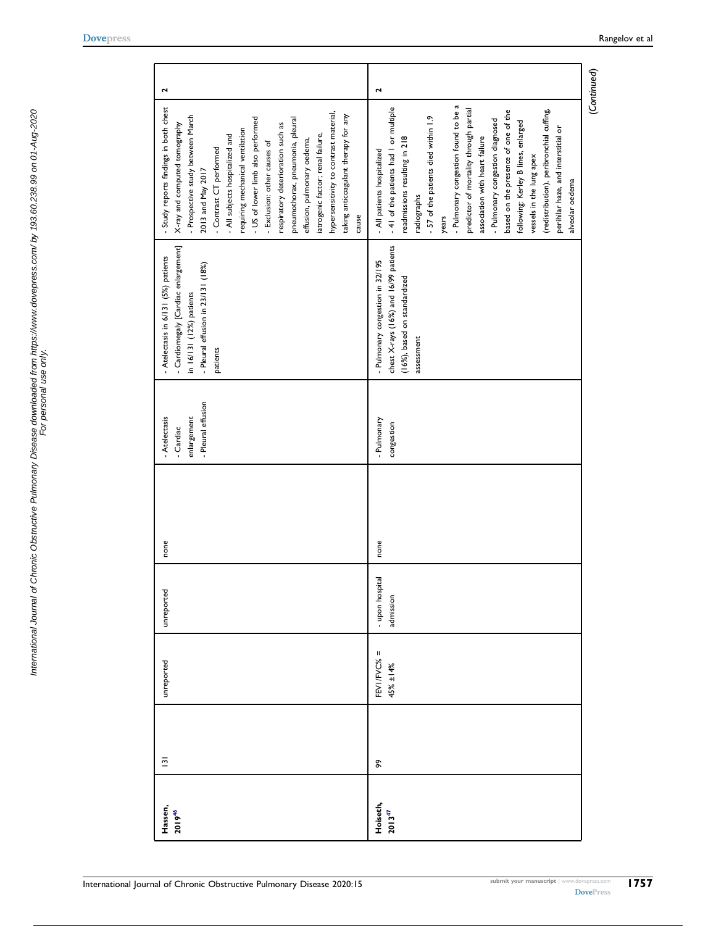<span id="page-6-0"></span> $\sim$ 

<span id="page-6-1"></span>

| Hassen,<br>201946       | $\overline{\mathbf{5}}$ | unreported              | unreported                  | none | - Pleural effusion<br>enlargement<br>- Atelectasis<br>Cardiac | - Cardiomegaly [Cardiac enlargement]<br>- Atelectasis in 6/131 (5%) patients<br>- Pleural effusion in 23/131 (18%)<br>in 16/131 (12%) patients<br>patients | Study reports findings in both chest<br>hypersensitivity to contrast material,<br>taking anticoagulant therapy for any<br>Prospective study between March<br>- US of lower limb also performed<br>pneumothorax, pneumonia, pleural<br>X-ray and computed tomography<br>respiratory deterioration such as<br>requiring mechanical ventilation<br>- All subjects hospitalized and<br>iatrogenic factor; renal failure,<br>effusion, pulmonary oedema,<br>- Exclusion: other causes of<br>Contrast CT performed<br>2013 and May 2017<br>cause     | 2           |
|-------------------------|-------------------------|-------------------------|-----------------------------|------|---------------------------------------------------------------|------------------------------------------------------------------------------------------------------------------------------------------------------------|------------------------------------------------------------------------------------------------------------------------------------------------------------------------------------------------------------------------------------------------------------------------------------------------------------------------------------------------------------------------------------------------------------------------------------------------------------------------------------------------------------------------------------------------|-------------|
| Hoiseth,<br>$2013^{47}$ | æ                       | FEVI/FVC% =<br>45% ±14% | - upon hospita<br>admission | none | - Pulmonary<br>congestion                                     | chest X-rays (16%) and 16/99 patients<br>- Pulmonary congestion in 32/195<br>(16%), based on standardized<br>assessment                                    | - Pulmonary congestion found to be a<br>- 41 of the patients had 1 or multiple<br>predictor of mortality through partial<br>(redistribution), peribronchial cuffing,<br>based on the presence of one of the<br>- 57 of the patients died within 1.9<br>- Pulmonary congestion diagnosed<br>following: Kerley B lines, enlarged<br>perihilar haze, and interstitial or<br>association with heart failure<br>readmissions resulting in 218<br>- All patients hospitalized<br>vessels in the lung apex<br>alveolar oedema<br>radiographs<br>years | 2           |
|                         |                         |                         |                             |      |                                                               |                                                                                                                                                            |                                                                                                                                                                                                                                                                                                                                                                                                                                                                                                                                                | (Continued) |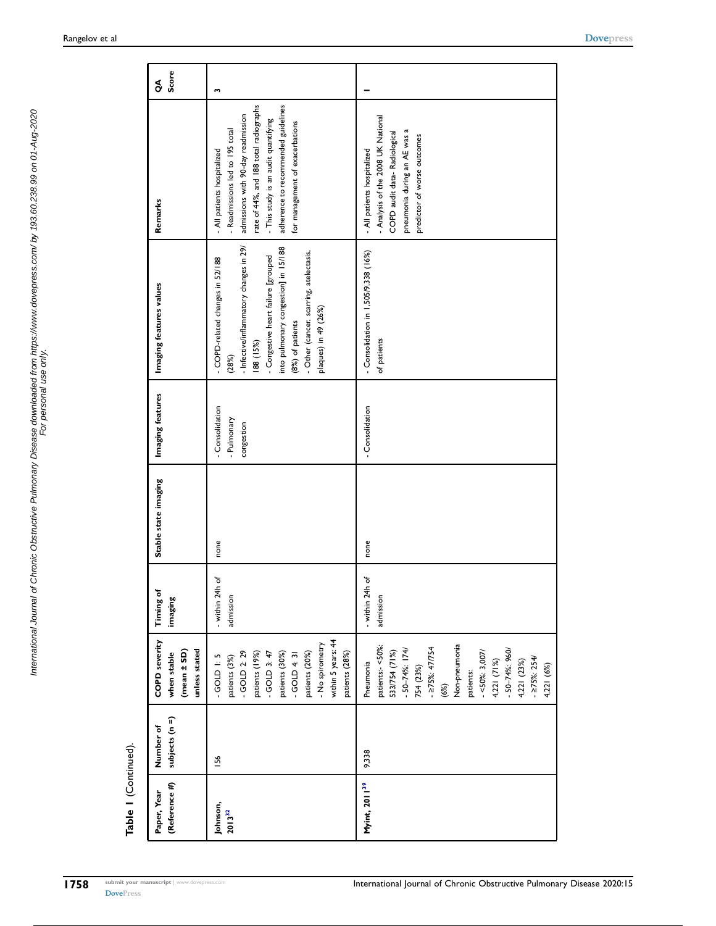<span id="page-7-1"></span><span id="page-7-0"></span>International Journal of Chronic Obstructive Pulmonary Disease downloaded from https://www.dovepress.com/ by 193.60.238.99 on 01-Aug-2020<br>For personal use only use only International Journal of Chronic Obstructive Pulmonary Disease downloaded from https://www.dovepress.com/ by 193.60.238.99 on 01-Aug-2020 For personal use only.

| (Reference #)<br>Paper, Year | subjects (n =)<br>Number of | <b>COPD severity</b><br>unless stated<br>$(mean \pm SD)$<br>when stable                                                                                                                                                                      | <b>Timing of</b><br>imaging    | Stable state imaging | Imaging features                           | Imaging features values                                                                                                                                                                                                                                                 | Remarks                                                                                                                                                                                                                                                          | Score<br>S |
|------------------------------|-----------------------------|----------------------------------------------------------------------------------------------------------------------------------------------------------------------------------------------------------------------------------------------|--------------------------------|----------------------|--------------------------------------------|-------------------------------------------------------------------------------------------------------------------------------------------------------------------------------------------------------------------------------------------------------------------------|------------------------------------------------------------------------------------------------------------------------------------------------------------------------------------------------------------------------------------------------------------------|------------|
| Johnson,<br>$2013^{32}$      | 156                         | within 5 years: 44<br>- No spirometry<br>$-$ GOLD 2: 29<br>$-$ GOLD 3: 47<br>patients (20%)<br>patients (28%)<br>patients (19%)<br>patients (30%)<br>$-60LD + 31$<br>$-60L$ $+5$<br>patients (3%)                                            | - within 24h of<br>admission   | none                 | Consolidation<br>- Pulmonary<br>congestion | - Infective/inflammatory changes in 29/<br>into pulmonary congestion] in 15/188<br>- Other (cancer, scarring, atelectasis,<br>- Congestive heart failure [grouped<br>- COPD-related changes in 52/188<br>plaques) in 49 (26%)<br>(8%) of patients<br>188 (15%)<br>(28%) | rate of 44%, and 188 total radiographs<br>adherence to recommended guidelines<br>admissions with 90-day readmission<br>- This study is an audit quantifying<br>for management of exacerbations<br>- Readmissions led to 195 total<br>- All patients hospitalized | m          |
| Myint, 2011 <sup>39</sup>    | 9,338                       | Non-pneumonia<br>patients:- <50%<br>$-275\%:47/754$<br>- 50-74%: 174/<br>$-50 - 74\%$ : 960/<br>$-50\%: 3,007$<br>533/754 (71%)<br>$-275\%: 254/$<br>4,221 (71%)<br>4,221 (23%)<br>Pneumonia<br>4,221 (6%)<br>754 (23%)<br>patients:<br>(6%) | đ<br>- within 24h<br>admission | none                 | - Consolidation                            | - Consolidation in 1,505/9,338 (16%)<br>of patients                                                                                                                                                                                                                     | - Analysis of the 2008 UK National<br>pneumonia during an AE was a<br>COPD audit data-Radiological<br>predictor of worse outcomes<br>- All patients hospitalized                                                                                                 |            |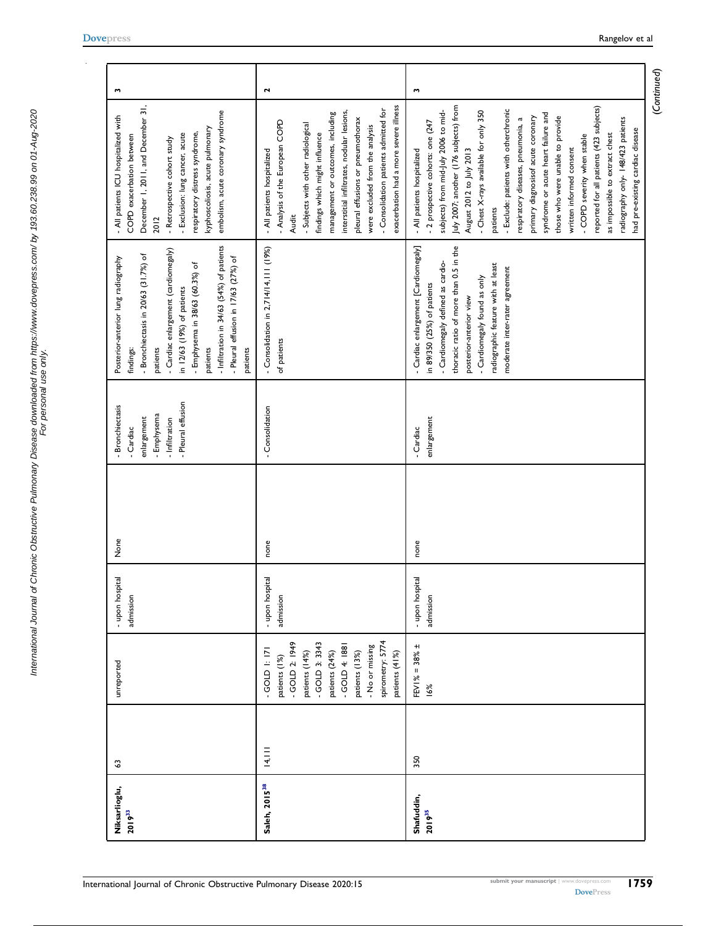<span id="page-8-2"></span><span id="page-8-1"></span><span id="page-8-0"></span>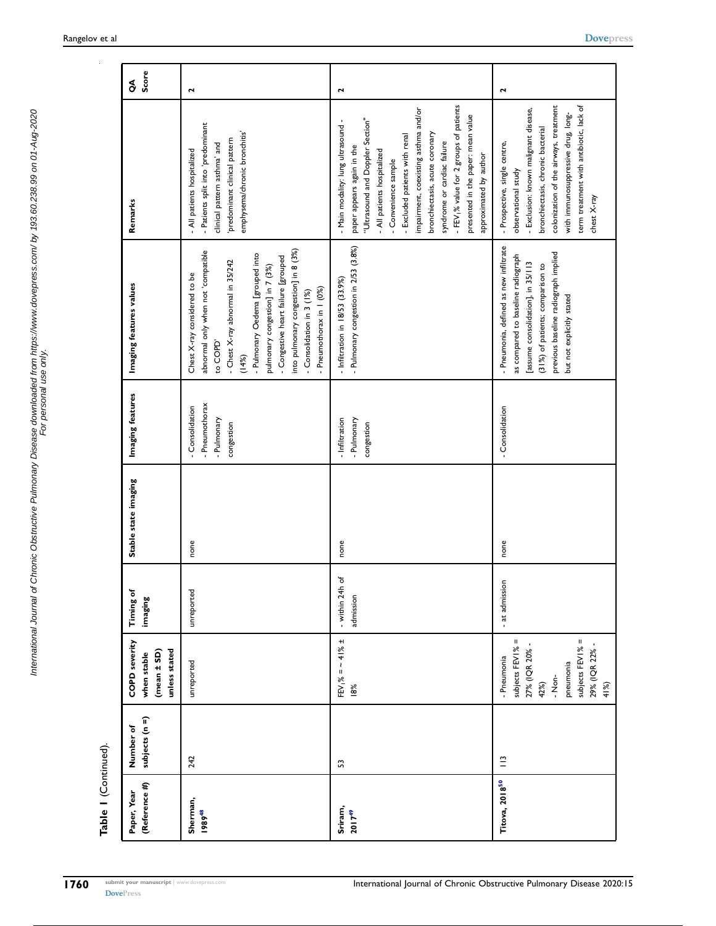| Table I (Continued).           |                             |                                                                                                                                 |                              |                      |                                                            |                                                                                                                                                                                                                                                                                                                                            |                                                                                                                                                                                                                                                                                                                                                                                                                             |              |
|--------------------------------|-----------------------------|---------------------------------------------------------------------------------------------------------------------------------|------------------------------|----------------------|------------------------------------------------------------|--------------------------------------------------------------------------------------------------------------------------------------------------------------------------------------------------------------------------------------------------------------------------------------------------------------------------------------------|-----------------------------------------------------------------------------------------------------------------------------------------------------------------------------------------------------------------------------------------------------------------------------------------------------------------------------------------------------------------------------------------------------------------------------|--------------|
| (Reference #)<br>Paper, Year   | subjects (n =)<br>Number of | <b>COPD severity</b><br>unless stated<br>$(mean \pm SD)$<br>when stable                                                         | Timing of<br>imaging         | Stable state imaging | Imaging features                                           | Imaging features values                                                                                                                                                                                                                                                                                                                    | Remarks                                                                                                                                                                                                                                                                                                                                                                                                                     | Score<br>s   |
| Sherman,<br>1989 <sup>48</sup> | 242                         | unreported                                                                                                                      | unreported                   | none                 | Pneumothorax<br>Consolidation<br>- Pulmonary<br>congestion | into pulmonary congestion] in 8 (3%)<br>abnormal only when not 'compatible<br>- Pulmonary Oedema [grouped into<br>- Congestive heart failure [grouped<br>- Chest X-ray abnormal in 35/242<br>pulmonary congestion] in 7 (3%)<br>Chest X-ray considered to be<br>- Pneumothorax in 1 (0%)<br>- Consolidation in 3 (1%)<br>to COPD'<br>(14%) | - Patients split into 'predominant<br>emphysema/chronic bronchitis'<br>predominant clinical pattern<br>clinical pattern asthma' and<br>- All patients hospitalized                                                                                                                                                                                                                                                          | 2            |
| Sriram,<br>$2017^{49}$         | S,                          | $FEV_1\% = -41\% \pm$<br>18%                                                                                                    | - within 24h of<br>admission | none                 | - Pulmonary<br>- Infiltration<br>congestion                | - Pulmonary congestion in 2/53 (3.8%)<br>- Infiltration in 18/53 (33.9%)                                                                                                                                                                                                                                                                   | - FEV <sub>1</sub> % value for 2 groups of patients<br>impairment, coexisting asthma and/or<br>presented in the paper: mean value<br>"Ultrasound and Doppler Section"<br>- Main modality: lung ultrasound -<br>bronchiectasis, acute coronary<br>- Excluded patients with renal<br>syndrome or cardiac failure<br>paper appears again in the<br>All patients hospitalized<br>approximated by author<br>- Convenience sample | $\mathbf{r}$ |
| Titova, 2018 <sup>50</sup>     | $\mathbf{r}$                | Ш<br>subjects FEVI% =<br>subjects FEV1%<br>27% (IQR 20%<br>29% (IQR 22%<br>- Pneumonia<br>pneumonia<br>$-$ Non-<br>42%)<br>41%) | - at admission               | none                 | - Consolidation                                            | - Pneumonia, defined as new infiltrate<br>previous baseline radiograph implied<br>as compared to baseline radiograph<br>[assume consolidation], in 35/113<br>(31%) of patients; comparison to<br>but not explicitly stated                                                                                                                 | colonization of the airways, treatment<br>term treatment with antibiotic, lack of<br>- Exclusion: known malignant disease,<br>with immunosuppressive drug, long-<br>bronchiectasis, chronic bacterial<br>- Prospective, single centre,<br>observational study<br>chest X-ray                                                                                                                                                | $\mathbf{r}$ |

<span id="page-9-2"></span><span id="page-9-1"></span><span id="page-9-0"></span>International Journal of Chronic Obstructive Pulmonary Disease downloaded from https://www.dovepress.com/ by 193.60.238.99 on 01-Aug-2020 For personal use only.

International Journal of Chronic Obstructive Pulmonary Disease downloaded from https://www.dovepress.com/ by 193.60.238.99 on 01-Aug-2020<br>For personal use only use only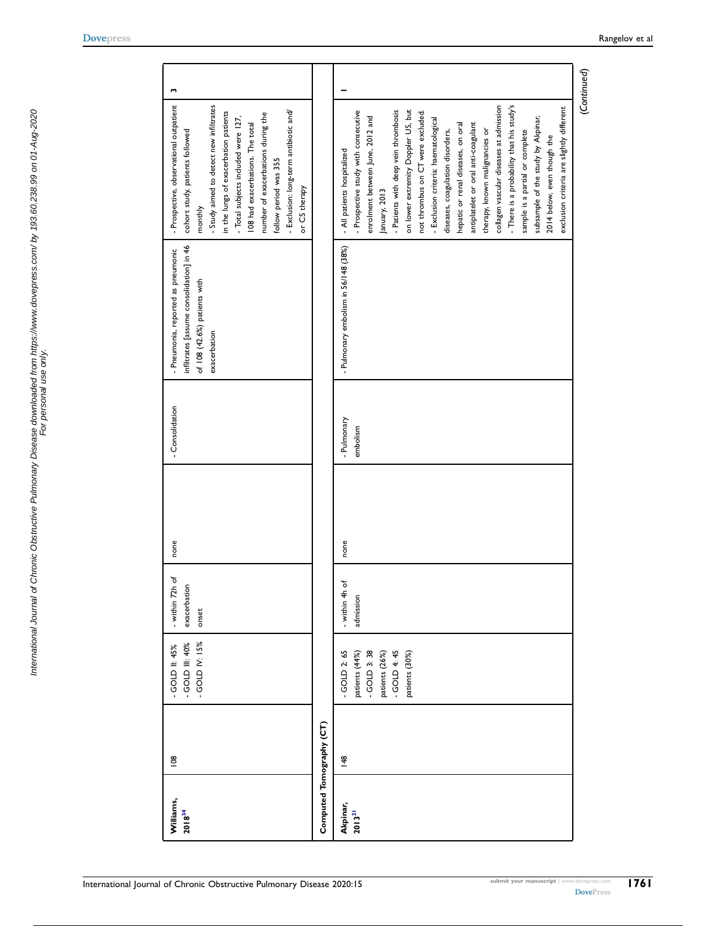<span id="page-10-1"></span><span id="page-10-0"></span>

| Williams,<br>$2018^{34}$ | $\overline{8}$ | $-$ GOLD IV: $15%$<br>- GOLD III: 40%<br>GOLD II: 45%                                                    | - within 72h of<br>exacerbation<br>onset | none | - Consolidation         | infiltrates [assume consolidation] in 46<br>- Pneumonia, reported as pneumonic<br>of 108 (42.6%) patients with<br>exacerbation | - Prospective, observational outpatient<br>- Study aimed to detect new infiltrates<br>- Exclusion: long-term antibiotic and/<br>in the lungs of exacerbation patients<br>number of exacerbations during the<br>- Total subjects included were 127,<br>108 had exacerbations. The total<br>cohort study, patients followed<br>follow period was 355<br>or CS therapy<br>monthly                                                                                                                                                                                                                                                                                                                     | w |
|--------------------------|----------------|----------------------------------------------------------------------------------------------------------|------------------------------------------|------|-------------------------|--------------------------------------------------------------------------------------------------------------------------------|----------------------------------------------------------------------------------------------------------------------------------------------------------------------------------------------------------------------------------------------------------------------------------------------------------------------------------------------------------------------------------------------------------------------------------------------------------------------------------------------------------------------------------------------------------------------------------------------------------------------------------------------------------------------------------------------------|---|
| Computed Tomography (CT) |                |                                                                                                          |                                          |      |                         |                                                                                                                                |                                                                                                                                                                                                                                                                                                                                                                                                                                                                                                                                                                                                                                                                                                    |   |
| Akpinar,<br>$2013^{21}$  | $\frac{48}{5}$ | $-$ GOLD 2: 65<br>$-$ GOLD 3: 38<br>$-$ GOLD 4: 45<br>patients (44%)<br>patients (26%)<br>patients (30%) | - within 4h of<br>admission              | none | - Pulmonary<br>embolism | - Pulmonary embolism in 56/148 (38%)                                                                                           | (Continued)<br>- There is a probability that his study's<br>collagen vascular diseases at admission<br>exclusion criteria are slightly different<br>- Patients with deep vein thrombosis<br>on lower extremity Doppler US, but<br>- Prospective study with consecutive<br>not thrombus on CT were excluded.<br>enrolment between June, 2012 and<br>subsample of the study by Akpinar,<br>- Exclusion criteria: haematological<br>antiplatelet or oral anti-coagulant<br>hepatic or renal diseases, on oral<br>therapy, known malignancies or<br>diseases, coagulation disorders,<br>sample is a partial or complete<br>2014 below, even though the<br>- All patients hospitalized<br>January, 2013 |   |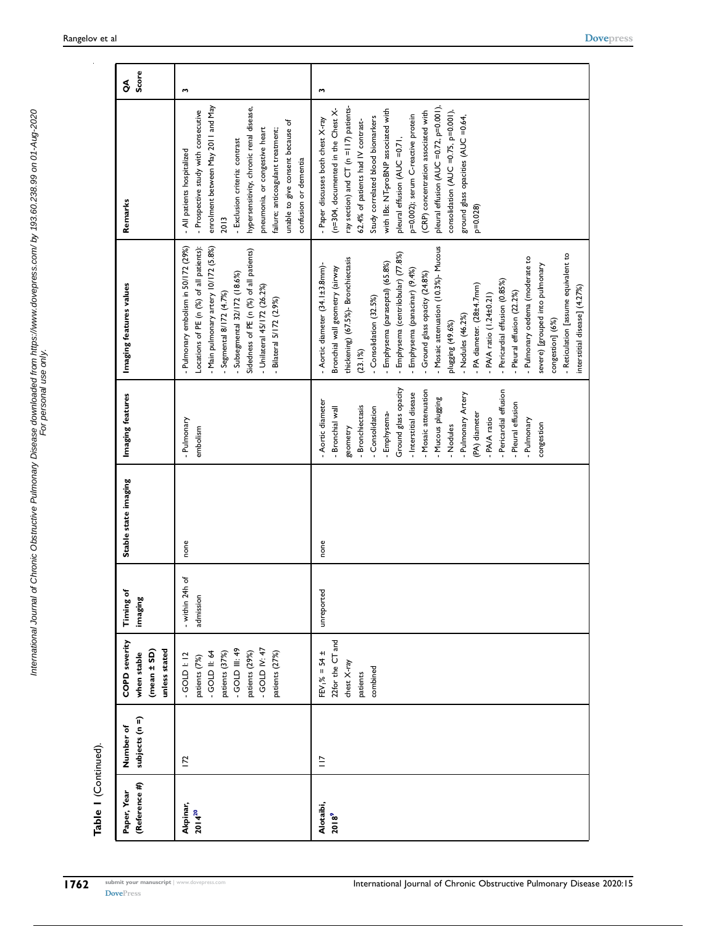| (Reference #)<br>Paper, Year   | subjects (n =)<br>Number of | <b>COPD severity</b><br>unless stated<br>(mean ± SD)<br>when stable                                                                           | Timing of<br>imaging         | Stable state imaging | Imaging features                                                                                                                                                                                                                                                                                                                                 | Imaging features values                                                                                                                                                                                                                                                                                                                                                                                                                                                                                                                                                                                                                                               | Remarks                                                                                                                                                                                                                                                                                                                                                                                                                                                                               | Score<br>$\delta$ |
|--------------------------------|-----------------------------|-----------------------------------------------------------------------------------------------------------------------------------------------|------------------------------|----------------------|--------------------------------------------------------------------------------------------------------------------------------------------------------------------------------------------------------------------------------------------------------------------------------------------------------------------------------------------------|-----------------------------------------------------------------------------------------------------------------------------------------------------------------------------------------------------------------------------------------------------------------------------------------------------------------------------------------------------------------------------------------------------------------------------------------------------------------------------------------------------------------------------------------------------------------------------------------------------------------------------------------------------------------------|---------------------------------------------------------------------------------------------------------------------------------------------------------------------------------------------------------------------------------------------------------------------------------------------------------------------------------------------------------------------------------------------------------------------------------------------------------------------------------------|-------------------|
| Akpinar,<br>$2014^{20}$        | $\overline{2}$              | GOLD IV: 47<br>GOLD III: 49<br>patients (29%)<br><b>GOLD II: 64</b><br>patients (37%)<br>patients (27%)<br>$-GOLD$ $\geq 12$<br>patients (7%) | - within 24h of<br>admission | none                 | Pulmonary<br>embolism                                                                                                                                                                                                                                                                                                                            | - Pulmonary embolism in 50/172 (29%)<br>Locations of PE (n (%) of all patients):<br>- Main pulmonary artery 10/172 (5.8%)<br>Sidedness of PE (n (%) of all patients)<br>- Subsegmental 32/172 (18.6%)<br>- Unilateral 45/172 (26.2%)<br>- Segmental 8/172 (4.7%)<br>Bilateral 5/172 (2.9%)                                                                                                                                                                                                                                                                                                                                                                            | enrolment between May 2011 and May<br>hypersensitivity, chronic renal disease,<br>- Prospective study with consecutive<br>unable to give consent because of<br>pneumonia, or congestive heart<br>failure; anticoagulant treatment;<br>- Exclusion criteria: contrast<br>- All patients hospitalized<br>confusion or dementia<br>2013                                                                                                                                                  | w                 |
| Alotaibi,<br>2018 <sup>9</sup> | $\equiv$                    | 22for the CT and<br>$EV_1\% = 54 \pm$<br>chest X-ray<br>combined<br>patients                                                                  | unreported                   | none                 | Ground glass opacity<br>Pericardial effusion<br>- Mosaic attenuation<br>- Interstitial disease<br>- Pulmonary Artery<br>- Mucous plugging<br>- Aortic diameter<br>Pleural effusion<br>- Bronchiectasis<br>- Consolidation<br>Bronchial wall<br>- Emphysema-<br>(PA) diameter<br>- PA/A ratio<br>Pulmonary<br>congestion<br>- Nodules<br>geometry | - Mosaic attenuation (10.3%)- Mucous<br>Emphysema (centrilobular) (77.8%)<br>- Reticulation [assume equivalent to<br>- Pulmonary oedema (moderate to<br>thickening) (67.5%)- Bronchiectasis<br>Emphysema (paraseptal) (65.8%)<br>- Aortic diameter (34.1±3.8mm)-<br>severe) [grouped into pulmonary<br>Bronchial wall geometry (airway<br>Emphysema (panacinar) (9.4%)<br>Ground glass opacity (24.8%)<br>- Pericardial effusion (0.85%)<br>- PA diameter. (28±4.7mm)<br>interstitial disease] (4.27%<br>- Pleural effusion (22.2%)<br>- PA/A ratio (1.24±0.21)<br>- Consolidation (32.5%)<br>- Nodules (46.2%)<br>congestion] (6%)<br>plugging (49.6%)<br>$(23.1\%)$ | pleural effusion (AUC =0.72, p=0.001),<br>ray section) and CT (n =117) patients-<br>(n=304, documented in the Chest X-<br>with IBs: NT-proBNP associated with<br>consolidation (AUC =0.75, p=0.001),<br>(CRP) concentration associated with<br>p=0.002); serum C-reactive protein<br>Study correlated blood biomarkers<br>ground glass opacities (AUC =0.64,<br>- Paper discusses both chest X-ray<br>62.4% of patients had IV contrast-<br>pleural effusion (AUC =0.71,<br>$p=0.028$ | w                 |

International Journal of Chronic Obstructive Pulmonary Disease downloaded from https://www.dovepress.com/ by 193.60.238.99 on 01-Aug-2020<br>For personal use only use only International Journal of Chronic Obstructive Pulmonary Disease downloaded from https://www.dovepress.com/ by 193.60.238.99 on 01-Aug-2020 For personal use only.

Table 1 (Continued).

Table I (Continued).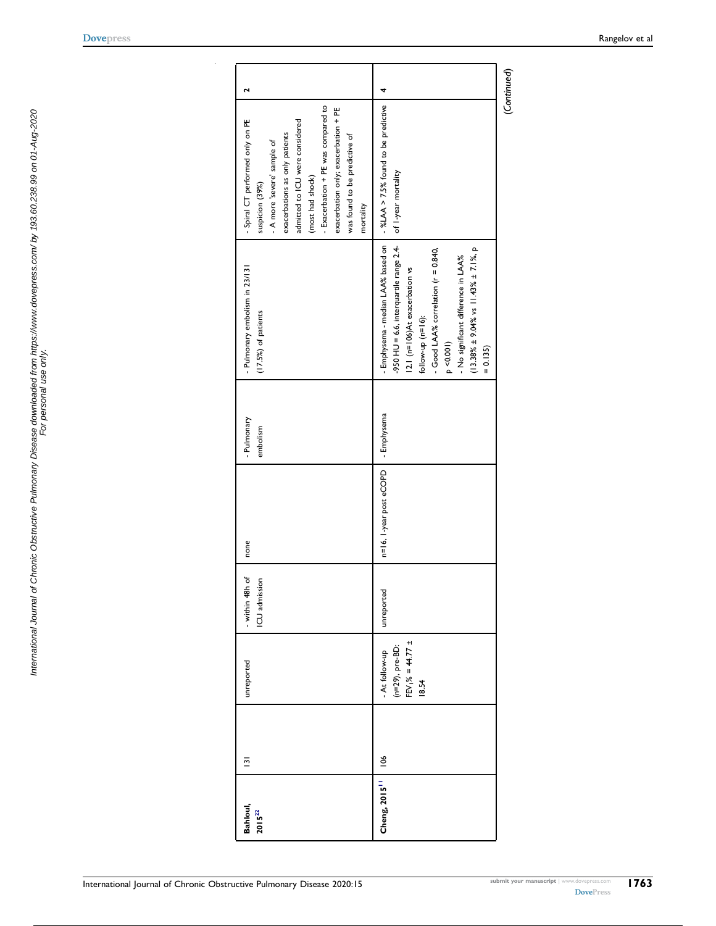<span id="page-12-1"></span><span id="page-12-0"></span>

| Bahloul,<br>$2015^{22}$   | $\overline{2}$  | unreported                                                                  | - within 48h of<br>CU admission | none                    | - Pulmonary<br>embolism | - Pulmonary embolism in 23/131<br>$(17.5%)$ of patients                                                                                                                                                                                                                                                             | - Exacerbation + PE was compared to<br>exacerbation only; exacerbation + PE<br>- Spiral CT performed only on PE<br>admitted to ICU were considered<br>exacerbations as only patients<br>was found to be predictive of<br>- A more 'severe' sample of<br>(most had shock)<br>suspicion (39%)<br>mortality | 2 |
|---------------------------|-----------------|-----------------------------------------------------------------------------|---------------------------------|-------------------------|-------------------------|---------------------------------------------------------------------------------------------------------------------------------------------------------------------------------------------------------------------------------------------------------------------------------------------------------------------|----------------------------------------------------------------------------------------------------------------------------------------------------------------------------------------------------------------------------------------------------------------------------------------------------------|---|
| Cheng, 2015 <sup>11</sup> | $\frac{106}{1}$ | $(n=29)$ , pre-BD:<br>FEV <sub>1</sub> % = 44.77 ±<br>At follow-up<br>18.54 | unreported                      | n=16, 1-year post eCOPD | - Emphysema             | - Emphysema - median LAA% based on<br>-950 HU = 6.6, interquartile range $2.4-$<br>$(13.38\% \pm 9.04\% \text{ vs } 11.43\% \pm 7.1\% \text{ p})$<br>- Good LAA% correlation (r = 0.840,<br>- No significant difference in LAA%<br>12.1 (n=106)At exacerbation vs<br>follow-up $(n=16)$ :<br>p < 0.001<br>$= 0.135$ | -%LAA > 7.5% found to be predictive<br>of I-year mortality                                                                                                                                                                                                                                               |   |

[Dovepress](http://www.dovepress.com) Rangelov et al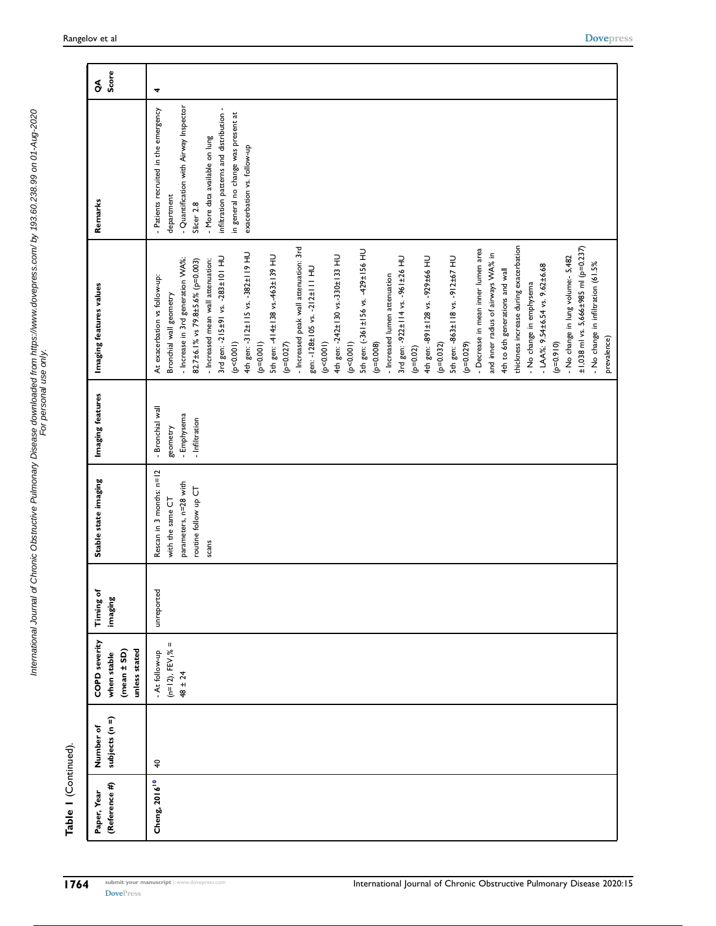| Rescan in 3 months: n=12<br>parameters, n=28 with<br>routine follow up CT<br>with the same CT<br>scans<br>unreported | - Bronchial wall<br>geometry  |                                                                                                                                                                                                                                                                                                                                                                                                                                                                                                                                                                                                                                                                                                                                                                                                                                                                                                                                                                                                                                                                                            |                                                                                                                                                                                                                                                               | Score<br>$\delta$ |
|----------------------------------------------------------------------------------------------------------------------|-------------------------------|--------------------------------------------------------------------------------------------------------------------------------------------------------------------------------------------------------------------------------------------------------------------------------------------------------------------------------------------------------------------------------------------------------------------------------------------------------------------------------------------------------------------------------------------------------------------------------------------------------------------------------------------------------------------------------------------------------------------------------------------------------------------------------------------------------------------------------------------------------------------------------------------------------------------------------------------------------------------------------------------------------------------------------------------------------------------------------------------|---------------------------------------------------------------------------------------------------------------------------------------------------------------------------------------------------------------------------------------------------------------|-------------------|
|                                                                                                                      | - Emphysema<br>- Infiltration | thickness increase during exacerbation<br>- Increased peak wall attenuation: 3rd<br>±1,038 ml vs. 5,666±985 ml (p=0.237)<br>- Decrease in mean inner lumen area<br>5th gen: (-361±156 vs. -429±156 HU<br>4th gen: -312±115 vs. -382±119 HU<br>and inner radius of airways WA% in<br>5th gen: -4   4±   38 vs.-463±   39 HU<br>4th gen: -242±130 vs.-330±133 HU<br>- No change in lung volume:- 5,482<br>3rd gen: -922±114 vs. -961±26 HU<br>3rd gen: -215±91 vs. -283±101 HU<br>5th gen: -863±118 vs. -912±67 HU<br>4th gen: -891±128 vs. -929±66 HU<br>- Increase in 3rd generation WA%:<br>82.7±6.1% vs 79.8±5.6% (p=0.003)<br>- Increased mean wall attenuation:<br>- No change in infiltration (61.5%<br>$-LAA$ %: 9.54±6.54 vs. 9.62±6.68<br>gen: -128±105 vs. -212±111 HU<br>4th to 6th generations and wall<br>- Increased lumen attenuation<br>At exacerbation vs follow-up:<br>- No change in emphysema<br>Bronchial wall geometry<br>(p<0.001)<br>(p<0.001)<br>$(p=0.910)$<br>$(p=0.001)$<br>(p < 0.001)<br>(620.079)<br>$(p=0.027)$<br>$(p=0.008)$<br>$(p=0.032)$<br>$(p=0.02)$ | - Quantification with Airway Inspector<br>- Patients recruited in the emergency<br>infiltration patterns and distribution -<br>in general no change was present at<br>- More data available on lung<br>exacerbation vs. follow-up<br>department<br>Slicer 2.8 | 4                 |
|                                                                                                                      |                               |                                                                                                                                                                                                                                                                                                                                                                                                                                                                                                                                                                                                                                                                                                                                                                                                                                                                                                                                                                                                                                                                                            | prevalence)                                                                                                                                                                                                                                                   |                   |

 $\sim$ 

Table 1 (Continued).

Table I (Continued).

International Journal of Chronic Obstructive Pulmonary Disease downloaded from https://www.dovepress.com/ by 193.60.238.99 on 01-Aug-2020 For personal use only.

International Journal of Chronic Obstructive Pulmonary Disease downloaded from https://www.dovepress.com/ by 193.60.238.99 on 01-Aug-2020<br>For personal use only use only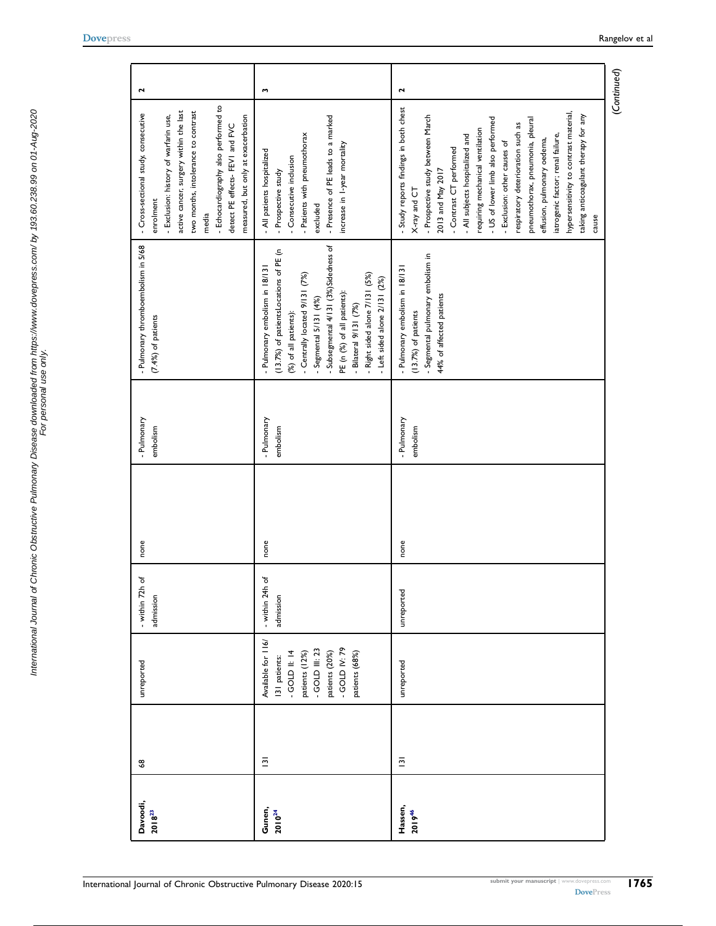<span id="page-14-1"></span><span id="page-14-0"></span>

| Davoodi,<br>$2018^{23}$ | $\pmb{\mathcal{S}}$     | unreported                                                                                                                                          | - within 72h of<br>admission | none | - Pulmonary<br>embolism | - Pulmonary thromboembolism in 5/68<br>$(7.4\%)$ of patients                                                                                                                                                                                                                                                                       | - Echocardiography also performed to<br>active cancer, surgery within the last<br>two months, intolerance to contrast<br>- Cross-sectional study, consecutive<br>- Exclusion: history of warfarin use,<br>measured, but only at exacerbation<br>detect PE effects- FEV1 and FVC<br>enrolment<br>media                                                                                                                                                                                                                           | $\mathbf{\tilde{z}}$ |
|-------------------------|-------------------------|-----------------------------------------------------------------------------------------------------------------------------------------------------|------------------------------|------|-------------------------|------------------------------------------------------------------------------------------------------------------------------------------------------------------------------------------------------------------------------------------------------------------------------------------------------------------------------------|---------------------------------------------------------------------------------------------------------------------------------------------------------------------------------------------------------------------------------------------------------------------------------------------------------------------------------------------------------------------------------------------------------------------------------------------------------------------------------------------------------------------------------|----------------------|
| Gunen,<br>$2010^{24}$   | $\overline{\mathbf{5}}$ | Available for 116/<br>$-$ GOLD IV: 79<br>$-$ GOLD III: 23<br>$-$ GOLD II: 14<br>patients (20%)<br>patients (68%)<br>patients (12%)<br>131 patients: | - within 24h of<br>admission | none | - Pulmonary<br>embolism | -Subsegmental 4/131 (3%)Sidedness of<br>(13.7%) of patientsLocations of PE (n<br>- Pulmonary embolism in 18/131<br>- Centrally located 9/131 (7%)<br>- Right sided alone 7/131 (5%)<br>- Left sided alone $2/131$ $(2%)$<br>PE (n (%) of all patients):<br>- Segmental 5/131 (4%)<br>Bilateral 9/131 (7%)<br>(%) of all patients): | - Presence of PE leads to a marked<br>- Patients with pneumothorax<br>increase in I-year mortality<br>- All patients hospitalized<br>- Consecutive inclusion<br>- Prospective study<br>excluded                                                                                                                                                                                                                                                                                                                                 | m                    |
| Hassen,<br>201946       | $\overline{131}$        | unreported                                                                                                                                          | unreported                   | none | - Pulmonary<br>embolism | - Segmental pulmonary embolism in<br>- Pulmonary embolism in 18/13<br>44% of affected patients<br>$(13.7%)$ of patients                                                                                                                                                                                                            | - Study reports findings in both chest<br>hypersensitivity to contrast material,<br>taking anticoagulant therapy for any<br>- Prospective study between March<br>- US of lower limb also performed<br>pneumothorax, pneumonia, pleural<br>respiratory deterioration such as<br>requiring mechanical ventilation<br>iatrogenic factor; renal failure,<br>- All subjects hospitalized and<br>effusion, pulmonary oedema,<br>- Exclusion: other causes of<br>- Contrast CT performed<br>2013 and May 2017<br>X-ray and CT<br>cause | $\mathbf{r}$         |

(Continued)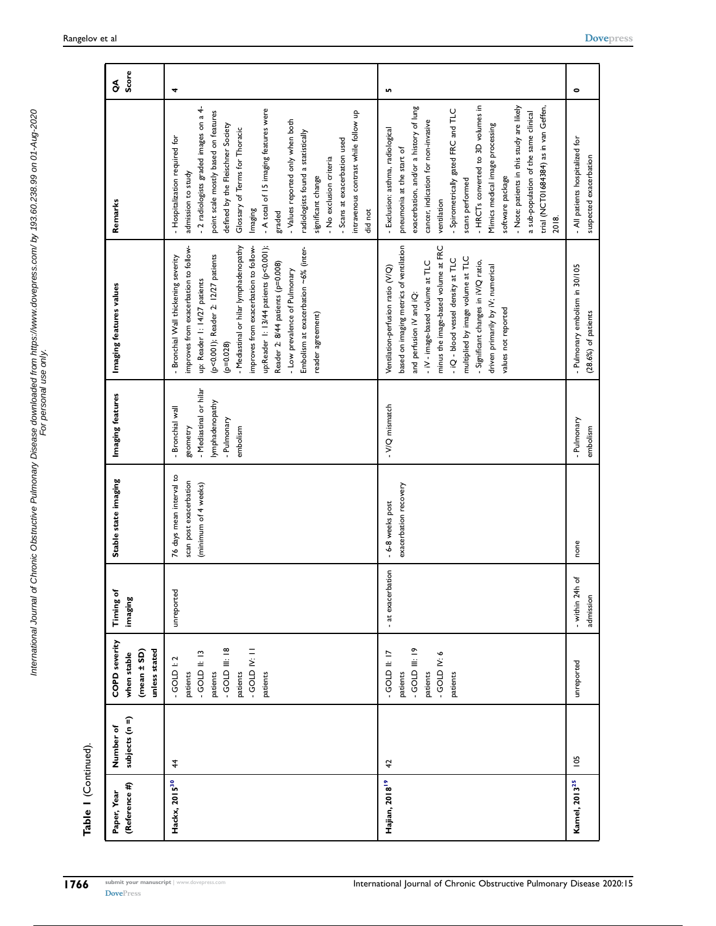| Table I (Continued).         |                             |                                                                                                                                |                                |                                                                            |                                                                                                      |                                                                                                                                                                                                                                                                                                                                                                                                                                     |                                                                                                                                                                                                                                                                                                                                                                                                                                                                                           |            |
|------------------------------|-----------------------------|--------------------------------------------------------------------------------------------------------------------------------|--------------------------------|----------------------------------------------------------------------------|------------------------------------------------------------------------------------------------------|-------------------------------------------------------------------------------------------------------------------------------------------------------------------------------------------------------------------------------------------------------------------------------------------------------------------------------------------------------------------------------------------------------------------------------------|-------------------------------------------------------------------------------------------------------------------------------------------------------------------------------------------------------------------------------------------------------------------------------------------------------------------------------------------------------------------------------------------------------------------------------------------------------------------------------------------|------------|
| (Reference #)<br>Paper, Year | subjects (n =)<br>Number of | <b>COPD</b> severity<br>unless stated<br>$(mean \pm SD)$<br>when stable                                                        | Timing of<br>imaging           | Stable state imaging                                                       | Imaging features                                                                                     | Imaging features values                                                                                                                                                                                                                                                                                                                                                                                                             | Remarks                                                                                                                                                                                                                                                                                                                                                                                                                                                                                   | Score<br>S |
| Hackx, 2015 <sup>30</sup>    | 4                           | $-$ GOLD III: 18<br><b>GOLD IV: 11</b><br>$-$ GOLD II: 13<br>$-$ GOLD $\geq 2$<br>patients<br>patients<br>patients<br>patients | unreported                     | 76 days mean interval to<br>scan post exacerbation<br>(minimum of 4 weeks) | - Mediastinal or hilar<br>lymphadenopathy<br>- Bronchial wall<br>- Pulmonary<br>embolism<br>geometry | up:Reader 1: 13/44 patients (p<0.001);<br>improves from exacerbation to follow-<br>improves from exacerbation to follow-<br>- Mediastinal or hilar lymphadenopathy<br>Embolism at exacerbation ~6% (inter-<br>(p<0.001); Reader 2: 12/27 patients<br>- Bronchial Wall thickening severity<br>Reader 2: 8/44 patients (p=0.008)<br>- Low prevalence of Pulmonary<br>up: Reader 1: 14/27 patients<br>reader agreement)<br>$(p=0.028)$ | - 2 radiologists graded images on a 4-<br>- A total of 15 imaging features were<br>point scale mostly based on features<br>intravenous contrast while follow up<br>- Values reported only when both<br>defined by the Fleischner Society<br>Glossary of Terms for Thoracic<br>radiologists found a statistically<br>- Hospitalization required for<br>- Scans at exacerbation used<br>- No exclusion criteria<br>admission to study<br>significant change<br>Imaging<br>did not<br>graded | 4          |
| Hajian, 2018 <sup>19</sup>   | $\overline{4}$              | $-$ GOLD III: 19<br>$-$ GOLD II: 17<br>$-$ GOLD IV: 6<br>patients<br>patients<br>patients                                      | - at exacerbation              | exacerbation recovery<br>- 6-8 weeks post                                  | - V/Q mismatch                                                                                       | based on imaging metrics of ventilation<br>minus the image-based volume at FRC<br>multiplied by image volume at TLC<br>- iQ - blood vessel density at TLC<br>- Significant changes in iV/Q ratio,<br>- iV - image-based volume at TLC<br>driven primarily by IV; numerical<br>Ventilation-perfusion ratio (V/Q)<br>and perfusion iV and iQ:<br>values not reported                                                                  | - HRCTs converted to 3D volumes in<br>- Note: patients in this study are likely<br>exacerbation, and/or a history of lung<br>trial (NCT01684384) as in van Geffen,<br>- Spirometrically gated FRC and TLC<br>a sub-population of the same clinical<br>cancer, indication for non-invasive<br>Mimics medical image processing<br>- Exclusion: asthma, radiological<br>pneumonia at the start of<br>software package<br>scans performed<br>ventilation<br>2018.                             | Lŋ,        |
| Kamel, 2013 <sup>25</sup>    | 105                         | unreported                                                                                                                     | ৳<br>- within 24h<br>admission | none                                                                       | - Pulmonary<br>embolism                                                                              | - Pulmonary embolism in 30/105<br>(28.6%) of patients                                                                                                                                                                                                                                                                                                                                                                               | - All patients hospitalized for<br>suspected exacerbation                                                                                                                                                                                                                                                                                                                                                                                                                                 | $\bullet$  |

 $\sim$ 

<span id="page-15-0"></span>International Journal of Chronic Obstructive Pulmonary Disease downloaded from https://www.dovepress.com/ by 193.60.238.99 on 01-Aug-2020 For personal use only.

International Journal of Chronic Obstructive Pulmonary Disease downloaded from https://www.dovepress.com/ by 193.60.238.99 on 01-Aug-2020<br>For personal use only use only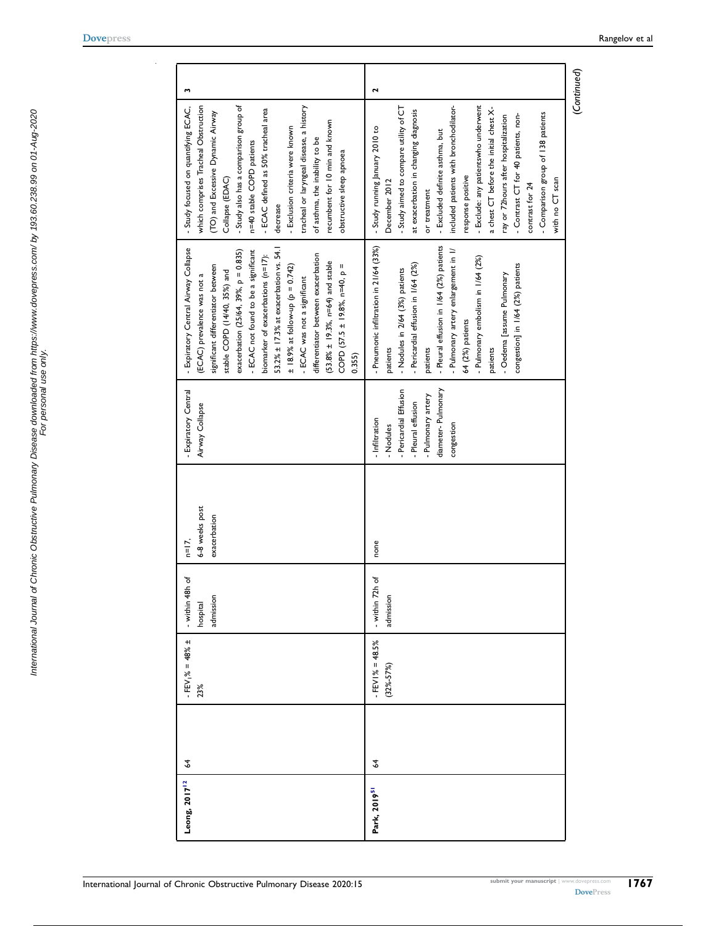<span id="page-16-0"></span> $\bar{z}$ 

| Leong, 2017 <sup>12</sup> | 2 | $-$ FEV <sub>1</sub> % = 48% ±<br>23% | - within 48h of<br>admission<br>hospital | 6-8 weeks post<br>exacerbation<br>$n=17$ , | - Expiratory Central<br>Airway Collapse                                                                                               | 53.2% ± 17.3% at exacerbation vs. 54.1<br>- Expiratory Central Airway Collapse<br>- ECAC not found to be a significant<br>exacerbation (25/64, 39%, p = 0.835)<br>differentiator between exacerbation<br>biomarker of exacerbations (n=17):<br>(53.8% ± 19.3%, n=64) and stable<br>significant differentiator between<br>COPD $(57.5 \pm 19.8\% , n=40, p=$<br>$\pm$ 18.9% at follow-up (p = 0.742)<br>stable COPD (14/40, 35%) and<br>(ECAC) prevalence was not a<br>- ECAC was not a significant<br>0.355 | w<br>- Study also has a comparison group of<br>which comprises Tracheal Obstruction<br>tracheal or laryngeal disease, a history<br>- Study focused on quantifying ECAC,<br>- ECAC defined as 50% tracheal area<br>(TO) and Excessive Dynamic Airway<br>recumbent for 10 min and known<br>- Exclusion criteria were known<br>of asthma, the inability to be<br>n=40 stable COPD patients<br>obstructive sleep apnoea<br>Collapse (EDAC)<br>decrease                                                                 |  |
|---------------------------|---|---------------------------------------|------------------------------------------|--------------------------------------------|---------------------------------------------------------------------------------------------------------------------------------------|-------------------------------------------------------------------------------------------------------------------------------------------------------------------------------------------------------------------------------------------------------------------------------------------------------------------------------------------------------------------------------------------------------------------------------------------------------------------------------------------------------------|--------------------------------------------------------------------------------------------------------------------------------------------------------------------------------------------------------------------------------------------------------------------------------------------------------------------------------------------------------------------------------------------------------------------------------------------------------------------------------------------------------------------|--|
| Park, 2019 <sup>51</sup>  | 2 | $FEVI% = 48.5%$<br>$(32\% - 57\%)$    | - within 72h of<br>admission             | none                                       | diameter-Pulmonary<br>- Pericardial Effusion<br>- Pulmonary artery<br>- Pleural effusion<br>- Infiltration<br>congestion<br>- Nodules | - Pneumonic infiltration in 21/64 (33%)<br>- Pleural effusion in 1/64 (2%) patients<br>- Pulmonary artery enlargement in 1/<br>- Pulmonary embolism in 1/64 (2%)<br>- Pericardial effusion in 1/64 (2%)<br>congestion] in 1/64 (2%) patients<br>- Nodules in 2/64 (3%) patients<br>- Oedema [assume Pulmonary<br>64 (2%) patients<br>patients<br>patients<br>patients                                                                                                                                       | $\mathbf{r}$<br>- Exclude: any patientswho underwent<br>- Study aimed to compare utility of CT<br>included patients with bronchodilator-<br>a chest CT before the initial chest X-<br>at exacerbation in changing diagnosis<br>- Comparison group of 138 patients<br>- Contrast CT for 40 patients, non-<br>ray or 72hours after hospitalization<br>- Study running January 2010 to<br>- Excluded definite asthma, but<br>response positive<br>with no CT scan<br>December 2012<br>contrast for 24<br>or treatment |  |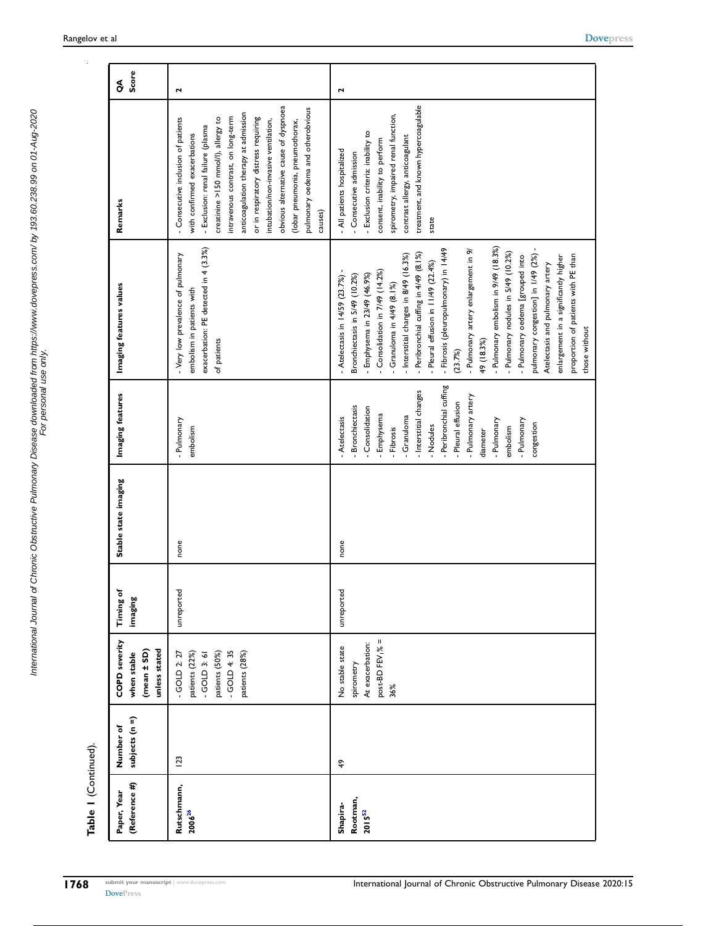| Table I (Continued)                 |                             |                                                                                                          |                      |                      |                                                                                                                                                                                                                                                                             |                                                                                                                                                                                                                                                                                                                                                                                                                                                                                                                                                                                                                                                                                            |                                                                                                                                                                                                                                                                                                                                                                                                                                            |                   |
|-------------------------------------|-----------------------------|----------------------------------------------------------------------------------------------------------|----------------------|----------------------|-----------------------------------------------------------------------------------------------------------------------------------------------------------------------------------------------------------------------------------------------------------------------------|--------------------------------------------------------------------------------------------------------------------------------------------------------------------------------------------------------------------------------------------------------------------------------------------------------------------------------------------------------------------------------------------------------------------------------------------------------------------------------------------------------------------------------------------------------------------------------------------------------------------------------------------------------------------------------------------|--------------------------------------------------------------------------------------------------------------------------------------------------------------------------------------------------------------------------------------------------------------------------------------------------------------------------------------------------------------------------------------------------------------------------------------------|-------------------|
| (Reference #)<br>Paper, Year        | subjects (n =)<br>Number of | <b>COPD</b> severity<br>unless stated<br>(mean ± SD)<br>when stable                                      | Timing of<br>imaging | Stable state imaging | Imaging features                                                                                                                                                                                                                                                            | Imaging features values                                                                                                                                                                                                                                                                                                                                                                                                                                                                                                                                                                                                                                                                    | Remarks                                                                                                                                                                                                                                                                                                                                                                                                                                    | Score<br>$\delta$ |
| Rutschmann,<br>$2006^{26}$          | 123                         | $-$ GOLD 4: 35<br>patients (28%)<br>$-$ GOLD 2: 27<br>patients (22%)<br>patients (50%)<br>$-$ GOLD 3: 61 | unreported           | none                 | - Pulmonary<br>embolism                                                                                                                                                                                                                                                     | exacerbation: PE detected in 4 (3.3%)<br>- Very low prevalence of pulmonary<br>embolism in patients with<br>of patients                                                                                                                                                                                                                                                                                                                                                                                                                                                                                                                                                                    | obvious alternative cause of dyspnoea<br>pulmonary oedema and otherobvious<br>anticoagulation therapy at admission<br>intravenous contrast, on long-term<br>or in respiratory distress requiring<br>creatinine >150 mmol/l), allergy to<br>- Consecutive inclusion of patients<br>intubation/non-invasive ventilation,<br>(lobar pneumonia, pneumothorax,<br>- Exclusion: renal failure (plasma<br>with confirmed exacerbations<br>causes) | $\mathbf{r}$      |
| Rootman,<br>Shapira-<br>$2015^{52}$ | $\frac{6}{7}$               | Ш<br>At exacerbation:<br>post-BD FEV <sub>1</sub> %<br>No stable state<br>spirometry<br>36%              | unreported           | none                 | Peribronchial cuffing<br>- Interstitial changes<br>- Pulmonary artery<br>- Pleural effusion<br><b>Bronchiectasis</b><br>Consolidation<br>Emphysema<br>Granuloma<br>Atelectasis<br>- Pulmonary<br>- Pulmonary<br>congestion<br>- Nodules<br>embolism<br>Fibrosis<br>diameter | - Pulmonary embolism in 9/49 (18.3%)<br>- Fibrosis (pleuropulmonary) in 14/49<br>- Pulmonary artery enlargement in 9/<br>- Pulmonary nodules in 5/49 (10.2%)<br>pulmonary congestion] in 1/49 (2%)<br>Peribronchial cuffing in 4/49 (8.1%)<br>- Interstitial changes in 8/49 (16.3%)<br>proportion of patients with PE than<br>enlargement in a significantly higher<br>- Pulmonary oedema [grouped into<br>Pleural effusion in 11/49 (22.4%)<br>Atelectasis and pulmonary artery<br>Consolidation in 7/49 (14.2%)<br>Emphysema in 23/49 (46.9%)<br>Bronchiectasis in 5/49 (10.2%)<br>- Atelectasis in 14/59 (23.7%)<br>Granuloma in 4/49 (8.1%)<br>those without<br>49 (18.3%)<br>(23.7%) | treatment, and known hypercoagulable<br>spirometry, impaired renal function,<br>- Exclusion criteria: inability to<br>contrast allergy, anticoagulant<br>consent, inability to perform<br>- All patients hospitalized<br>- Consecutive admission<br>state                                                                                                                                                                                  | Σ                 |

<span id="page-17-1"></span><span id="page-17-0"></span>International Journal of Chronic Obstructive Pulmonary Disease downloaded from https://www.dovepress.com/ by 193.60.238.99 on 01-Aug-2020<br>For personal use only use only International Journal of Chronic Obstructive Pulmonary Disease downloaded from https://www.dovepress.com/ by 193.60.238.99 on 01-Aug-2020 For personal use only.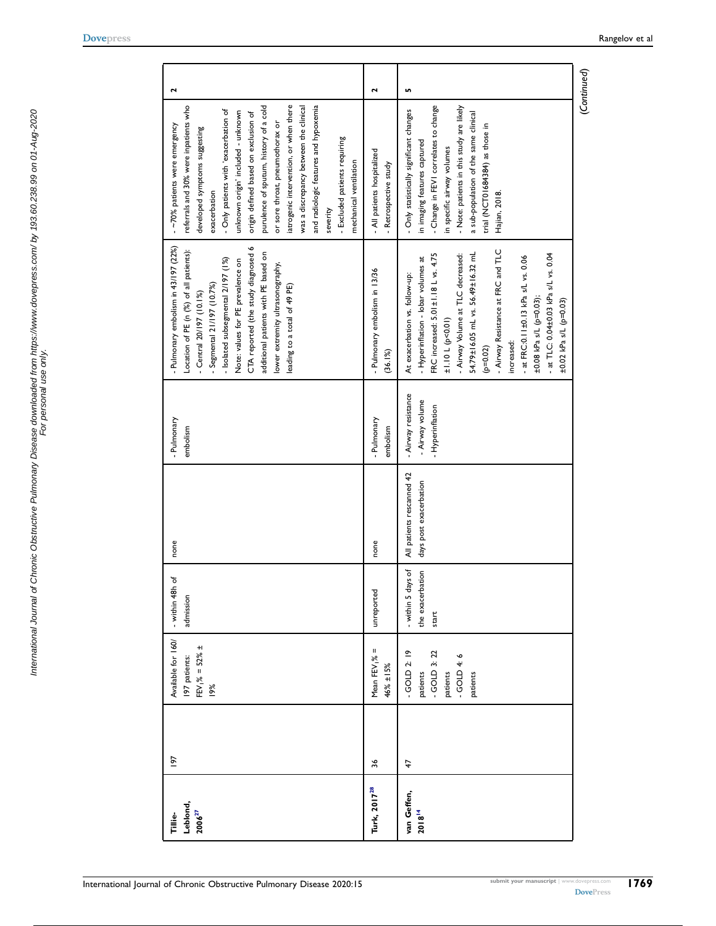<span id="page-18-0"></span>

| $\mathbf{r}$                                                                                                                                                                                                                                                                                                                                                                                                                                                                                                                    | $\mathbf{\tilde{z}}$                                 | LO,                                                                                                                                                                                                                                                                                                                                                                                                              |
|---------------------------------------------------------------------------------------------------------------------------------------------------------------------------------------------------------------------------------------------------------------------------------------------------------------------------------------------------------------------------------------------------------------------------------------------------------------------------------------------------------------------------------|------------------------------------------------------|------------------------------------------------------------------------------------------------------------------------------------------------------------------------------------------------------------------------------------------------------------------------------------------------------------------------------------------------------------------------------------------------------------------|
| iatrogenic intervention, or when there<br>and radiologic features and hypoxemia<br>referrals and 30% were inpatients who<br>purulence of sputum, history of a cold<br>was a discrepancy between the clinical<br>- Only patients with 'exacerbation of<br>unknown origin' included - unknown<br>origin defined based on exclusion of<br>or sore throat, pneumothorax or<br>-~70% patients were emergency<br>developed symptoms suggesting<br>- Excluded patients requiring<br>mechanical ventilation<br>exacerbation<br>severity | - All patients hospitalized<br>- Retrospective study | - Note: patients in this study are likely<br>- Change in FEVI correlates to change<br>- Only statistically significant changes<br>a sub-population of the same clinical<br>trial (NCT01684384) as those in<br>in imaging features captured<br>in specific airway volumes<br>Hajian, 2018.                                                                                                                        |
| - Pulmonary embolism in 43/197 (22%)<br>CTA reported (the study diagnosed 6<br>Location of PE (n (%) of all patients):<br>additional patients with PE based on<br>- Isolated subsegmental 2/197 (1%)<br>Note: values for PE prevalence on<br>lower extremity ultrasonography,<br>- Segmental 21/197 (10.7%)<br>leading to a total of 49 PE)<br>- Central 20/197 (10.1%)                                                                                                                                                         | - Pulmonary embolism in 13/36<br>(36.1%)             | - Airway Resistance at FRC and TLC<br>54.79±16.05 mL vs. 56.49±16.32 mL<br>FRC increased: 5.01±1.18 L vs. 4.75<br>- at TLC: 0.04±0.03 kPa s/L vs. 0.04<br>- Airway Volume at TLC decreased:<br>- at FRC:0.11±0.13 kPa s/L vs. 0.06<br>- Hyperinflation - lobar volumes at<br>At exacerbation vs. follow-up:<br>±0.08 kPa s/L (p=0.03);<br>±0.02 kPa s/L (p=0.03)<br>11.10 L (p<0.01)<br>increased:<br>$(p=0.02)$ |
| - Pulmonary<br>embolism                                                                                                                                                                                                                                                                                                                                                                                                                                                                                                         | - Pulmonary<br>embolism                              | - Airway resistance<br>- Airway volume<br>- Hyperinflation                                                                                                                                                                                                                                                                                                                                                       |
| none                                                                                                                                                                                                                                                                                                                                                                                                                                                                                                                            | none                                                 | All patients rescanned 42<br>days post exacerbation                                                                                                                                                                                                                                                                                                                                                              |
| - within 48h of<br>admission                                                                                                                                                                                                                                                                                                                                                                                                                                                                                                    | unreported                                           | - within 5 days of<br>the exacerbation<br>start                                                                                                                                                                                                                                                                                                                                                                  |
| Available for 160/<br>$FEV_1\% = 52\% \pm$<br>97 patients:<br>19%                                                                                                                                                                                                                                                                                                                                                                                                                                                               | Mean FEV <sub>1%</sub> =<br>46% ±15%                 | $-GOLD 2: 19$<br>$-GOLD$ 3: 22<br>GOLD 4:6<br>patients<br>patients<br>patients                                                                                                                                                                                                                                                                                                                                   |
| 197                                                                                                                                                                                                                                                                                                                                                                                                                                                                                                                             | 36                                                   | 47                                                                                                                                                                                                                                                                                                                                                                                                               |
| Leblond,<br>$2006^{27}$<br>Tillie-                                                                                                                                                                                                                                                                                                                                                                                                                                                                                              | Turk, 2017 <sup>28</sup>                             | van Geffen,<br>2018 <sup>14</sup>                                                                                                                                                                                                                                                                                                                                                                                |

<span id="page-18-1"></span>(Continued)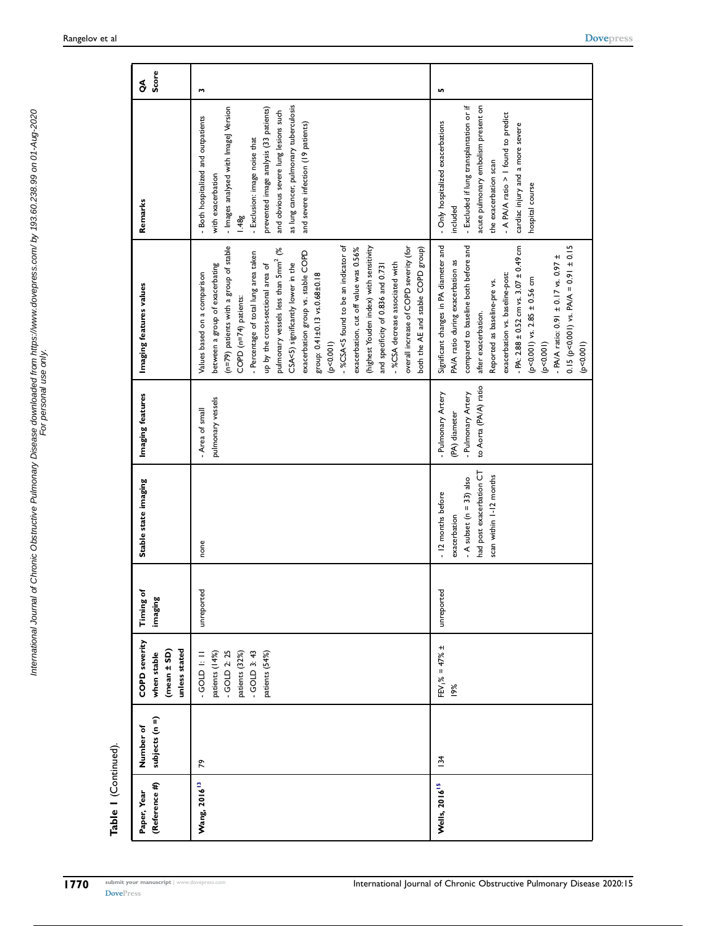| (Reference #)<br>Paper, Year    | subjects (n =)<br>Number of | COPD severity<br>unless stated<br>(mean ± SD)<br>when stable                                         | Timing of<br>imaging | Stable state imaging                                                                                                      | Imaging features                                                                   | Imaging features values                                                                                                                                                                                                                                                                                                                                                                                                                                                                                                                                                                                                                                                         | Remarks                                                                                                                                                                                                                                                                                                       | Score<br>$\delta$ |
|---------------------------------|-----------------------------|------------------------------------------------------------------------------------------------------|----------------------|---------------------------------------------------------------------------------------------------------------------------|------------------------------------------------------------------------------------|---------------------------------------------------------------------------------------------------------------------------------------------------------------------------------------------------------------------------------------------------------------------------------------------------------------------------------------------------------------------------------------------------------------------------------------------------------------------------------------------------------------------------------------------------------------------------------------------------------------------------------------------------------------------------------|---------------------------------------------------------------------------------------------------------------------------------------------------------------------------------------------------------------------------------------------------------------------------------------------------------------|-------------------|
| Wang, 2016 <sup>13</sup>        | ጽ                           | $-$ GOLD 3: 43<br>$-$ GOLD 2: 25<br>patients (54%)<br>patients (14%)<br>patients (32%)<br>$-60D + 1$ | unreported           | none                                                                                                                      | pulmonary vessels<br>- Area of small                                               | (n=79) patients with a group of stable<br>-%CSA<5 found to be an indicator of<br>overall increase of COPD severity (for<br>(highest Youden index) with sensitivity<br>exacerbation, cut off value was 0.56%<br>both the AE and stable COPD group)<br>pulmonary vessels less than 5mm <sup>2</sup> (%<br>exacerbation group vs. stable COPD<br>- Percentage of total lung area taken<br>CSA<5) significantly lower in the<br>- %CSA decrease associated with<br>between a group of exacerbating<br>up by the cross-sectional area of<br>and specificity of 0.836 and 0.731<br>Values based on a comparison<br>group: 0.41±0.13 vs.0.68±0.18<br>COPD (n=74) patients:<br>(100000) | as lung cancer, pulmonary tuberculosis<br>- Images analysed with Image] Version<br>prevented image analysis (33 patients)<br>and obvious severe lung lesions such<br>- Both hospitalized and outpatients<br>and severe infection (19 patients)<br>- Exclusion: image noise that<br>with exacerbation<br>1.48g | M                 |
| <b>Wells, 2016<sup>15</sup></b> | $\overline{3}4$             | $FEV_1\% = 47\% \pm$<br>19%                                                                          | unreported           | had post exacerbation CT<br>scan within 1-12 months<br>- A subset ( $n = 33$ ) also<br>- 12 months before<br>exacerbation | to Aorta (PA/A) ratio<br>- Pulmonary Artery<br>- Pulmonary Artery<br>(PA) diameter | Significant changes in PA diameter and<br>compared to baseline both before and<br>$0.15$ (p<0.001) vs. PA/A = 0.91 ± 0.15<br>- PA: $2.88 \pm 0.52$ cm vs. $3.07 \pm 0.49$ cm<br>- PA/A ratio: 0.91 $\pm$ 0.17 vs. 0.97 $\pm$<br>PA/A ratio during exacerbation as<br>exacerbation vs. baseline-post:<br>$(p<0.001)$ vs. 2.85 $\pm$ 0.56 cm<br>Reported as baseline-pre vs.<br>after exacerbation.<br>(p < 0.001)<br>(p<0.001)                                                                                                                                                                                                                                                   | - Excluded if lung transplantation or if<br>acute pulmonary embolism present on<br>- A PA/A ratio > I found to predict<br>- Only hospitalized exacerbations<br>cardiac injury and a more severe<br>the exacerbation scan<br>hospital course<br>included                                                       | n                 |

Table 1 (Continued). Table 1 (Continued).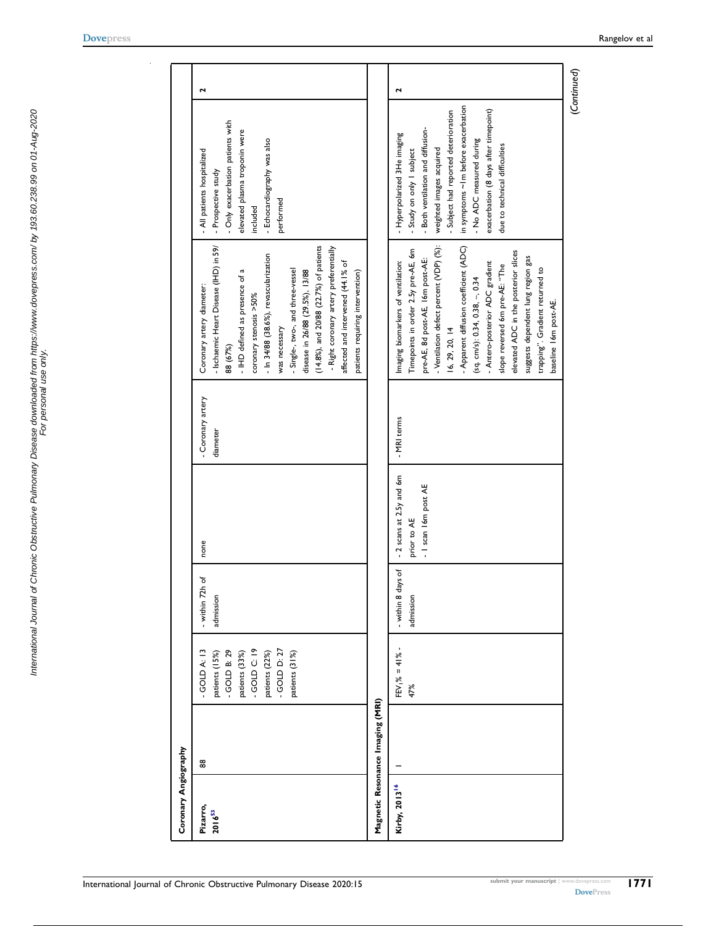<span id="page-20-0"></span>

| Coronary Angiography      |                                  |                                                                                                                                        |                                 |                                                                  |                               |                                                                                                                                                                                                                                                                                                                                                                                                                                                                        |                                                                                                                                                                                                                                                                                                                |                      |
|---------------------------|----------------------------------|----------------------------------------------------------------------------------------------------------------------------------------|---------------------------------|------------------------------------------------------------------|-------------------------------|------------------------------------------------------------------------------------------------------------------------------------------------------------------------------------------------------------------------------------------------------------------------------------------------------------------------------------------------------------------------------------------------------------------------------------------------------------------------|----------------------------------------------------------------------------------------------------------------------------------------------------------------------------------------------------------------------------------------------------------------------------------------------------------------|----------------------|
| Pizarro,<br>$2016^{53}$   | 88                               | $-$ GOLD C: 19<br>$-$ GOLD D: $27$<br>GOLD A: 13<br>GOLD B: 29<br>patients (33%)<br>patients (22%)<br>patients (31%)<br>patients (15%) | - within 72h of<br>admission    | none                                                             | - Coronary artery<br>diameter | - Ischaemic Heart Disease (IHD) in 59/<br>(14.8%), and 20/88 (22.7%) of patients<br>- Right coronary artery preferentially<br>- In 34/88 (38.6%), revascularization<br>affected and intervened (44.1% of<br>- Single-, two-, and three-vessel<br>disease in 26/88 (29.5%), 13/88<br>- IHD defined as presence of a<br>patients requiring intervention)<br>Coronary artery diameter:<br>coronary stenosis >50%<br>was necessary<br>88 (67%)                             | Only exacerbation patients with<br>elevated plasma troponin were<br>- Echocardiography was also<br>- All patients hospitalized<br>- Prospective study<br>performed<br>included                                                                                                                                 | 2                    |
|                           | Magnetic Resonance Imaging (MRI) |                                                                                                                                        |                                 |                                                                  |                               |                                                                                                                                                                                                                                                                                                                                                                                                                                                                        |                                                                                                                                                                                                                                                                                                                |                      |
| Kirby, 2013 <sup>16</sup> |                                  | $EV_1\% = 41\%$ -<br>47%                                                                                                               | - within 8 days of<br>admission | - 2 scans at 2.5y and 6m<br>- I scan I 6m post AE<br>prior to AE | - MRI terms                   | - Ventilation defect percent (VDP) (%):<br>- Apparent diffusion coefficient (ADC)<br>Timepoints in order 2.5y pre-AE, 6m<br>elevated ADC in the posterior slices<br>suggests dependent lung region gas<br>pre-AE, 8d post-AE, 16m post-AE:<br>Imaging biomarkers of ventilation:<br>- Antero-posterior ADC gradient<br>slope reversed 6m pre-AE: "The<br>trapping". Gradient returned to<br>(sq. cm/s): 0.34, 0.38, -, 0.34<br>baseline I6m post-AE.<br>16, 29, 20, 14 | in symptoms ~ Im before exacerbation<br>exacerbation (8 days after timepoint)<br>- Subject had reported deterioration<br>Both ventilation and diffusion-<br>- Hyperpolarized 3He imaging<br>- No ADC measured during<br>due to technical difficulties<br>weighted images acquired<br>- Study on only I subject | $\mathbf{\tilde{z}}$ |
|                           |                                  |                                                                                                                                        |                                 |                                                                  |                               |                                                                                                                                                                                                                                                                                                                                                                                                                                                                        |                                                                                                                                                                                                                                                                                                                | (Continued)          |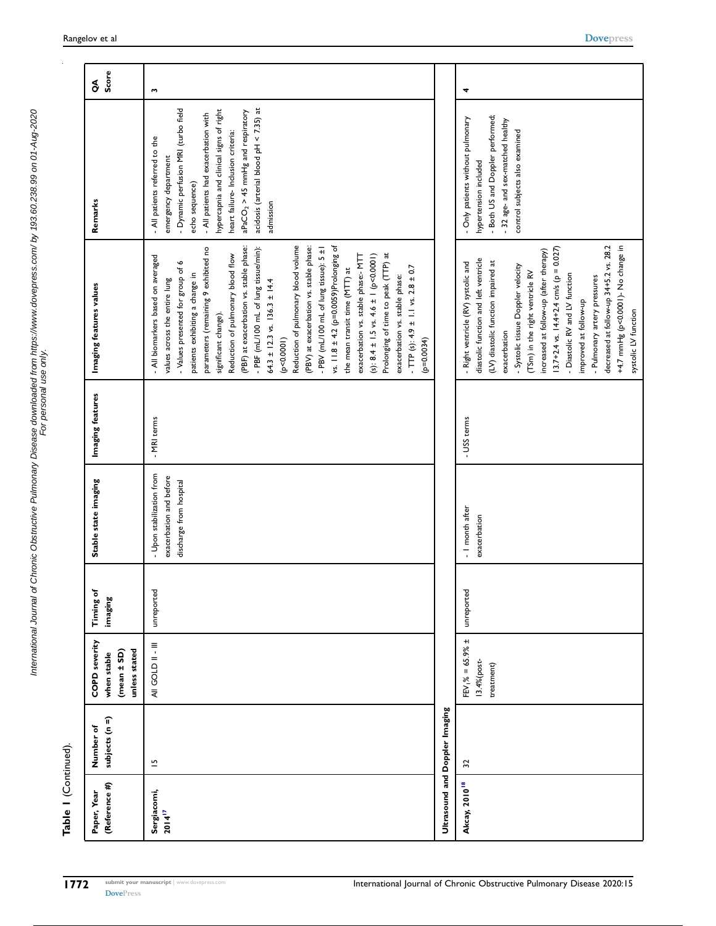| ı<br>֚֬֕                          |                                                                                           |
|-----------------------------------|-------------------------------------------------------------------------------------------|
| 2<br>I<br>5<br>l<br>ś<br>$\vdots$ | ֦֧֧֧֧֛֛֛֛֛֛֛֛֛֛֛֛֛֛֛֛֛֛֛֖ׅ֧֧֝֓֝֓֝֬֝֓֝֬֝֬֝֓֝֬֝֬֝֓֝֬֝֬֝֓֝֬֝֟֓֟֓֟֓֝֬֝֟֓֝֬֜֜֓֜֓֜֓֜֓֜֓֓֟֓<br>Į |

Table 1 (Continued). Table 1 (Continued).

| (Reference #)<br>Paper, Year | subjects (n =)<br>Number of    | COPD severity<br>unless stated<br>(mean ± SD)<br>when stable | Timing of<br>imaging | Stable state imaging                                                            | Imaging features | Imaging features values                                                                                                                                                                                                                                                                                                                                                                                                                                                                                                                                                                                                                                                                                                                                                                                                      | Remarks                                                                                                                                                                                                                                                                                                                                | Score<br>$\rm _{\odot}^{\rm g}$ |
|------------------------------|--------------------------------|--------------------------------------------------------------|----------------------|---------------------------------------------------------------------------------|------------------|------------------------------------------------------------------------------------------------------------------------------------------------------------------------------------------------------------------------------------------------------------------------------------------------------------------------------------------------------------------------------------------------------------------------------------------------------------------------------------------------------------------------------------------------------------------------------------------------------------------------------------------------------------------------------------------------------------------------------------------------------------------------------------------------------------------------------|----------------------------------------------------------------------------------------------------------------------------------------------------------------------------------------------------------------------------------------------------------------------------------------------------------------------------------------|---------------------------------|
| Sergiacomi,<br>$2014^{17}$   | $\overline{u}$                 | AII GOLD II-III                                              | unreported           | - Upon stabilization from<br>exacerbation and before<br>discharge from hospital | - MRI terms      | Reduction of pulmonary blood volume<br>vs. $11.8 \pm 4.2$ (p=0.0059)Prolonging of<br>(PBV) at exacerbation vs. stable phase:<br>- PBV (mL/100 mL of lung tissue): 5 ±1<br>parameters (remaining 9 exhibited no<br>(PBF) at exacerbation vs. stable phase:<br>- PBF (mL/100 mL of lung tissue/min):<br>Prolonging of time to peak (TTP) at<br>exacerbation vs. stable phase:- MTT<br>(s): $8.4 \pm 1.5$ vs. $4.6 \pm 1$ (p<0.0001)<br>Reduction of pulmonary blood flow<br>- All biomarkers based on averaged<br>o<br>$-$ TTP (s): 4.9 ± 1.1 vs. 2.8 ± 0.7<br>- Values presented for group of<br>the mean transit time (MTT) at<br>patients exhibiting a change in<br>exacerbation vs. stable phase:<br>values across the entire lung<br>64.3 ± 12.3 vs. 136.3 ± 14.4<br>significant change).<br>(p < 0.0001)<br>$(p=0.0034)$ | acidosis (arterial blood pH < 7.35) at<br>- Dynamic perfusion MRI (turbo field<br>hypercapnia and clinical signs of right<br>$aPaCO2 > 45$ mmHg and respiratory<br>- All patients had exacerbation with<br>heart failure- Inclusion criteria:<br>- All patients referred to the<br>emergency department<br>echo sequence)<br>admission | w                               |
|                              | Ultrasound and Doppler Imaging |                                                              |                      |                                                                                 |                  |                                                                                                                                                                                                                                                                                                                                                                                                                                                                                                                                                                                                                                                                                                                                                                                                                              |                                                                                                                                                                                                                                                                                                                                        |                                 |
| Akcay, 2010 <sup>18</sup>    | 32                             | $FEV_1\% = 65.9\% \pm$<br>13.4%(post-<br>treatment)          | unreported           | - I month after<br>exacerbation                                                 | - USS terms      | decreased at follow-up 34+5.2 vs. 28.2<br>+4.7 mmHg (p<0.0001)- No change in<br>$13.7 + 2.4$ vs. $14.4 + 2.4$ cm/s (p = 0.027)<br>increased at follow-up (after therapy)<br>diastolic function and left ventricle<br>(LV) diastolic function impaired at<br>- Right ventricle (RV) systolic and<br>- Systolic tissue Doppler velocity<br>(TSm) in the right ventricle RV<br>- Diastolic RV and LV function<br>- Pulmonary artery pressures<br>improved at follow-up<br>systolic LV function<br>exacerbation                                                                                                                                                                                                                                                                                                                  | - Both US and Doppler performed;<br>- Only patients without pulmonary<br>- 32 age- and sex-matched healthy<br>control subjects also examined<br>hypertension included                                                                                                                                                                  | 4                               |

[DovePress](http://www.dovepress.com)

submit your manuscript | www.dovepress.com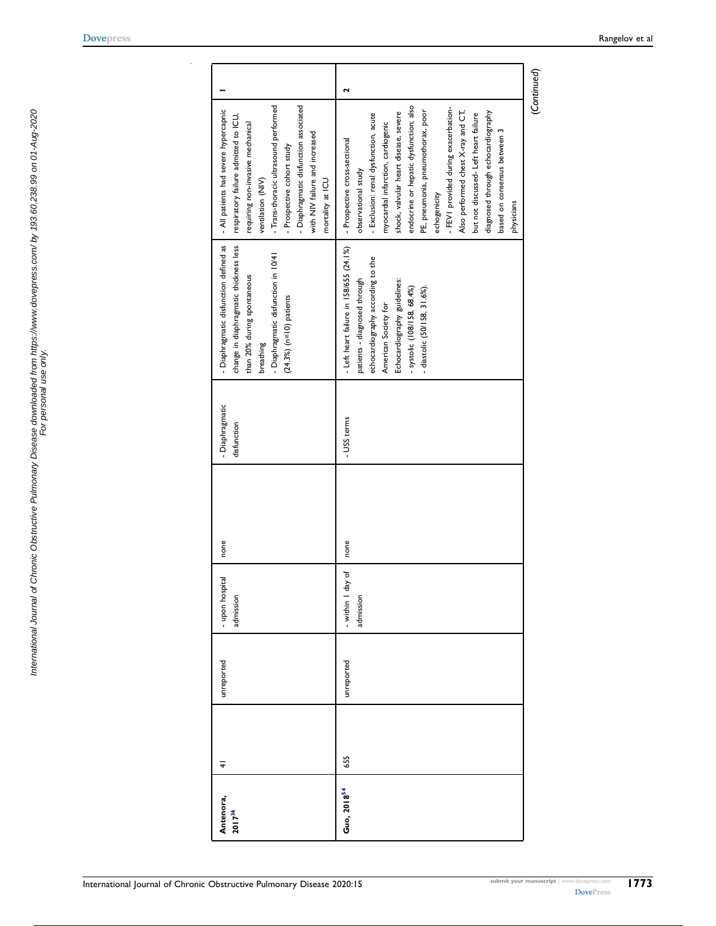<span id="page-22-1"></span>

| Antenora,               | $\overline{+}$ | unreported | - upon hospital   | none | - Diaphragmatic | - Diaphragmatic disfunction defined as  | - All patients had severe hypercapnic  |   |
|-------------------------|----------------|------------|-------------------|------|-----------------|-----------------------------------------|----------------------------------------|---|
| 2017 <sup>36</sup>      |                |            | admission         |      | disfunction     | change in diaphragmatic thickness less  | respiratory failure admitted to ICU,   |   |
|                         |                |            |                   |      |                 | than 20% during spontaneous             | requiring non-invasive mechanical      |   |
|                         |                |            |                   |      |                 | breathing                               | ventilation (NIV)                      |   |
|                         |                |            |                   |      |                 | - Diaphragmatic disfunction in 10/41    | - Trans-thoracic ultrasound performed  |   |
|                         |                |            |                   |      |                 | $(24.3\%)$ (n=10) patients              | - Prospective cohort study             |   |
|                         |                |            |                   |      |                 |                                         | - Diaphragmatic disfunction associated |   |
|                         |                |            |                   |      |                 |                                         | with NIV failure and increased         |   |
|                         |                |            |                   |      |                 |                                         | mortality at ICU                       |   |
| Guo, 2018 <sup>54</sup> | 655            | unreported | - within I day of | none | - USS terms     | - Left heart failure in 158/655 (24.1%) | - Prospective cross-sectional          | 2 |
|                         |                |            | admission         |      |                 | patients - diagnosed through            | observational study                    |   |
|                         |                |            |                   |      |                 | echocardiography according to the       | - Exclusion: renal dysfunction, acute  |   |
|                         |                |            |                   |      |                 | American Society for                    | myocardial infarction, cardiogenic     |   |
|                         |                |            |                   |      |                 | Echocardiography guidelines:            | shock, valvular heart disease, severe  |   |
|                         |                |            |                   |      |                 | - systolic (108/158, 68.4%)             | endocrine or hepatic dysfunction; also |   |
|                         |                |            |                   |      |                 | - diastolic (50/158, 31.6%).            | PE, pneumonia, pneumothorax, poor      |   |
|                         |                |            |                   |      |                 |                                         | echogenicity                           |   |
|                         |                |            |                   |      |                 |                                         | - FEVI provided during exacerbation-   |   |
|                         |                |            |                   |      |                 |                                         | Also performed chest X-ray and CT,     |   |
|                         |                |            |                   |      |                 |                                         | but not discussed- Left heart failure  |   |
|                         |                |            |                   |      |                 |                                         | diagnosed through echocardiography     |   |
|                         |                |            |                   |      |                 |                                         | based on consensus between 3           |   |
|                         |                |            |                   |      |                 |                                         | physicians                             |   |

[Dovepress](http://www.dovepress.com) Rangelov et al

<span id="page-22-0"></span>International Journal of Chronic Obstructive Pulmonary Disease downloaded from https://www.dovepress.com/ by 193.60.238.99 on 01-Aug-2020<br>For personal use only. International Journal of Chronic Obstructive Pulmonary Disease downloaded from https://www.dovepress.com/ by 193.60.238.99 on 01-Aug-2020 For personal use only.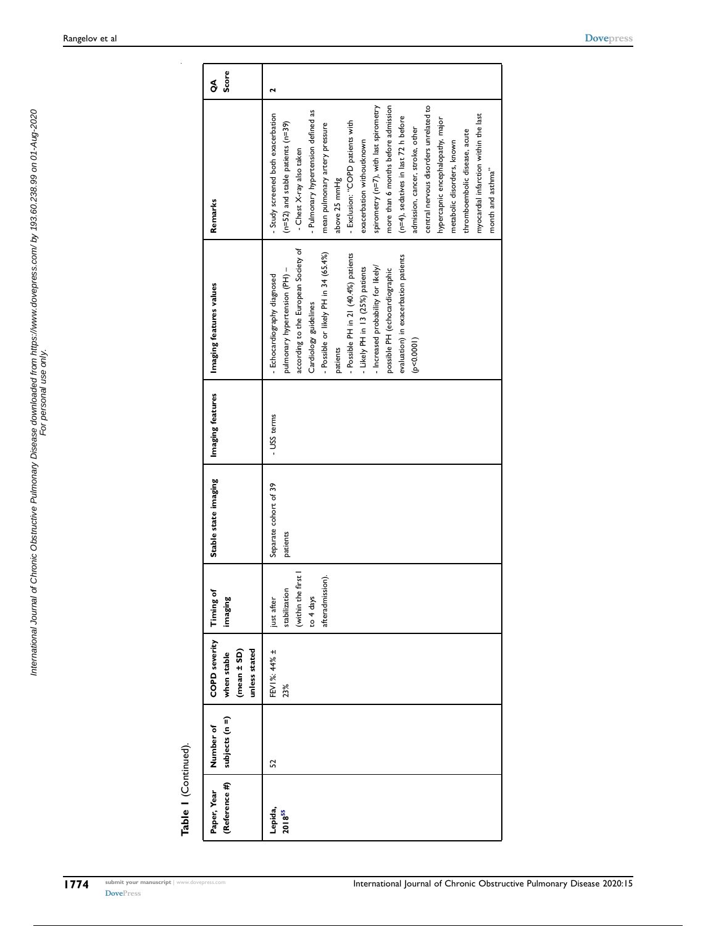<span id="page-23-0"></span>International Journal of Chronic Obstructive Pulmonary Disease downloaded from https://www.dovepress.com/ by 193.60.238.99 on 01-Aug-2020 For personal use only.

International Journal of Chronic Obstructive Pulmonary Disease downloaded from https://www.dovepress.com/ by 193.60.238.99 on 01-Aug-2020<br>For personal use only use only

| (Reference #)<br>Paper, Year | subjects (n =)<br>Number of | <b>COPD severity</b><br>unless stated<br>$(mean \pm SD)$<br>when stable | Timing of<br>imaging                                                              | Stable state imaging              | Imaging features | Imaging features values                                                                                                                                                                                                                                                                                                                                                                          | Remarks                                                                                                                                                                                                                                                                                                                                                                                                                                                                                                                                                                                                                             | Score<br>g |
|------------------------------|-----------------------------|-------------------------------------------------------------------------|-----------------------------------------------------------------------------------|-----------------------------------|------------------|--------------------------------------------------------------------------------------------------------------------------------------------------------------------------------------------------------------------------------------------------------------------------------------------------------------------------------------------------------------------------------------------------|-------------------------------------------------------------------------------------------------------------------------------------------------------------------------------------------------------------------------------------------------------------------------------------------------------------------------------------------------------------------------------------------------------------------------------------------------------------------------------------------------------------------------------------------------------------------------------------------------------------------------------------|------------|
| Lepida,<br>$2018^{55}$       | S                           | FEV1%: 44% ±<br>23%                                                     | (within the first<br>afteradmission).<br>stabilization<br>to 4 days<br>just after | Separate cohort of 39<br>patients | - USS terms      | according to the European Society of<br>- Possible or likely PH in 34 (65.4%)<br>- Possible PH in 21 (40.4%) patients<br>evaluation) in exacerbation patients<br>- Increased probability for likely/<br>- Likely PH in 13 (25%) patients<br>pulmonary hypertension (PH) -<br>possible PH (echocardiographic<br>- Echocardiography diagnosed<br>Cardiology guidelines<br>(p < 0.0001)<br>patients | spirometry (n=7), with last spirometry<br>more than 6 months before admission<br>central nervous disorders unrelated to<br>Pulmonary hypertension defined as<br>Study screened both exacerbation<br>myocardial infarction within the last<br>(n=4), sedatives in last 72 h before<br>hypercapnic encephalopathy, major<br>- Exclusion: "COPD patients with<br>(n=52) and stable patients (n=39)<br>mean pulmonary artery pressure<br>admission, cancer, stroke, other<br>thromboembolic disease, acute<br>exacerbation withoutknown<br>metabolic disorders, known<br>- Chest X-ray also taken<br>month and asthma"<br>above 25 mmHg |            |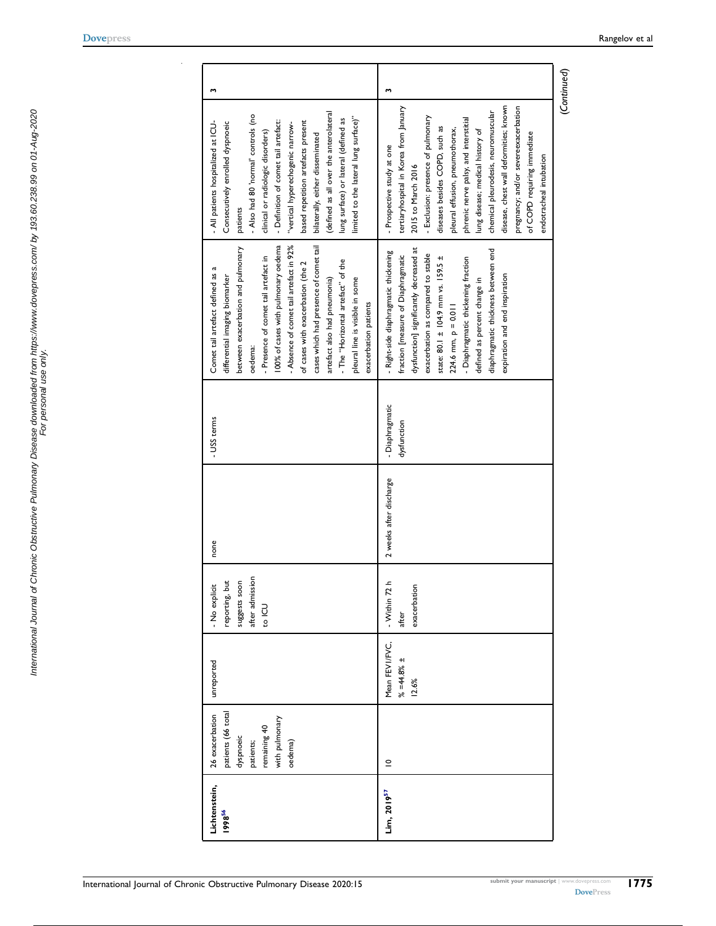<span id="page-24-0"></span>International Journal of Chronic Obstructive Pulmonary Disease downloaded from https://www.dovepress.com/ by 193.60.238.99 on 01-Aug-2020<br>For personal use only. International Journal of Chronic Obstructive Pulmonary Disease downloaded from https://www.dovepress.com/ by 193.60.238.99 on 01-Aug-2020 For personal use only.

<span id="page-24-1"></span>

| Lichtenstein,           | 26 exacerbation    | unreported      | - No explicit   | none                    | - USS terms     | Comet tail artefact defined as a        | m<br>- All patients hospitalized at ICU- |  |
|-------------------------|--------------------|-----------------|-----------------|-------------------------|-----------------|-----------------------------------------|------------------------------------------|--|
| 199856                  | patients (66 total |                 | reporting, but  |                         |                 | differential imaging biomarker          | Consecutively enrolled dyspnoeic         |  |
|                         | dyspnoeic          |                 | suggests soon   |                         |                 | between exacerbation and pulmonary      | patients                                 |  |
|                         | patients;          |                 | after admissior |                         |                 | oedema:                                 | - Also had 80 'normal' controls (no      |  |
|                         | remaining 40       |                 | <b>CU</b>       |                         |                 | - Presence of comet tail artefact in    | clinical or radiologic disorders)        |  |
|                         | with pulmonary     |                 |                 |                         |                 | 100% of cases with pulmonary oedema     | - Definition of comet tail artefact:     |  |
|                         | oedema)            |                 |                 |                         |                 | - Absence of comet tail artefact in 92% | "vertical hyperechogenic narrow-         |  |
|                         |                    |                 |                 |                         |                 | of cases with exacerbation (the 2       | based repetition artefacts present       |  |
|                         |                    |                 |                 |                         |                 | cases which had presence of comet tail  | bilaterally, either disseminated         |  |
|                         |                    |                 |                 |                         |                 | artefact also had pneumonia)            | (defined as all over the anterolateral   |  |
|                         |                    |                 |                 |                         |                 | - The "Horizontal artefact" of the      | lung surface) or lateral (defined as     |  |
|                         |                    |                 |                 |                         |                 | pleural line is visible in some         | limited to the lateral lung surface)"    |  |
|                         |                    |                 |                 |                         |                 | exacerbation patients                   |                                          |  |
| Lim, 2019 <sup>57</sup> | $\subseteq$        | Mean FEVI/FVC,  | - Within 72 h   | 2 weeks after discharge | - Diaphragmatic | - Right-side diaphragmatic thickening   | m<br>- Prospective study at one          |  |
|                         |                    | $% = 44.8% \pm$ | after           |                         | dysfunction     | fraction [measure of Diaphragmatic      | tertiaryhospital in Korea from January   |  |
|                         |                    | 12.6%           | exacerbation    |                         |                 | dysfunction] significantly decreased at | 2015 to March 2016                       |  |
|                         |                    |                 |                 |                         |                 | exacerbation as compared to stable      | - Exclusion: presence of pulmonary       |  |
|                         |                    |                 |                 |                         |                 | state: 80.1 ± 104.9 mm vs. 159.5 ±      | diseases besides COPD, such as           |  |
|                         |                    |                 |                 |                         |                 | $224.6$ mm, $p = 0.011$                 | pleural effusion, pneumothorax,          |  |
|                         |                    |                 |                 |                         |                 | - Diaphragmatic thickening fraction     | phrenic nerve palsy, and interstitial    |  |
|                         |                    |                 |                 |                         |                 | defined as percent change in            | lung disease; medical history of         |  |
|                         |                    |                 |                 |                         |                 | diaphragmatic thickness between end     | chemical pleurodesis, neuromuscular      |  |
|                         |                    |                 |                 |                         |                 | expiration and end inspiration          | disease, chest wall deformities; known   |  |
|                         |                    |                 |                 |                         |                 |                                         | pregnancy; and/or severeexacerbation     |  |
|                         |                    |                 |                 |                         |                 |                                         | of COPD requiring immediate              |  |
|                         |                    |                 |                 |                         |                 |                                         | endotracheal intubation                  |  |
|                         |                    |                 |                 |                         |                 |                                         | (Continued)                              |  |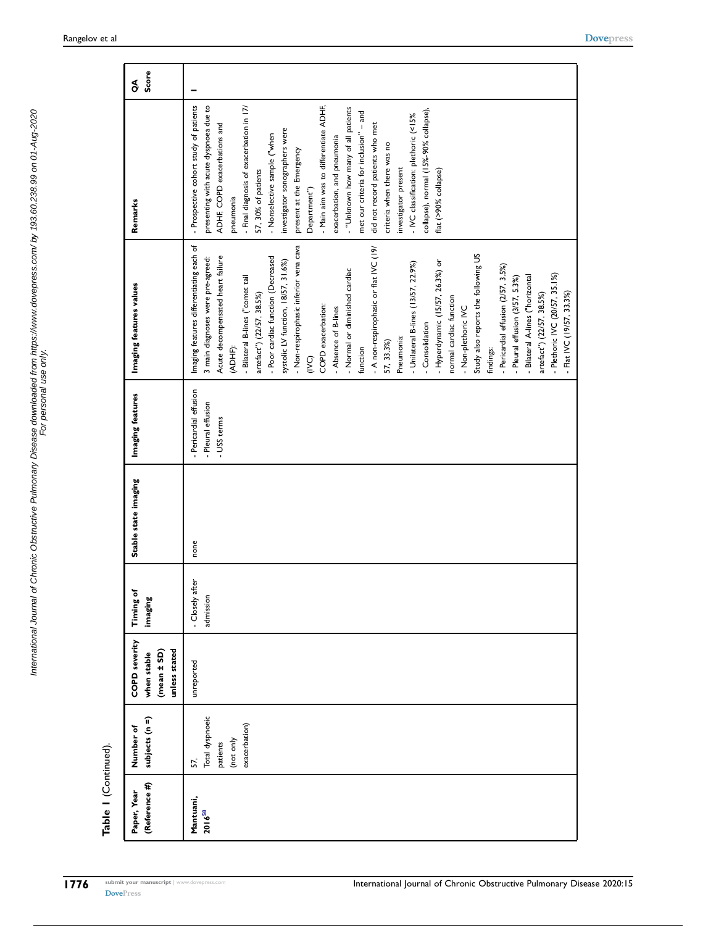| (Reference #)<br>Paper, Year | subjects (n =)<br>Number of | <b>COPD</b> severity<br>when stable | Timing of<br>imaging | Stable state imaging | Imaging features       | Imaging features values                  | Remarks                                  | Score<br>$\delta$ |
|------------------------------|-----------------------------|-------------------------------------|----------------------|----------------------|------------------------|------------------------------------------|------------------------------------------|-------------------|
|                              |                             | unless stated<br>(mean ± SD)        |                      |                      |                        |                                          |                                          |                   |
| Mantuani,                    | 57,                         | unreported                          | - Closely after      | none                 | - Pericardial effusion | Imaging features differentiating each of | - Prospective cohort study of patients   |                   |
| $2016^{58}$                  | Total dyspnoeic             |                                     | admission            |                      | Pleural effusion       | 3 main diagnoses were pre-agreed:        | presenting with acute dyspnoea due to    |                   |
|                              | patients                    |                                     |                      |                      | - USS terms            | Acute decompensated heart failure        | ADHF, COPD exacerbations and             |                   |
|                              | (not only                   |                                     |                      |                      |                        | (ADHF)                                   | pneumonia                                |                   |
|                              | exacerbation)               |                                     |                      |                      |                        | - Bilateral B-lines ("comet tail         | - Final diagnosis of exacerbation in 17/ |                   |
|                              |                             |                                     |                      |                      |                        | artefact") (22/57, 38.5%)                | 57, 30% of patients                      |                   |
|                              |                             |                                     |                      |                      |                        | - Poor cardiac function (Decreased       | - Nonselective sample ("when             |                   |
|                              |                             |                                     |                      |                      |                        | systolic LV function, 18/57, 31.6%)      | investigator sonographers were           |                   |
|                              |                             |                                     |                      |                      |                        | - Non-respirophasic inferior vena cava   | present at the Emergency                 |                   |
|                              |                             |                                     |                      |                      |                        | (IVC)                                    | Department")                             |                   |
|                              |                             |                                     |                      |                      |                        | COPD exacerbation:                       | - Main aim was to differentiate ADHF,    |                   |
|                              |                             |                                     |                      |                      |                        | - Absence of B-lines                     | exacerbation, and pneumonia              |                   |
|                              |                             |                                     |                      |                      |                        | - Normal or diminished cardiac           | - "Unknown how many of all patients      |                   |
|                              |                             |                                     |                      |                      |                        | function                                 | met our criteria for inclusion" - and    |                   |
|                              |                             |                                     |                      |                      |                        | - A non-respirophasic or flat IVC (19/   | did not record patients who met          |                   |
|                              |                             |                                     |                      |                      |                        | 57, 33.3%)                               | criteria when there was no               |                   |
|                              |                             |                                     |                      |                      |                        | Pneumonia:                               | investigator present                     |                   |
|                              |                             |                                     |                      |                      |                        | - Unilateral B-lines (13/57, 22.9%)      | - IVC classification: plethoric (<15%    |                   |
|                              |                             |                                     |                      |                      |                        | Consolidation                            | collapse), normal (15%-90% collapse)     |                   |
|                              |                             |                                     |                      |                      |                        | - Hyperdynamic (15/57, 26.3%) or         | flat (>90% collapse)                     |                   |
|                              |                             |                                     |                      |                      |                        | normal cardiac function                  |                                          |                   |
|                              |                             |                                     |                      |                      |                        | - Non-plethoric IVC                      |                                          |                   |
|                              |                             |                                     |                      |                      |                        | Study also reports the following US      |                                          |                   |
|                              |                             |                                     |                      |                      |                        | findings:                                |                                          |                   |
|                              |                             |                                     |                      |                      |                        | - Pericardial effusion (2/57, 3.5%)      |                                          |                   |
|                              |                             |                                     |                      |                      |                        | - Pleural effusion (3/57, 5.3%)          |                                          |                   |
|                              |                             |                                     |                      |                      |                        | - Bilateral A-lines ("horizontal         |                                          |                   |
|                              |                             |                                     |                      |                      |                        | artefact") (22/57, 38.5%)                |                                          |                   |
|                              |                             |                                     |                      |                      |                        | - Plethoric IVC (20/57, 35.1%)           |                                          |                   |
|                              |                             |                                     |                      |                      |                        | - Flat IVC (19/57, 33.3%)                |                                          |                   |

 $\sim$ 

<span id="page-25-0"></span>Table I (Continued). Table 1 (Continued).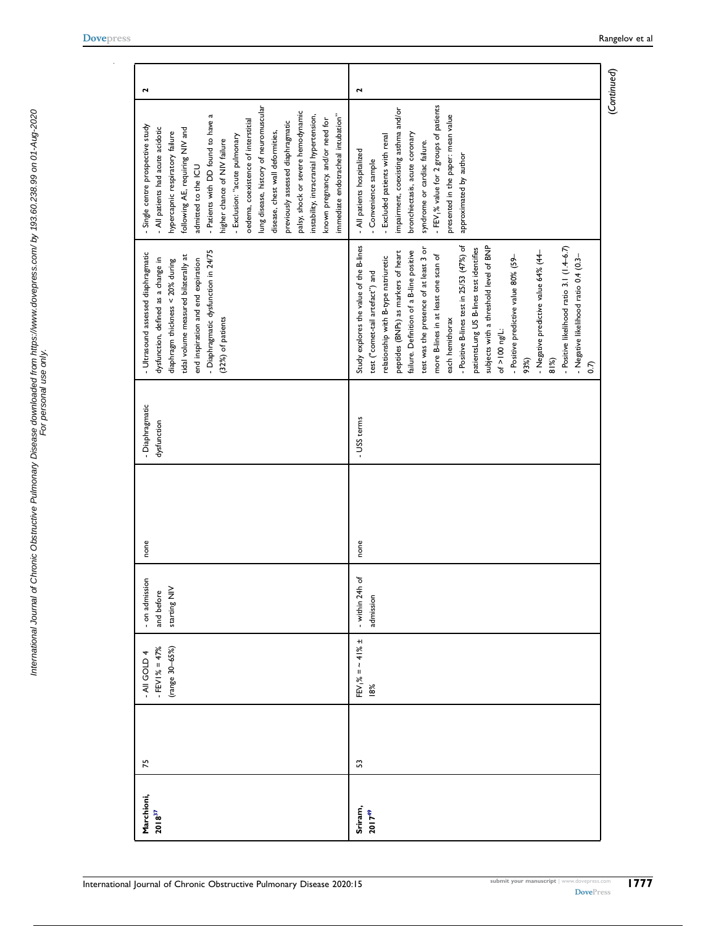$\sim$ 

| Marchioni,  | 75 | - All GOLD 4          | - on admission    | none | - Diaphragmatic | - Ultrasound assessed diaphragmatic       | - Single centre prospective study                   | 2            |
|-------------|----|-----------------------|-------------------|------|-----------------|-------------------------------------------|-----------------------------------------------------|--------------|
| $2018^{37}$ |    | $-$ FEV I % = 47%     | and before        |      | dysfunction     | dysfunction, defined as a change in       | - All patients had acute acidotic                   |              |
|             |    | (range 30-65%)        | starting NIV      |      |                 | diaphragm thickness < 20% during          | hypercapnic respiratory failure                     |              |
|             |    |                       |                   |      |                 | tidal volume measured bilaterally at      | following AE, requiring NIV and                     |              |
|             |    |                       |                   |      |                 | end inspiration and end expiration        | admitted to the ICU                                 |              |
|             |    |                       |                   |      |                 | - Diaphragmatic dysfunction in 24/75      | - Patients with DD found to have a                  |              |
|             |    |                       |                   |      |                 | (32%) of patients                         | higher chance of NIV failure                        |              |
|             |    |                       |                   |      |                 |                                           | - Exclusion: "acute pulmonary                       |              |
|             |    |                       |                   |      |                 |                                           | oedema, coexistence of interstitial                 |              |
|             |    |                       |                   |      |                 |                                           | lung disease, history of neuromuscular              |              |
|             |    |                       |                   |      |                 |                                           | disease, chest wall deformities,                    |              |
|             |    |                       |                   |      |                 |                                           | previously assessed diaphragmatic                   |              |
|             |    |                       |                   |      |                 |                                           | palsy, shock or severe hemodynamic                  |              |
|             |    |                       |                   |      |                 |                                           | instability, intracranial hypertension,             |              |
|             |    |                       |                   |      |                 |                                           | known pregnancy, and/or need for                    |              |
|             |    |                       |                   |      |                 |                                           | immediate endotracheal intubation"                  |              |
| Sriram,     | S  | $FEV_1\% = -41\% \pm$ | ď<br>- within 24h | none | - USS terms     | Study explores the value of the B-lines   | - All patients hospitalized                         | $\mathbf{r}$ |
| $2017^{49}$ |    | 18%                   |                   |      |                 |                                           |                                                     |              |
|             |    |                       | admission         |      |                 | test ("comet-tail artefact") and          | - Convenience sample                                |              |
|             |    |                       |                   |      |                 | relationship with B-type natriuretic      | - Excluded patients with renal                      |              |
|             |    |                       |                   |      |                 | peptides (BNPs) as markers of heart       | impairment, coexisting asthma and/or                |              |
|             |    |                       |                   |      |                 | failure. Definition of a B-line positive  | bronchiectasis, acute coronary                      |              |
|             |    |                       |                   |      |                 | test was the presence of at least 3 or    | syndrome or cardiac failure.                        |              |
|             |    |                       |                   |      |                 | more B-lines in at least one scan of      | - FEV <sub>1</sub> % value for 2 groups of patients |              |
|             |    |                       |                   |      |                 | each hemithorax                           | presented in the paper: mean value                  |              |
|             |    |                       |                   |      |                 | - Positive B-lines test in 25/53 (47%) of | approximated by author                              |              |
|             |    |                       |                   |      |                 | patientsLung US B-lines test identifies   |                                                     |              |
|             |    |                       |                   |      |                 | subjects with a threshold level of BNP    |                                                     |              |
|             |    |                       |                   |      |                 | of $>100$ ng/L:                           |                                                     |              |
|             |    |                       |                   |      |                 | - Positive predictive value 80% (59-      |                                                     |              |
|             |    |                       |                   |      |                 | 93%)                                      |                                                     |              |
|             |    |                       |                   |      |                 | - Negative predictive value 64% (44       |                                                     |              |
|             |    |                       |                   |      |                 | 81%)                                      |                                                     |              |
|             |    |                       |                   |      |                 | - Positive likelihood ratio 3.1 (1.4-6.7) |                                                     |              |
|             |    |                       |                   |      |                 | - Negative likelihood ratio 0.4 (0.3-     |                                                     |              |
|             |    |                       |                   |      |                 | 0.7)                                      |                                                     |              |
|             |    |                       |                   |      |                 |                                           |                                                     |              |

(Continued)

<span id="page-26-0"></span>1777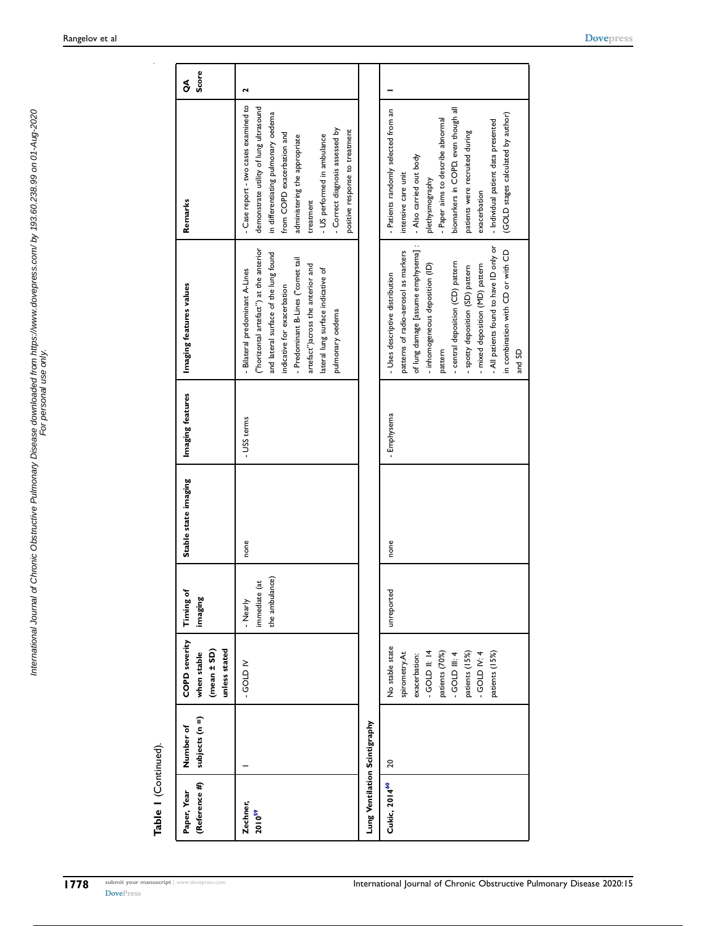| (Reference #)<br>Paper, Year         | subjects (n =)<br>Number of | <b>COPD</b> severity<br>unless stated<br>(mean ± SD)<br>when stable                                                                                             | Timing of<br>imaging                        | Stable state imaging | Imaging features | Imaging features values                                                                                                                                                                                                                                                                                                                                      | Remarks                                                                                                                                                                                                                                                                                                             | Score<br>g |
|--------------------------------------|-----------------------------|-----------------------------------------------------------------------------------------------------------------------------------------------------------------|---------------------------------------------|----------------------|------------------|--------------------------------------------------------------------------------------------------------------------------------------------------------------------------------------------------------------------------------------------------------------------------------------------------------------------------------------------------------------|---------------------------------------------------------------------------------------------------------------------------------------------------------------------------------------------------------------------------------------------------------------------------------------------------------------------|------------|
| Zechner,<br><b>2010<sup>59</sup></b> |                             | N GODP-                                                                                                                                                         | the ambulance)<br>immediate (at<br>- Nearly | none                 | - USS terms      | ("horizontal artefact") at the anterior<br>and lateral surface of the lung found<br>Predominant B-Lines ("comet tail<br>artefact") across the anterior and<br>lateral lung surface indicative of<br>Bilateral predominant A-Lines<br>indicative for exacerbation<br>pulmonary oedema                                                                         | - Case report - two cases examined to<br>demonstrate utility of lung ultrasound<br>in differentiating pulmonary oedema<br>Correct diagnosis assessed by<br>positive response to treatment<br>from COPD exacerbation and<br>- US performed in ambulance<br>administering the appropriate<br>treatment                | 2          |
| Lung Ventilation Scintigraphy        |                             |                                                                                                                                                                 |                                             |                      |                  |                                                                                                                                                                                                                                                                                                                                                              |                                                                                                                                                                                                                                                                                                                     |            |
| Cukic, 2014 <sup>60</sup>            | 20                          | No stable state<br>$-$ GOLD II: 14<br>spirometry.At<br>- GOLD IV: $4$<br>patients (15%)<br>patients (70%)<br>patients (15%)<br>exacerbation:<br>$-$ GOLD III: 4 | unreported                                  | none                 | - Emphysema      | of lung damage [assume emphysema] :<br>All patients found to have ID only or<br>patterns of radio-aerosol as markers<br>in combination with CD or with CD<br>- central deposition (CD) pattern<br>inhomogeneous deposition (ID)<br>mixed deposition (MD) pattern<br>- spotty deposition (SD) pattern<br>- Uses descriptive distribution<br>pattern<br>and SD | biomarkers in COPD, even though all<br>- Patients randomly selected from an<br>(GOLD stages calculated by author)<br>- Paper aims to describe abnormal<br>- Individual patient data presented<br>patients were recruited during<br>- Also carried out body<br>ntensive care unit<br>plethysmography<br>exacerbation |            |

<span id="page-27-1"></span><span id="page-27-0"></span>Table I (Continued). Table 1 (Continued).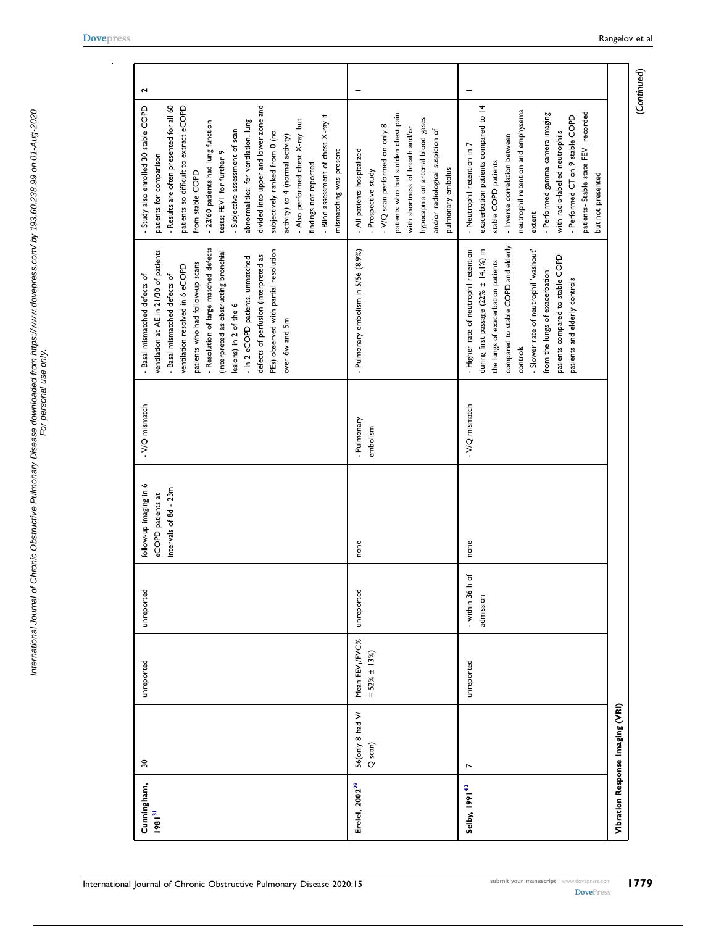$\sim$ 

| Cunningham,<br>$1981^{31}$ | $30\,$                           | unreported                                   | unreported                       | follow-up imaging in 6<br>intervals of 8d - 23m<br>eCOPD patients at | - V/Q mismatch        | - Resolution of large matched defects<br>PEs) observed with partial resolution<br>ventilation at AE in 21/30 of patients<br>(interpreted as obstructing bronchial<br>defects of perfusion (interpreted as<br>- In 2 eCOPD patients, unmatched<br>patients who had follow-up scans<br>ventilation resolved in 6 eCOPD<br>- Basal mismatched defects of<br>- Basal mismatched defects of<br>lesions) in 2 of the 6<br>over 6w and 5m | divided into upper and lower zone and<br>- Results are often presented for all 60<br>- Study also enrolled 30 stable COPD<br>patients so difficult to extract eCOPD<br>- Blind assessment of chest X-ray if<br>abnormalities: for ventilation, lung<br>- Also performed chest X-ray, but<br>- 23/60 patients had lung function<br>- Subjective assessment of scan<br>subjectively ranked from 0 (no<br>activity) to 4 (normal activity)<br>mismatching was present<br>patients for comparison<br>tests; FEVI for further<br>findings not reported<br>from stable COPD | $\mathbf{r}$ |
|----------------------------|----------------------------------|----------------------------------------------|----------------------------------|----------------------------------------------------------------------|-----------------------|------------------------------------------------------------------------------------------------------------------------------------------------------------------------------------------------------------------------------------------------------------------------------------------------------------------------------------------------------------------------------------------------------------------------------------|-----------------------------------------------------------------------------------------------------------------------------------------------------------------------------------------------------------------------------------------------------------------------------------------------------------------------------------------------------------------------------------------------------------------------------------------------------------------------------------------------------------------------------------------------------------------------|--------------|
| Erelel, 2002 <sup>29</sup> | 56(only 8 had V/<br>Q scan)      | Mean FEV <sub>I</sub> /FVC%<br>$=$ 52% ± 13% | unreported                       | none                                                                 | Pulmonary<br>embolism | - Pulmonary embolism in 5/56 (8.9%)                                                                                                                                                                                                                                                                                                                                                                                                | patients who had sudden chest pain<br>hypocapnia on arterial blood gases<br>- V/Q scan performed on only 8<br>with shortness of breath and/or<br>and/or radiological suspicion of<br>- All patients hospitalized<br>pulmonary embolus<br>- Prospective study                                                                                                                                                                                                                                                                                                          |              |
| Selby, 1991 <sup>42</sup>  |                                  | unreported                                   | h of<br>- within 36<br>admission | none                                                                 | - V/Q mismatch        | compared to stable COPD and elderly<br>during first passage $(22\% \pm 14.1\%)$ in<br>- Higher rate of neutrophil retention<br>- Slower rate of neutrophil 'washout'<br>patients compared to stable COPD<br>the lungs of exacerbation patients<br>from the lungs of exacerbation<br>patients and elderly controls<br>controls                                                                                                      | exacerbation patients compared to 14<br>neutrophil retention and emphysema<br>patients- Stable state FEV <sub>1</sub> recorded<br>- Performed gamma camera imaging<br>- Performed CT on 9 stable COPD<br>with radio-labelled neutrophils<br>- Inverse correlation between<br>- Neutrophil retention in 7<br>stable COPD patients<br>but not presented<br>extent                                                                                                                                                                                                       |              |
|                            | Vibration Response Imaging (VRI) |                                              |                                  |                                                                      |                       |                                                                                                                                                                                                                                                                                                                                                                                                                                    |                                                                                                                                                                                                                                                                                                                                                                                                                                                                                                                                                                       |              |

<span id="page-28-0"></span>(Continued)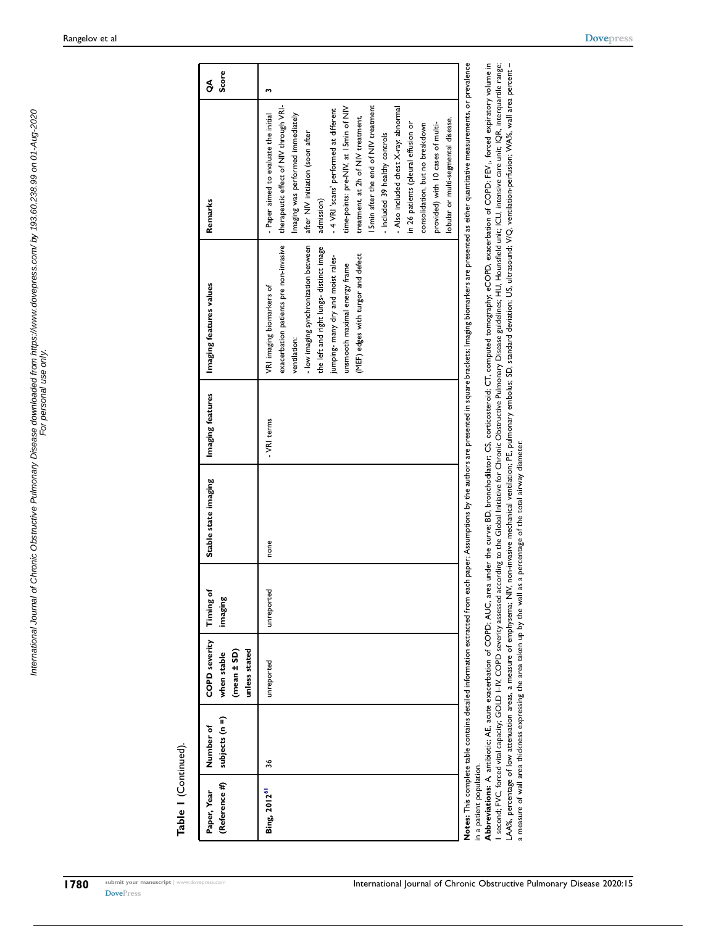International Journal of Chronic Obstructive Pulmonary Disease downloaded from https://www.dovepress.com/ by 193.60.238.99 on 01-Aug-2020 For personal use only.

International Journal of Chronic Obstructive Pulmonary Disease downloaded from https://www.dovepress.com/ by 193.60.238.99 on 01-Aug-2020<br>International Journal of Chronic Obstructive Pulmonary Disease downloaded item https

| (Reference #)<br>Paper, Year | subjects (n =)<br>Number of | <b>COPD</b> severity<br>unless stated<br>(mean ± SD)<br>when stable | Timing of<br>imaging | Stable state imaging | Imaging features | Imaging features values                                                                                                                                                                                                                                                               | Remarks                                                                                                                                                                                                                                                                                                                                                                                                                                                                                                                                                                   | Score<br>S |
|------------------------------|-----------------------------|---------------------------------------------------------------------|----------------------|----------------------|------------------|---------------------------------------------------------------------------------------------------------------------------------------------------------------------------------------------------------------------------------------------------------------------------------------|---------------------------------------------------------------------------------------------------------------------------------------------------------------------------------------------------------------------------------------------------------------------------------------------------------------------------------------------------------------------------------------------------------------------------------------------------------------------------------------------------------------------------------------------------------------------------|------------|
| Bing, 2012 <sup>61</sup>     | 36                          | unreported                                                          | unreported           | none                 | - VRI terms      | exacerbation patients pre non-invasive<br>- low imaging synchronization between<br>the left and right lungs- distinct image<br>jumping- many dry and moist rales-<br>(MEF) edges with turgor and defect<br>unsmooth maximal energy frame<br>VRI imaging biomarkers of<br>ventilation: | therapeutic effect of NIV through VRI-<br>I Smin after the end of NIV treatment<br>time-points: pre-NIV, at 15min of NIV<br>- Also included chest X-ray: abnormal<br>- 4 VRI 'scans' performed at different<br>- Paper aimed to evaluate the initial<br>Imaging was performed immediately<br>treatment, at 2h of NIV treatment,<br>lobular or multi-segmental disease.<br>provided) with 10 cases of multi-<br>in 26 patients (pleural effusion or<br>consolidation, but no breakdown<br>after NIV initiation (soon after<br>- Included 39 healthy controls<br>admission) |            |
| n a patient population.      |                             |                                                                     |                      |                      |                  | Notes: This complete table contains detailed information extracted from each paper; Assumptions by the authors are presented in square brackets; Imaging biomarkers are presented as either quantitative measurements, or prev                                                        |                                                                                                                                                                                                                                                                                                                                                                                                                                                                                                                                                                           |            |

Abbreviations: A, antibiotic; AE, acute exacerbation of COPD; AUC, area under the curve; BD, bronchodilator; CS, corticosteroid; CT, computed tomography; eCOPD, exacerbation of COPD; FEV, forced expiratory volume in<br>I seco LAA%, percentage of low attenuation areas, a measure of emphysema; NIV, non-invasive mechanical ventilation; PE, pulmonary embolus; SD, standard deviation; US, ultrasound; V/Q, ventilation-perfusion; WA%, wall area percent – Abbreviations: A, antibiotic; AE, acute exacerbation of COPD; AUC, area under the curve; BD, bronchodilator; CS, corticosteroid; CT, computed tomography; eCOPD, exacerbation of COPD; FEV1, forced expiratory volume in I second: FVC, forced vital capacity, GOLD I–IV, COPD severity assessed according to the Global Initiative for Chronic Dostructive Pulmonary Disease guidelines: HU, Hounsfield unit; ICU, intensive care unit; IQR, interquar

<span id="page-29-0"></span>a measure of wall area thickness expressing the area taken up by the wall as a percentage of the total airway diameter.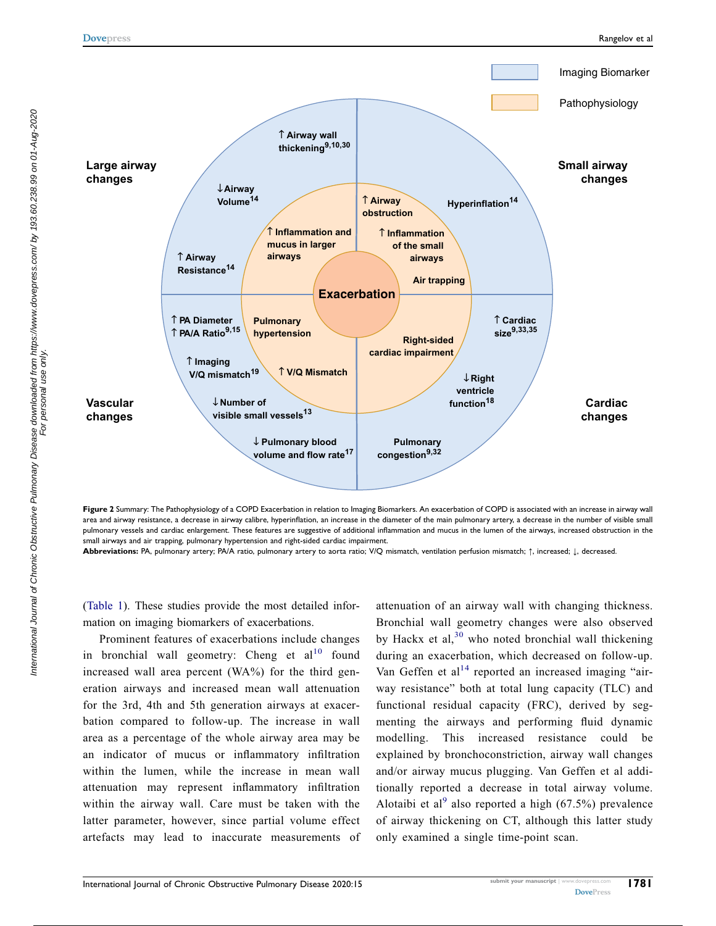International Journal of Chronic Obstructive Pulmonary Disease downloaded from https://www.dovepress.com/ by 193.60.238.99 on 01-Aug-2020<br>For personal use only the only the only. International Journal of Chronic Obstructive Pulmonary Disease downloaded from https://www.dovepress.com/ by 193.60.238.99 on 01-Aug-2020 For personal use only.

<span id="page-30-0"></span>

Figure 2 Summary: The Pathophysiology of a COPD Exacerbation in relation to Imaging Biomarkers. An exacerbation of COPD is associated with an increase in airway wall area and airway resistance, a decrease in airway calibre, hyperinflation, an increase in the diameter of the main pulmonary artery, a decrease in the number of visible small pulmonary vessels and cardiac enlargement. These features are suggestive of additional inflammation and mucus in the lumen of the airways, increased obstruction in the small airways and air trapping, pulmonary hypertension and right-sided cardiac impairment.

Abbreviations: PA, pulmonary artery; PA/A ratio, pulmonary artery to aorta ratio; V/Q mismatch, ventilation perfusion mismatch; ↑, increased; ↓, decreased.

[\(Table 1\)](#page-4-0). These studies provide the most detailed information on imaging biomarkers of exacerbations.

Prominent features of exacerbations include changes in bronchial wall geometry: Cheng et  $al<sup>10</sup>$  $al<sup>10</sup>$  $al<sup>10</sup>$  found increased wall area percent (WA%) for the third generation airways and increased mean wall attenuation for the 3rd, 4th and 5th generation airways at exacerbation compared to follow-up. The increase in wall area as a percentage of the whole airway area may be an indicator of mucus or inflammatory infiltration within the lumen, while the increase in mean wall attenuation may represent inflammatory infiltration within the airway wall. Care must be taken with the latter parameter, however, since partial volume effect artefacts may lead to inaccurate measurements of attenuation of an airway wall with changing thickness. Bronchial wall geometry changes were also observed by Hackx et al,  $30$  who noted bronchial wall thickening during an exacerbation, which decreased on follow-up. Van Geffen et al<sup>[14](#page-34-15)</sup> reported an increased imaging "airway resistance" both at total lung capacity (TLC) and functional residual capacity (FRC), derived by segmenting the airways and performing fluid dynamic modelling. This increased resistance could be explained by bronchoconstriction, airway wall changes and/or airway mucus plugging. Van Geffen et al additionally reported a decrease in total airway volume. Alotaibi et al<sup>[9](#page-34-8)</sup> also reported a high (67.5%) prevalence of airway thickening on CT, although this latter study only examined a single time-point scan.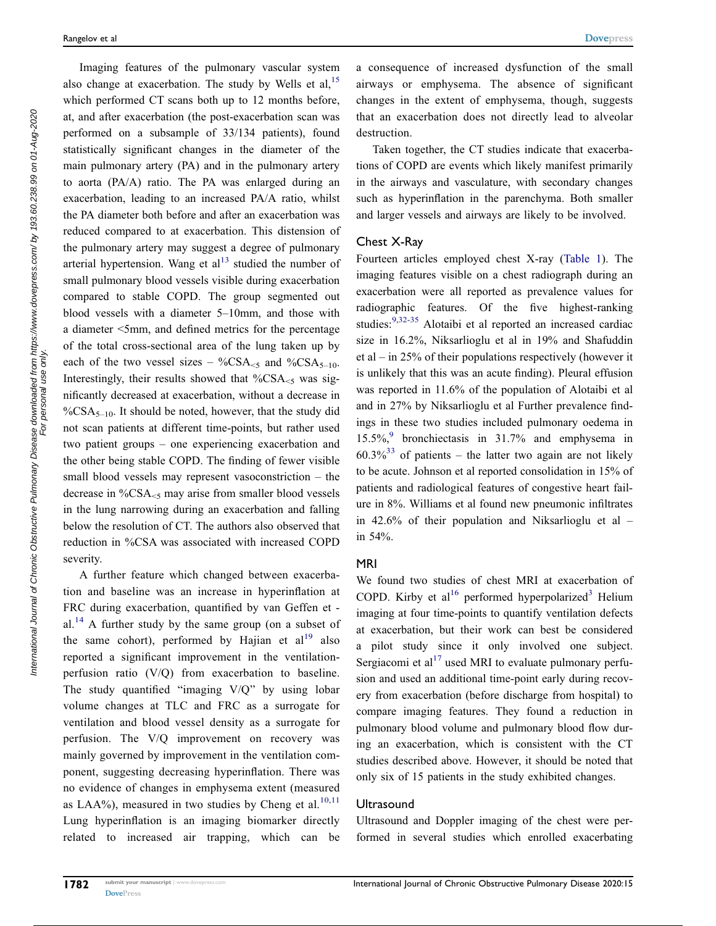Imaging features of the pulmonary vascular system also change at exacerbation. The study by Wells et al,  $15$ which performed CT scans both up to 12 months before, at, and after exacerbation (the post-exacerbation scan was performed on a subsample of 33/134 patients), found statistically significant changes in the diameter of the main pulmonary artery (PA) and in the pulmonary artery to aorta (PA/A) ratio. The PA was enlarged during an exacerbation, leading to an increased PA/A ratio, whilst the PA diameter both before and after an exacerbation was reduced compared to at exacerbation. This distension of the pulmonary artery may suggest a degree of pulmonary arterial hypertension. Wang et  $al<sup>13</sup>$  $al<sup>13</sup>$  $al<sup>13</sup>$  studied the number of small pulmonary blood vessels visible during exacerbation compared to stable COPD. The group segmented out blood vessels with a diameter 5–10mm, and those with a diameter <5mm, and defined metrics for the percentage of the total cross-sectional area of the lung taken up by each of the two vessel sizes – %CSA $\leq$ 5 and %CSA $\leq$ <sub>5–10</sub>. Interestingly, their results showed that  $\%$ CSA<sub><5</sub> was significantly decreased at exacerbation, without a decrease in  $\%CSA_{5-10}$ . It should be noted, however, that the study did not scan patients at different time-points, but rather used two patient groups – one experiencing exacerbation and the other being stable COPD. The finding of fewer visible small blood vessels may represent vasoconstriction – the decrease in  $\%$ CSA $\leq$ 5 may arise from smaller blood vessels in the lung narrowing during an exacerbation and falling below the resolution of CT. The authors also observed that reduction in %CSA was associated with increased COPD severity.

A further feature which changed between exacerbation and baseline was an increase in hyperinflation at FRC during exacerbation, quantified by van Geffen et - al.<sup>[14](#page-34-15)</sup> A further study by the same group (on a subset of the same cohort), performed by Hajian et  $al<sup>19</sup>$  $al<sup>19</sup>$  $al<sup>19</sup>$  also reported a significant improvement in the ventilationperfusion ratio (V/Q) from exacerbation to baseline. The study quantified "imaging V/Q" by using lobar volume changes at TLC and FRC as a surrogate for ventilation and blood vessel density as a surrogate for perfusion. The V/Q improvement on recovery was mainly governed by improvement in the ventilation component, suggesting decreasing hyperinflation. There was no evidence of changes in emphysema extent (measured as LAA%), measured in two studies by Cheng et al.<sup>[10](#page-34-13)[,11](#page-34-21)</sup> Lung hyperinflation is an imaging biomarker directly related to increased air trapping, which can be a consequence of increased dysfunction of the small airways or emphysema. The absence of significant changes in the extent of emphysema, though, suggests that an exacerbation does not directly lead to alveolar destruction.

Taken together, the CT studies indicate that exacerbations of COPD are events which likely manifest primarily in the airways and vasculature, with secondary changes such as hyperinflation in the parenchyma. Both smaller and larger vessels and airways are likely to be involved.

#### Chest X-Ray

Fourteen articles employed chest X-ray [\(Table 1\)](#page-4-0). The imaging features visible on a chest radiograph during an exacerbation were all reported as prevalence values for radiographic features. Of the five highest-ranking studies:<sup>[9](#page-34-8),[32](#page-35-8)-[35](#page-35-12)</sup> Alotaibi et al reported an increased cardiac size in 16.2%, Niksarlioglu et al in 19% and Shafuddin et al – in 25% of their populations respectively (however it is unlikely that this was an acute finding). Pleural effusion was reported in 11.6% of the population of Alotaibi et al and in 27% by Niksarlioglu et al Further prevalence findings in these two studies included pulmonary oedema in 15.5%, $9$  bronchiectasis in 31.7% and emphysema in  $60.3\%$ <sup>[33](#page-35-10)</sup> of patients – the latter two again are not likely to be acute. Johnson et al reported consolidation in 15% of patients and radiological features of congestive heart failure in 8%. Williams et al found new pneumonic infiltrates in 42.6% of their population and Niksarlioglu et al – in 54%.

#### MRI

We found two studies of chest MRI at exacerbation of COPD. Kirby et al<sup>[16](#page-34-17)</sup> performed hyperpolarized<sup>[3](#page-34-2)</sup> Helium imaging at four time-points to quantify ventilation defects at exacerbation, but their work can best be considered a pilot study since it only involved one subject. Sergiacomi et al<sup>17</sup> used MRI to evaluate pulmonary perfusion and used an additional time-point early during recovery from exacerbation (before discharge from hospital) to compare imaging features. They found a reduction in pulmonary blood volume and pulmonary blood flow during an exacerbation, which is consistent with the CT studies described above. However, it should be noted that only six of 15 patients in the study exhibited changes.

#### **Ultrasound**

Ultrasound and Doppler imaging of the chest were performed in several studies which enrolled exacerbating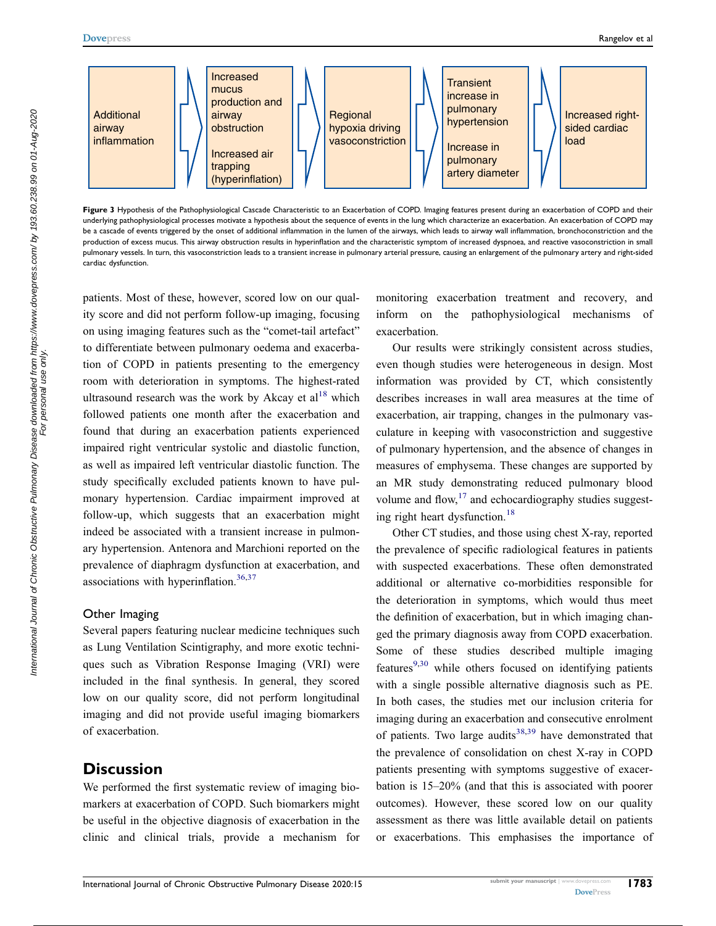<span id="page-32-0"></span>

Figure 3 Hypothesis of the Pathophysiological Cascade Characteristic to an Exacerbation of COPD. Imaging features present during an exacerbation of COPD and their underlying pathophysiological processes motivate a hypothesis about the sequence of events in the lung which characterize an exacerbation. An exacerbation of COPD may be a cascade of events triggered by the onset of additional inflammation in the lumen of the airways, which leads to airway wall inflammation, bronchoconstriction and the production of excess mucus. This airway obstruction results in hyperinflation and the characteristic symptom of increased dyspnoea, and reactive vasoconstriction in small pulmonary vessels. In turn, this vasoconstriction leads to a transient increase in pulmonary arterial pressure, causing an enlargement of the pulmonary artery and right-sided cardiac dysfunction.

patients. Most of these, however, scored low on our quality score and did not perform follow-up imaging, focusing on using imaging features such as the "comet-tail artefact" to differentiate between pulmonary oedema and exacerbation of COPD in patients presenting to the emergency room with deterioration in symptoms. The highest-rated ultrasound research was the work by Akcay et  $al^{18}$  $al^{18}$  $al^{18}$  which followed patients one month after the exacerbation and found that during an exacerbation patients experienced impaired right ventricular systolic and diastolic function, as well as impaired left ventricular diastolic function. The study specifically excluded patients known to have pulmonary hypertension. Cardiac impairment improved at follow-up, which suggests that an exacerbation might indeed be associated with a transient increase in pulmonary hypertension. Antenora and Marchioni reported on the prevalence of diaphragm dysfunction at exacerbation, and associations with hyperinflation. $36,37$  $36,37$ 

#### Other Imaging

Several papers featuring nuclear medicine techniques such as Lung Ventilation Scintigraphy, and more exotic techniques such as Vibration Response Imaging (VRI) were included in the final synthesis. In general, they scored low on our quality score, did not perform longitudinal imaging and did not provide useful imaging biomarkers of exacerbation.

#### **Discussion**

We performed the first systematic review of imaging biomarkers at exacerbation of COPD. Such biomarkers might be useful in the objective diagnosis of exacerbation in the clinic and clinical trials, provide a mechanism for monitoring exacerbation treatment and recovery, and inform on the pathophysiological mechanisms of exacerbation.

Our results were strikingly consistent across studies, even though studies were heterogeneous in design. Most information was provided by CT, which consistently describes increases in wall area measures at the time of exacerbation, air trapping, changes in the pulmonary vasculature in keeping with vasoconstriction and suggestive of pulmonary hypertension, and the absence of changes in measures of emphysema. These changes are supported by an MR study demonstrating reduced pulmonary blood volume and flow,  $17$  and echocardiography studies suggest-ing right heart dysfunction.<sup>[18](#page-34-9)</sup>

Other CT studies, and those using chest X-ray, reported the prevalence of specific radiological features in patients with suspected exacerbations. These often demonstrated additional or alternative co-morbidities responsible for the deterioration in symptoms, which would thus meet the definition of exacerbation, but in which imaging changed the primary diagnosis away from COPD exacerbation. Some of these studies described multiple imaging features $9,30$  $9,30$  $9,30$  while others focused on identifying patients with a single possible alternative diagnosis such as PE. In both cases, the studies met our inclusion criteria for imaging during an exacerbation and consecutive enrolment of patients. Two large audits $38,39$  $38,39$  $38,39$  have demonstrated that the prevalence of consolidation on chest X-ray in COPD patients presenting with symptoms suggestive of exacerbation is 15–20% (and that this is associated with poorer outcomes). However, these scored low on our quality assessment as there was little available detail on patients or exacerbations. This emphasises the importance of

For personal use only.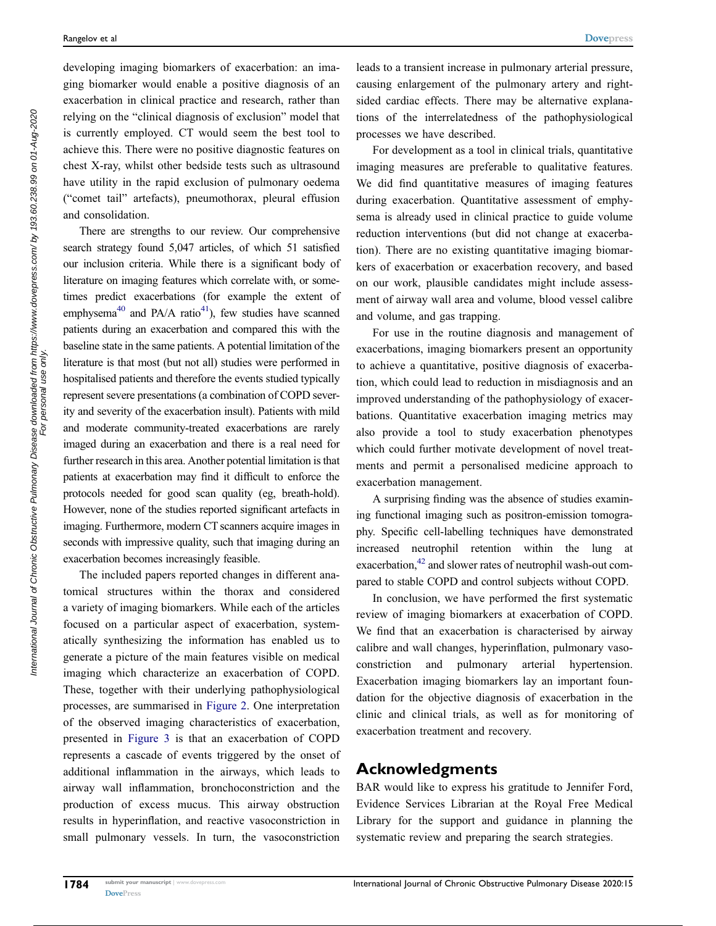developing imaging biomarkers of exacerbation: an imaging biomarker would enable a positive diagnosis of an exacerbation in clinical practice and research, rather than relying on the "clinical diagnosis of exclusion" model that is currently employed. CT would seem the best tool to achieve this. There were no positive diagnostic features on chest X-ray, whilst other bedside tests such as ultrasound have utility in the rapid exclusion of pulmonary oedema ("comet tail" artefacts), pneumothorax, pleural effusion and consolidation.

<span id="page-33-0"></span>There are strengths to our review. Our comprehensive search strategy found 5,047 articles, of which 51 satisfied our inclusion criteria. While there is a significant body of literature on imaging features which correlate with, or sometimes predict exacerbations (for example the extent of emphysema<sup>40</sup> and PA/A ratio<sup>41</sup>), few studies have scanned patients during an exacerbation and compared this with the baseline state in the same patients. A potential limitation of the literature is that most (but not all) studies were performed in hospitalised patients and therefore the events studied typically represent severe presentations (a combination of COPD severity and severity of the exacerbation insult). Patients with mild and moderate community-treated exacerbations are rarely imaged during an exacerbation and there is a real need for further research in this area. Another potential limitation is that patients at exacerbation may find it difficult to enforce the protocols needed for good scan quality (eg, breath-hold). However, none of the studies reported significant artefacts in imaging. Furthermore, modern CT scanners acquire images in seconds with impressive quality, such that imaging during an exacerbation becomes increasingly feasible.

The included papers reported changes in different anatomical structures within the thorax and considered a variety of imaging biomarkers. While each of the articles focused on a particular aspect of exacerbation, systematically synthesizing the information has enabled us to generate a picture of the main features visible on medical imaging which characterize an exacerbation of COPD. These, together with their underlying pathophysiological processes, are summarised in [Figure 2](#page-30-0). One interpretation of the observed imaging characteristics of exacerbation, presented in [Figure 3](#page-32-0) is that an exacerbation of COPD represents a cascade of events triggered by the onset of additional inflammation in the airways, which leads to airway wall inflammation, bronchoconstriction and the production of excess mucus. This airway obstruction results in hyperinflation, and reactive vasoconstriction in small pulmonary vessels. In turn, the vasoconstriction leads to a transient increase in pulmonary arterial pressure, causing enlargement of the pulmonary artery and rightsided cardiac effects. There may be alternative explanations of the interrelatedness of the pathophysiological processes we have described.

For development as a tool in clinical trials, quantitative imaging measures are preferable to qualitative features. We did find quantitative measures of imaging features during exacerbation. Quantitative assessment of emphysema is already used in clinical practice to guide volume reduction interventions (but did not change at exacerbation). There are no existing quantitative imaging biomarkers of exacerbation or exacerbation recovery, and based on our work, plausible candidates might include assessment of airway wall area and volume, blood vessel calibre and volume, and gas trapping.

For use in the routine diagnosis and management of exacerbations, imaging biomarkers present an opportunity to achieve a quantitative, positive diagnosis of exacerbation, which could lead to reduction in misdiagnosis and an improved understanding of the pathophysiology of exacerbations. Quantitative exacerbation imaging metrics may also provide a tool to study exacerbation phenotypes which could further motivate development of novel treatments and permit a personalised medicine approach to exacerbation management.

A surprising finding was the absence of studies examining functional imaging such as positron-emission tomography. Specific cell-labelling techniques have demonstrated increased neutrophil retention within the lung at exacerbation,<sup>[42](#page-35-31)</sup> and slower rates of neutrophil wash-out compared to stable COPD and control subjects without COPD.

In conclusion, we have performed the first systematic review of imaging biomarkers at exacerbation of COPD. We find that an exacerbation is characterised by airway calibre and wall changes, hyperinflation, pulmonary vasoconstriction and pulmonary arterial hypertension. Exacerbation imaging biomarkers lay an important foundation for the objective diagnosis of exacerbation in the clinic and clinical trials, as well as for monitoring of exacerbation treatment and recovery.

#### Acknowledgments

BAR would like to express his gratitude to Jennifer Ford, Evidence Services Librarian at the Royal Free Medical Library for the support and guidance in planning the systematic review and preparing the search strategies.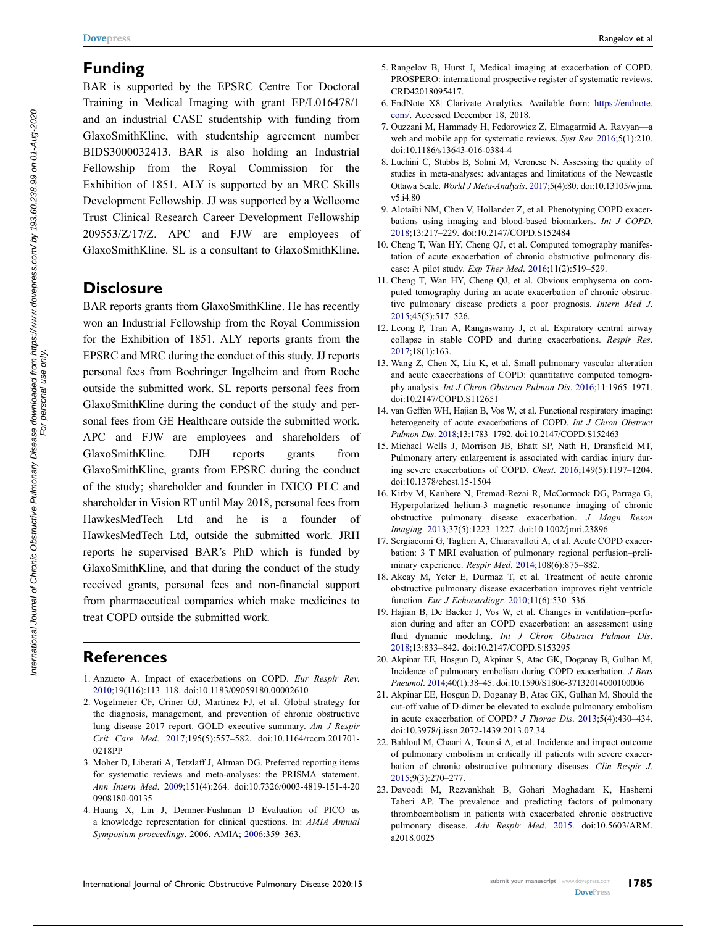### Funding

BAR is supported by the EPSRC Centre For Doctoral Training in Medical Imaging with grant EP/L016478/1 and an industrial CASE studentship with funding from GlaxoSmithKline, with studentship agreement number BIDS3000032413. BAR is also holding an Industrial Fellowship from the Royal Commission for the Exhibition of 1851. ALY is supported by an MRC Skills Development Fellowship. JJ was supported by a Wellcome Trust Clinical Research Career Development Fellowship 209553/Z/17/Z. APC and FJW are employees of GlaxoSmithKline. SL is a consultant to GlaxoSmithKline.

### **Disclosure**

BAR reports grants from GlaxoSmithKline. He has recently won an Industrial Fellowship from the Royal Commission for the Exhibition of 1851. ALY reports grants from the EPSRC and MRC during the conduct of this study. JJ reports personal fees from Boehringer Ingelheim and from Roche outside the submitted work. SL reports personal fees from GlaxoSmithKline during the conduct of the study and personal fees from GE Healthcare outside the submitted work. APC and FJW are employees and shareholders of GlaxoSmithKline. DJH reports grants from GlaxoSmithKline, grants from EPSRC during the conduct of the study; shareholder and founder in IXICO PLC and shareholder in Vision RT until May 2018, personal fees from HawkesMedTech Ltd and he is a founder of HawkesMedTech Ltd, outside the submitted work. JRH reports he supervised BAR's PhD which is funded by GlaxoSmithKline, and that during the conduct of the study received grants, personal fees and non-financial support from pharmaceutical companies which make medicines to treat COPD outside the submitted work.

### References

- <span id="page-34-0"></span>1. Anzueto A. Impact of exacerbations on COPD. Eur Respir Rev. [2010;](#page-0-5)19(116):113–118. doi:[10.1183/09059180.00002610](https://doi.org/10.1183/09059180.00002610)
- <span id="page-34-1"></span>2. Vogelmeier CF, Criner GJ, Martinez FJ, et al. Global strategy for the diagnosis, management, and prevention of chronic obstructive lung disease 2017 report. GOLD executive summary. Am J Respir Crit Care Med. [2017](#page-0-6);195(5):557–582. doi:[10.1164/rccm.201701-](https://doi.org/10.1164/rccm.201701-0218PP) [0218PP](https://doi.org/10.1164/rccm.201701-0218PP)
- <span id="page-34-2"></span>3. Moher D, Liberati A, Tetzlaff J, Altman DG. Preferred reporting items for systematic reviews and meta-analyses: the PRISMA statement. Ann Intern Med. [2009;](#page-1-0)151(4):264. doi:[10.7326/0003-4819-151-4-20](https://doi.org/10.7326/0003-4819-151-4-200908180-00135) [0908180-00135](https://doi.org/10.7326/0003-4819-151-4-200908180-00135)
- <span id="page-34-3"></span>4. Huang X, Lin J, Demner-Fushman D Evaluation of PICO as a knowledge representation for clinical questions. In: AMIA Annual Symposium proceedings. 2006. AMIA; [2006](#page-1-1):359–363.
- <span id="page-34-4"></span>5. Rangelov B, Hurst J, Medical imaging at exacerbation of COPD. PROSPERO: international prospective register of systematic reviews. CRD42018095417.
- <span id="page-34-5"></span>6. EndNote X8| Clarivate Analytics. Available from: [https://endnote.](https://endnote.com/) [com/](https://endnote.com/). Accessed December 18, 2018.
- <span id="page-34-6"></span>7. Ouzzani M, Hammady H, Fedorowicz Z, Elmagarmid A. Rayyan—a web and mobile app for systematic reviews. Syst Rev. [2016;](#page-1-2)5(1):210. doi:[10.1186/s13643-016-0384-4](https://doi.org/10.1186/s13643-016-0384-4)
- <span id="page-34-7"></span>8. Luchini C, Stubbs B, Solmi M, Veronese N. Assessing the quality of studies in meta-analyses: advantages and limitations of the Newcastle Ottawa Scale. World J Meta-Analysis. [2017](#page-3-0);5(4):80. doi:[10.13105/wjma.](https://doi.org/10.13105/wjma.v5.i4.80) [v5.i4.80](https://doi.org/10.13105/wjma.v5.i4.80)
- <span id="page-34-8"></span>9. Alotaibi NM, Chen V, Hollander Z, et al. Phenotyping COPD exacerbations using imaging and blood-based biomarkers. Int J COPD. [2018](#page-3-1);13:217–229. doi:[10.2147/COPD.S152484](https://doi.org/10.2147/COPD.S152484)
- <span id="page-34-13"></span>10. Cheng T, Wan HY, Cheng QJ, et al. Computed tomography manifestation of acute exacerbation of chronic obstructive pulmonary disease: A pilot study. Exp Ther Med. [2016;](#page-3-2)11(2):519–529.
- <span id="page-34-21"></span>11. Cheng T, Wan HY, Cheng QJ, et al. Obvious emphysema on computed tomography during an acute exacerbation of chronic obstructive pulmonary disease predicts a poor prognosis. Intern Med J. [2015](#page-12-0);45(5):517–526.
- <span id="page-34-14"></span>12. Leong P, Tran A, Rangaswamy J, et al. Expiratory central airway collapse in stable COPD and during exacerbations. Respir Res. [2017](#page-3-3);18(1):163.
- <span id="page-34-11"></span>13. Wang Z, Chen X, Liu K, et al. Small pulmonary vascular alteration and acute exacerbations of COPD: quantitative computed tomography analysis. Int J Chron Obstruct Pulmon Dis. [2016](#page-3-4);11:1965–1971. doi:[10.2147/COPD.S112651](https://doi.org/10.2147/COPD.S112651)
- <span id="page-34-15"></span>14. van Geffen WH, Hajian B, Vos W, et al. Functional respiratory imaging: heterogeneity of acute exacerbations of COPD. Int J Chron Obstruct Pulmon Dis. [2018;](#page-3-3)13:1783–1792. doi:[10.2147/COPD.S152463](https://doi.org/10.2147/COPD.S152463)
- <span id="page-34-18"></span>15. Michael Wells J, Morrison JB, Bhatt SP, Nath H, Dransfield MT, Pulmonary artery enlargement is associated with cardiac injury during severe exacerbations of COPD. Chest. [2016;](#page-3-2)149(5):1197–1204. doi:[10.1378/chest.15-1504](https://doi.org/10.1378/chest.15-1504)
- <span id="page-34-17"></span>16. Kirby M, Kanhere N, Etemad-Rezai R, McCormack DG, Parraga G, Hyperpolarized helium-3 magnetic resonance imaging of chronic obstructive pulmonary disease exacerbation. J Magn Reson Imaging. [2013;](#page-3-5)37(5):1223–1227. doi:[10.1002/jmri.23896](https://doi.org/10.1002/jmri.23896)
- <span id="page-34-16"></span>17. Sergiacomi G, Taglieri A, Chiaravalloti A, et al. Acute COPD exacerbation: 3 T MRI evaluation of pulmonary regional perfusion–preliminary experience. Respir Med. [2014](#page-3-2);108(6):875–882.
- <span id="page-34-9"></span>18. Akcay M, Yeter E, Durmaz T, et al. Treatment of acute chronic obstructive pulmonary disease exacerbation improves right ventricle function. Eur J Echocardiogr. [2010;](#page-3-1)11(6):530–536.
- <span id="page-34-10"></span>19. Hajian B, De Backer J, Vos W, et al. Changes in ventilation–perfusion during and after an COPD exacerbation: an assessment using fluid dynamic modeling. Int J Chron Obstruct Pulmon Dis. [2018](#page-3-2);13:833–842. doi:[10.2147/COPD.S153295](https://doi.org/10.2147/COPD.S153295)
- <span id="page-34-12"></span>20. Akpinar EE, Hosgun D, Akpinar S, Atac GK, Doganay B, Gulhan M, Incidence of pulmonary embolism during COPD exacerbation. J Bras Pneumol. [2014;](#page-3-6)40(1):38–45. doi:[10.1590/S1806-37132014000100006](https://doi.org/10.1590/S1806-37132014000100006)
- <span id="page-34-19"></span>21. Akpinar EE, Hosgun D, Doganay B, Atac GK, Gulhan M, Should the cut-off value of D-dimer be elevated to exclude pulmonary embolism in acute exacerbation of COPD? J Thorac Dis. [2013;](#page-10-0)5(4):430–434. doi:[10.3978/j.issn.2072-1439.2013.07.34](https://doi.org/10.3978/j.issn.2072-1439.2013.07.34)
- <span id="page-34-20"></span>22. Bahloul M, Chaari A, Tounsi A, et al. Incidence and impact outcome of pulmonary embolism in critically ill patients with severe exacerbation of chronic obstructive pulmonary diseases. Clin Respir J. [2015](#page-12-1);9(3):270–277.
- <span id="page-34-22"></span>23. Davoodi M, Rezvankhah B, Gohari Moghadam K, Hashemi Taheri AP. The prevalence and predicting factors of pulmonary thromboembolism in patients with exacerbated chronic obstructive pulmonary disease. Adv Respir Med. [2015.](#page-14-0) doi:[10.5603/ARM.](https://doi.org/10.5603/ARM.a2018.0025) [a2018.0025](https://doi.org/10.5603/ARM.a2018.0025)

For personal use only.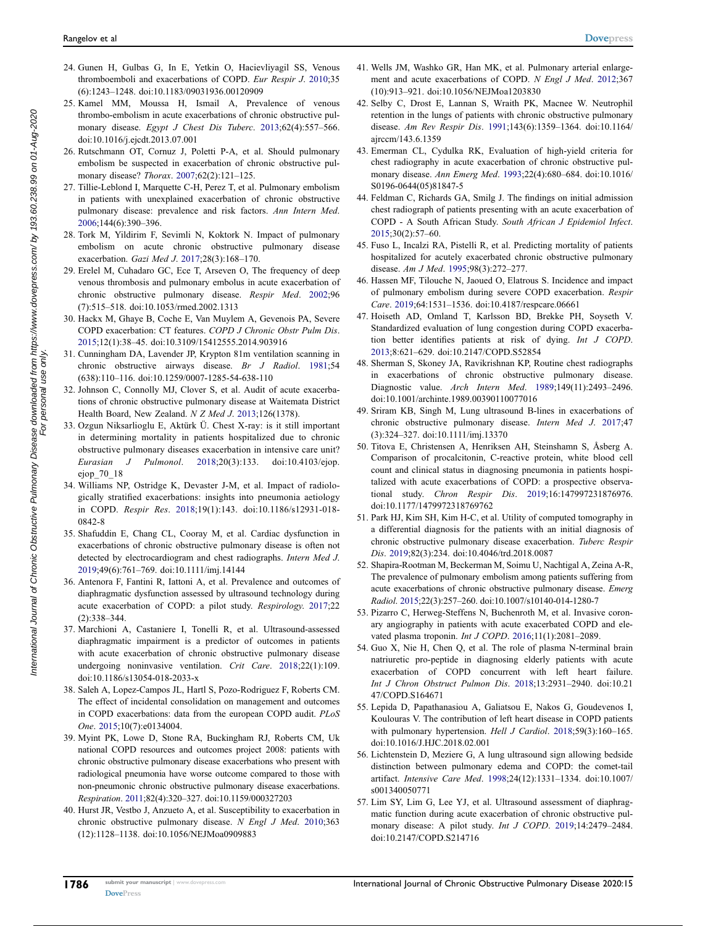- <span id="page-35-17"></span>24. Gunen H, Gulbas G, In E, Yetkin O, Hacievliyagil SS, Venous thromboemboli and exacerbations of COPD. Eur Respir J. [2010](#page-14-1);35 (6):1243–1248. doi:[10.1183/09031936.00120909](https://doi.org/10.1183/09031936.00120909)
- <span id="page-35-18"></span>25. Kamel MM, Moussa H, Ismail A, Prevalence of venous thrombo-embolism in acute exacerbations of chronic obstructive pul-monary disease. Egypt J Chest Dis Tuberc. [2013;](#page-15-0)62(4):557-566. doi:[10.1016/j.ejcdt.2013.07.001](https://doi.org/10.1016/j.ejcdt.2013.07.001)
- <span id="page-35-20"></span>26. Rutschmann OT, Cornuz J, Poletti P-A, et al. Should pulmonary embolism be suspected in exacerbation of chronic obstructive pul-monary disease? Thorax. [2007;](#page-17-0)62(2):121-125.
- <span id="page-35-22"></span>27. Tillie-Leblond I, Marquette C-H, Perez T, et al. Pulmonary embolism in patients with unexplained exacerbation of chronic obstructive pulmonary disease: prevalence and risk factors. Ann Intern Med. [2006;](#page-18-0)144(6):390–396.
- <span id="page-35-23"></span>28. Tork M, Yildirim F, Sevimli N, Koktork N. Impact of pulmonary embolism on acute chronic obstructive pulmonary disease exacerbation. Gazi Med J. [2017;](#page-18-1)28(3):168–170.
- <span id="page-35-0"></span>29. Erelel M, Cuhadaro GC, Ece T, Arseven O, The frequency of deep venous thrombosis and pulmonary embolus in acute exacerbation of chronic obstructive pulmonary disease. Respir Med. [2002](#page-3-6);96 (7):515–518. doi:[10.1053/rmed.2002.1313](https://doi.org/10.1053/rmed.2002.1313)
- <span id="page-35-1"></span>30. Hackx M, Ghaye B, Coche E, Van Muylem A, Gevenois PA, Severe COPD exacerbation: CT features. COPD J Chronic Obstr Pulm Dis. [2015;](#page-3-2)12(1):38–45. doi:[10.3109/15412555.2014.903916](https://doi.org/10.3109/15412555.2014.903916)
- <span id="page-35-2"></span>31. Cunningham DA, Lavender JP, Krypton 81m ventilation scanning in chronic obstructive airways disease. Br J Radiol. [1981](#page-3-3);54 (638):110–116. doi:[10.1259/0007-1285-54-638-110](https://doi.org/10.1259/0007-1285-54-638-110)
- <span id="page-35-8"></span>32. Johnson C, Connolly MJ, Clover S, et al. Audit of acute exacerbations of chronic obstructive pulmonary disease at Waitemata District Health Board, New Zealand. N Z Med J. [2013](#page-7-0);126(1378).
- <span id="page-35-10"></span>33. Ozgun Niksarlioglu E, Aktürk Ü. Chest X-ray: is it still important in determining mortality in patients hospitalized due to chronic obstructive pulmonary diseases exacerbation in intensive care unit? Eurasian J Pulmonol. [2018;](#page-8-0)20(3):133. doi:[10.4103/ejop.](https://doi.org/10.4103/ejop.ejop_70_18) [ejop\\_70\\_18](https://doi.org/10.4103/ejop.ejop_70_18)
- <span id="page-35-16"></span>34. Williams NP, Ostridge K, Devaster J-M, et al. Impact of radiologically stratified exacerbations: insights into pneumonia aetiology in COPD. Respir Res. [2018;](#page-10-1)19(1):143. doi:[10.1186/s12931-018-](https://doi.org/10.1186/s12931-018-0842-8) [0842-8](https://doi.org/10.1186/s12931-018-0842-8)
- <span id="page-35-12"></span>35. Shafuddin E, Chang CL, Cooray M, et al. Cardiac dysfunction in exacerbations of chronic obstructive pulmonary disease is often not detected by electrocardiogram and chest radiographs. Intern Med J. [2019;](#page-8-1)49(6):761–769. doi:[10.1111/imj.14144](https://doi.org/10.1111/imj.14144)
- <span id="page-35-25"></span>36. Antenora F, Fantini R, Iattoni A, et al. Prevalence and outcomes of diaphragmatic dysfunction assessed by ultrasound technology during acute exacerbation of COPD: a pilot study. Respirology. [2017](#page-22-0);22 (2):338–344.
- <span id="page-35-30"></span>37. Marchioni A, Castaniere I, Tonelli R, et al. Ultrasound-assessed diaphragmatic impairment is a predictor of outcomes in patients with acute exacerbation of chronic obstructive pulmonary disease undergoing noninvasive ventilation. Crit Care. [2018;](#page-26-0)22(1):109. doi:[10.1186/s13054-018-2033-x](https://doi.org/10.1186/s13054-018-2033-x)
- <span id="page-35-11"></span>38. Saleh A, Lopez-Campos JL, Hartl S, Pozo-Rodriguez F, Roberts CM. The effect of incidental consolidation on management and outcomes in COPD exacerbations: data from the european COPD audit. PLoS One. [2015;](#page-8-2)10(7):e0134004.
- <span id="page-35-9"></span>39. Myint PK, Lowe D, Stone RA, Buckingham RJ, Roberts CM, Uk national COPD resources and outcomes project 2008: patients with chronic obstructive pulmonary disease exacerbations who present with radiological pneumonia have worse outcome compared to those with non-pneumonic chronic obstructive pulmonary disease exacerbations. Respiration. [2011;](#page-7-1)82(4):320–327. doi:[10.1159/000327203](https://doi.org/10.1159/000327203)
- <span id="page-35-32"></span>40. Hurst JR, Vestbo J, Anzueto A, et al. Susceptibility to exacerbation in chronic obstructive pulmonary disease. N Engl J Med. [2010](#page-33-0);363 (12):1128–1138. doi:[10.1056/NEJMoa0909883](https://doi.org/10.1056/NEJMoa0909883)
- <span id="page-35-33"></span>41. Wells JM, Washko GR, Han MK, et al. Pulmonary arterial enlarge-ment and acute exacerbations of COPD. N Engl J Med. [2012](#page-33-0);367 (10):913–921. doi:[10.1056/NEJMoa1203830](https://doi.org/10.1056/NEJMoa1203830)
- <span id="page-35-31"></span>42. Selby C, Drost E, Lannan S, Wraith PK, Macnee W. Neutrophil retention in the lungs of patients with chronic obstructive pulmonary disease. Am Rev Respir Dis. [1991;](#page-28-0)143(6):1359–1364. doi:[10.1164/](https://doi.org/10.1164/ajrccm/143.6.1359) [ajrccm/143.6.1359](https://doi.org/10.1164/ajrccm/143.6.1359)
- <span id="page-35-3"></span>43. Emerman CL, Cydulka RK, Evaluation of high-yield criteria for chest radiography in acute exacerbation of chronic obstructive pulmonary disease. Ann Emerg Med. [1993](#page-4-1);22(4):680–684. doi:[10.1016/](https://doi.org/10.1016/S0196-0644(05)81847-5) [S0196-0644\(05\)81847-5](https://doi.org/10.1016/S0196-0644(05)81847-5)
- <span id="page-35-4"></span>44. Feldman C, Richards GA, Smilg J. The findings on initial admission chest radiograph of patients presenting with an acute exacerbation of COPD - A South African Study. South African J Epidemiol Infect. [2015](#page-5-0);30(2):57–60.
- <span id="page-35-5"></span>45. Fuso L, Incalzi RA, Pistelli R, et al. Predicting mortality of patients hospitalized for acutely exacerbated chronic obstructive pulmonary disease. Am J Med. [1995;](#page-5-1)98(3):272–277.
- <span id="page-35-6"></span>46. Hassen MF, Tilouche N, Jaoued O, Elatrous S. Incidence and impact of pulmonary embolism during severe COPD exacerbation. Respir Care. [2019;](#page-6-0)64:1531–1536. doi:[10.4187/respcare.06661](https://doi.org/10.4187/respcare.06661)
- <span id="page-35-7"></span>47. Hoiseth AD, Omland T, Karlsson BD, Brekke PH, Soyseth V. Standardized evaluation of lung congestion during COPD exacerbation better identifies patients at risk of dying. Int J COPD. [2013](#page-6-1);8:621–629. doi:[10.2147/COPD.S52854](https://doi.org/10.2147/COPD.S52854)
- <span id="page-35-13"></span>48. Sherman S, Skoney JA, Ravikrishnan KP, Routine chest radiographs in exacerbations of chronic obstructive pulmonary disease. Diagnostic value. Arch Intern Med. [1989;](#page-9-0)149(11):2493–2496. doi:[10.1001/archinte.1989.00390110077016](https://doi.org/10.1001/archinte.1989.00390110077016)
- <span id="page-35-14"></span>49. Sriram KB, Singh M, Lung ultrasound B-lines in exacerbations of chronic obstructive pulmonary disease. Intern Med J. [2017](#page-9-1);47 (3):324–327. doi:[10.1111/imj.13370](https://doi.org/10.1111/imj.13370)
- <span id="page-35-15"></span>50. Titova E, Christensen A, Henriksen AH, Steinshamn S, Åsberg A. Comparison of procalcitonin, C-reactive protein, white blood cell count and clinical status in diagnosing pneumonia in patients hospitalized with acute exacerbations of COPD: a prospective observational study. Chron Respir Dis. [2019;](#page-9-2)16:147997231876976. doi:[10.1177/1479972318769762](https://doi.org/10.1177/1479972318769762)
- <span id="page-35-19"></span>51. Park HJ, Kim SH, Kim H-C, et al. Utility of computed tomography in a differential diagnosis for the patients with an initial diagnosis of chronic obstructive pulmonary disease exacerbation. Tuberc Respir Dis. [2019](#page-16-0);82(3):234. doi:[10.4046/trd.2018.0087](https://doi.org/10.4046/trd.2018.0087)
- <span id="page-35-21"></span>52. Shapira-Rootman M, Beckerman M, Soimu U, Nachtigal A, Zeina A-R, The prevalence of pulmonary embolism among patients suffering from acute exacerbations of chronic obstructive pulmonary disease. Emerg Radiol. [2015](#page-17-1);22(3):257–260. doi:[10.1007/s10140-014-1280-7](https://doi.org/10.1007/s10140-014-1280-7)
- <span id="page-35-24"></span>53. Pizarro C, Herweg-Steffens N, Buchenroth M, et al. Invasive coronary angiography in patients with acute exacerbated COPD and elevated plasma troponin. Int J COPD. [2016;](#page-20-0)11(1):2081–2089.
- <span id="page-35-26"></span>54. Guo X, Nie H, Chen Q, et al. The role of plasma N-terminal brain natriuretic pro-peptide in diagnosing elderly patients with acute exacerbation of COPD concurrent with left heart failure. Int J Chron Obstruct Pulmon Dis. [2018](#page-22-1);13:2931–2940. doi:[10.21](https://doi.org/10.2147/COPD.S164671) [47/COPD.S164671](https://doi.org/10.2147/COPD.S164671)
- <span id="page-35-27"></span>55. Lepida D, Papathanasiou A, Galiatsou E, Nakos G, Goudevenos I, Koulouras V. The contribution of left heart disease in COPD patients with pulmonary hypertension. Hell J Cardiol. [2018;](#page-23-0)59(3):160-165. doi:[10.1016/J.HJC.2018.02.001](https://doi.org/10.1016/J.HJC.2018.02.001)
- <span id="page-35-28"></span>56. Lichtenstein D, Meziere G, A lung ultrasound sign allowing bedside distinction between pulmonary edema and COPD: the comet-tail artifact. Intensive Care Med. [1998](#page-24-0);24(12):1331–1334. doi:[10.1007/](https://doi.org/10.1007/s001340050771) [s001340050771](https://doi.org/10.1007/s001340050771)
- <span id="page-35-29"></span>57. Lim SY, Lim G, Lee YJ, et al. Ultrasound assessment of diaphragmatic function during acute exacerbation of chronic obstructive pulmonary disease: A pilot study. Int J COPD. [2019;](#page-24-1)14:2479–2484. doi:[10.2147/COPD.S214716](https://doi.org/10.2147/COPD.S214716)